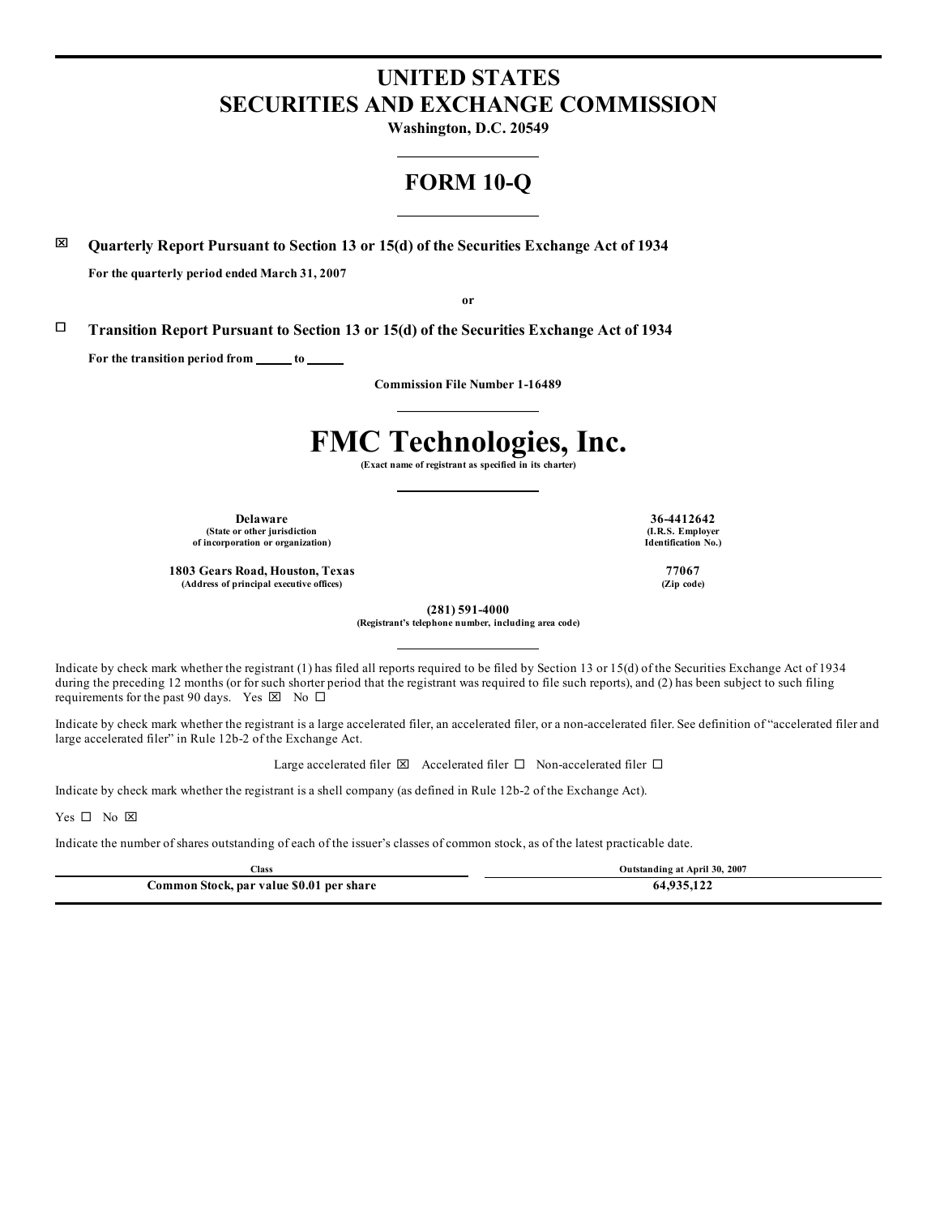## **UNITED STATES SECURITIES AND EXCHANGE COMMISSION**

**Washington, D.C. 20549**

### **FORM 10-Q**

x **Quarterly Report Pursuant to Section 13 or 15(d) of the Securities Exchange Act of 1934**

**For the quarterly period ended March 31, 2007**

**or**

¨ **Transition Report Pursuant to Section 13 or 15(d) of the Securities Exchange Act of 1934**

**For the transition period from to**

**Commission File Number 1-16489**

# **FMC Technologies, Inc.**

**(Exact name of registrant as specified in its charter)**

**Delaware 36-4412642 (State or other jurisdiction of incorporation or organization)**

**1803 Gears Road, Houston, Texas 77067 (Address of principal executive offices) (Zip code)**

**(I.R.S. Employer Identification No.)**

**(281) 591-4000**

**(Registrant's telephone number, including area code)**

Indicate by check mark whether the registrant (1) has filed all reports required to be filed by Section 13 or 15(d) of the Securities Exchange Act of 1934 during the preceding 12 months (or for such shorter period that the registrant was required to file such reports), and (2) has been subject to such filing requirements for the past 90 days. Yes  $\boxtimes$  No  $\Box$ 

Indicate by check mark whether the registrant is a large accelerated filer, an accelerated filer, or a non-accelerated filer. See definition of "accelerated filer and large accelerated filer" in Rule 12b-2 of the Exchange Act.

Large accelerated filer  $\boxtimes$  Accelerated filer  $\Box$  Non-accelerated filer  $\Box$ 

Indicate by check mark whether the registrant is a shell company (as defined in Rule 12b-2 of the Exchange Act).

Yes  $\square$  No  $\square$ 

Indicate the number of shares outstanding of each of the issuer's classes of common stock, as of the latest practicable date.

| Class                                    | Outstanding at April 30, 2007 |
|------------------------------------------|-------------------------------|
| Common Stock, par value \$0.01 per share | 64.935.12                     |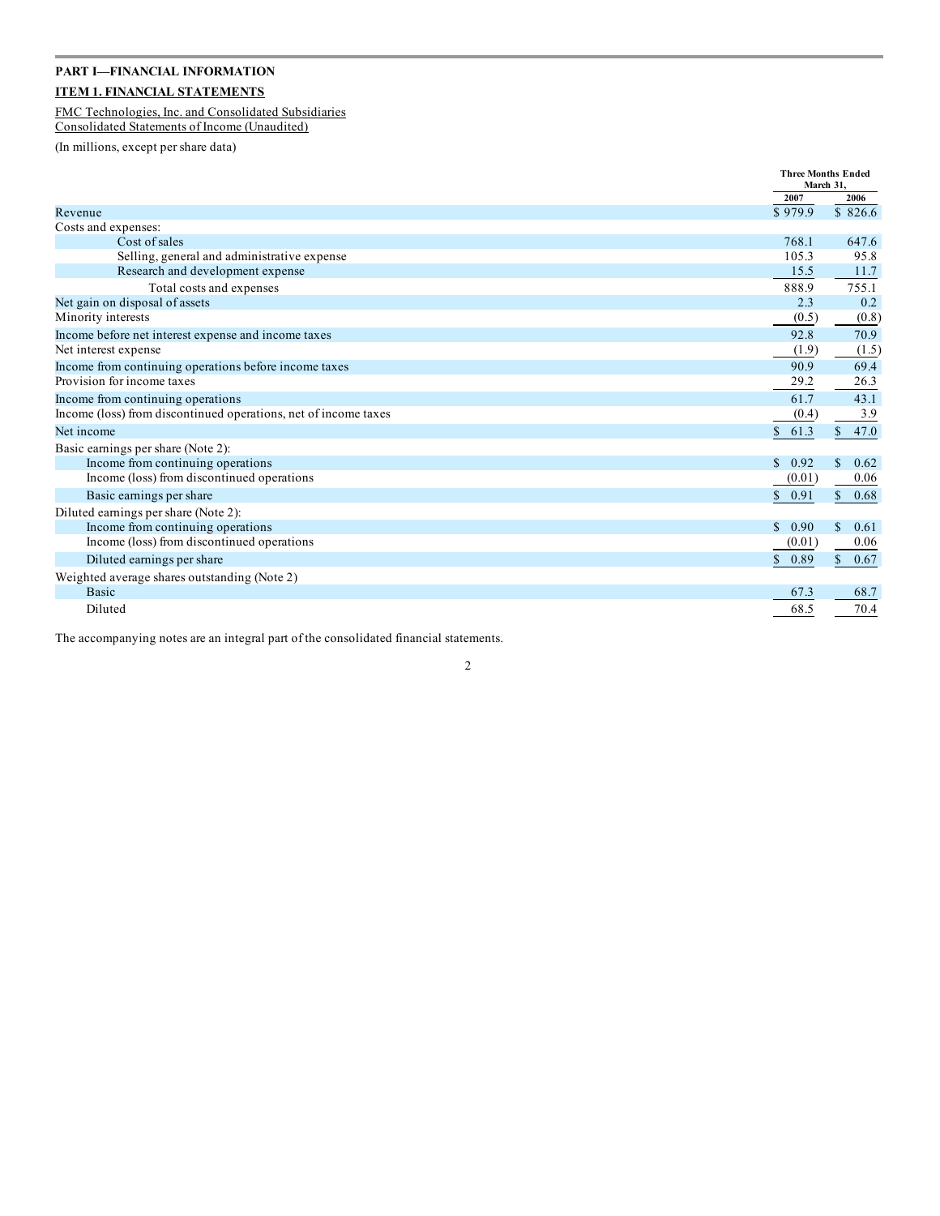### **PART I—FINANCIAL INFORMATION ITEM 1. FINANCIAL STATEMENTS**

### FMC Technologies, Inc. and Consolidated Subsidiaries

Consolidated Statements of Income (Unaudited)

(In millions, except per share data)

|                                                                 | March 31.             | <b>Three Months Ended</b> |
|-----------------------------------------------------------------|-----------------------|---------------------------|
|                                                                 | 2007                  | 2006                      |
| Revenue                                                         | \$979.9               | \$826.6                   |
| Costs and expenses:                                             |                       |                           |
| Cost of sales                                                   | 768.1                 | 647.6                     |
| Selling, general and administrative expense                     | 105.3                 | 95.8                      |
| Research and development expense                                | 15.5                  | 11.7                      |
| Total costs and expenses                                        | 888.9                 | 755.1                     |
| Net gain on disposal of assets                                  | 2.3                   | 0.2                       |
| Minority interests                                              | (0.5)                 | (0.8)                     |
| Income before net interest expense and income taxes             | 92.8                  | 70.9                      |
| Net interest expense                                            | (1.9)                 | (1.5)                     |
| Income from continuing operations before income taxes           | 90.9                  | 69.4                      |
| Provision for income taxes                                      | 29.2                  | 26.3                      |
| Income from continuing operations                               | 61.7                  | 43.1                      |
| Income (loss) from discontinued operations, net of income taxes | (0.4)                 | 3.9                       |
| Net income                                                      | \$61.3                | 47.0<br>$\mathbb{S}$      |
| Basic earnings per share (Note 2):                              |                       |                           |
| Income from continuing operations                               | $\mathcal{S}$<br>0.92 | 0.62<br>\$.               |
| Income (loss) from discontinued operations                      | (0.01)                | 0.06                      |
| Basic earnings per share                                        | \$0.91                | $\mathbb{S}$<br>0.68      |
| Diluted earnings per share (Note 2):                            |                       |                           |
| Income from continuing operations                               | 0.90<br>\$.           | \$.<br>0.61               |
| Income (loss) from discontinued operations                      | (0.01)                | 0.06                      |
| Diluted earnings per share                                      | 0.89<br>$\mathbb{S}$  | \$<br>0.67                |
| Weighted average shares outstanding (Note 2)                    |                       |                           |
| <b>Basic</b>                                                    | 67.3                  | 68.7                      |
| Diluted                                                         | 68.5                  | 70.4                      |

The accompanying notes are an integral part of the consolidated financial statements.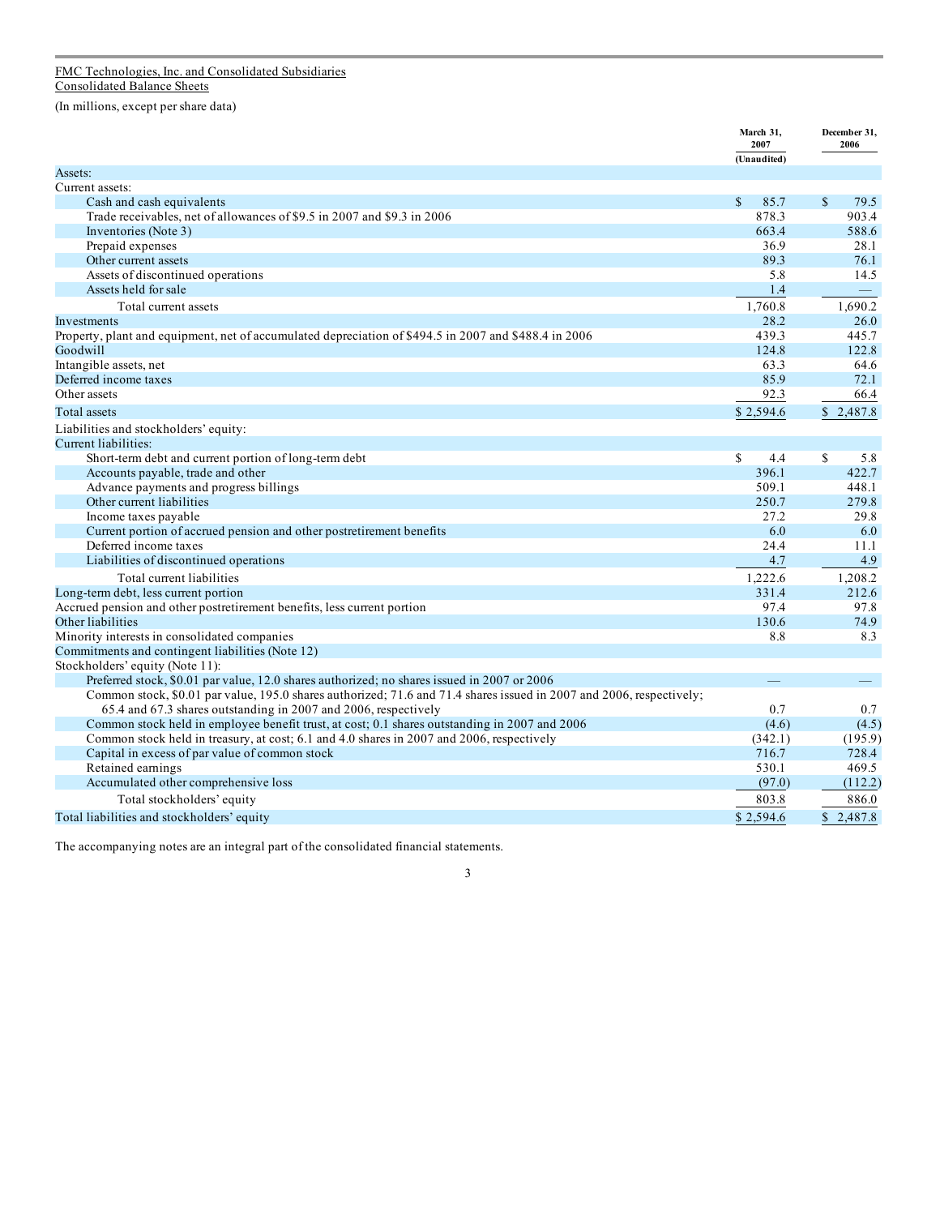#### FMC Technologies, Inc. and Consolidated Subsidiaries Consolidated Balance Sheets

(In millions, except per share data)

|                                                                                                                      | March 31,<br>2007    | December 31,<br>2006     |
|----------------------------------------------------------------------------------------------------------------------|----------------------|--------------------------|
|                                                                                                                      | (Unaudited)          |                          |
| Assets:                                                                                                              |                      |                          |
| Current assets:                                                                                                      |                      |                          |
| Cash and cash equivalents                                                                                            | $\mathbb{S}$<br>85.7 | $\mathbb{S}$<br>79.5     |
| Trade receivables, net of allowances of \$9.5 in 2007 and \$9.3 in 2006                                              | 878.3                | 903.4                    |
| Inventories (Note 3)                                                                                                 | 663.4                | 588.6                    |
| Prepaid expenses                                                                                                     | 36.9                 | 28.1                     |
| Other current assets                                                                                                 | 89.3                 | 76.1                     |
| Assets of discontinued operations                                                                                    | 5.8                  | 14.5                     |
| Assets held for sale                                                                                                 | 1.4                  | $\overline{\phantom{m}}$ |
| Total current assets                                                                                                 | 1,760.8              | 1.690.2                  |
| Investments                                                                                                          | 28.2                 | 26.0                     |
| Property, plant and equipment, net of accumulated depreciation of \$494.5 in 2007 and \$488.4 in 2006                | 439.3                | 445.7                    |
| Goodwill                                                                                                             | 124.8                | 122.8                    |
| Intangible assets, net                                                                                               | 63.3                 | 64.6                     |
| Deferred income taxes                                                                                                | 85.9                 | 72.1                     |
| Other assets                                                                                                         | 92.3                 | 66.4                     |
| <b>Total</b> assets                                                                                                  | \$2,594.6            | \$2,487.8                |
| Liabilities and stockholders' equity:                                                                                |                      |                          |
| Current liabilities:                                                                                                 |                      |                          |
| Short-term debt and current portion of long-term debt                                                                | <sup>\$</sup><br>4.4 | $\mathcal{S}$<br>5.8     |
| Accounts payable, trade and other                                                                                    | 396.1                | 422.7                    |
| Advance payments and progress billings                                                                               | 509.1                | 448.1                    |
| Other current liabilities                                                                                            | 250.7                | 279.8                    |
| Income taxes payable                                                                                                 | 27.2                 | 29.8                     |
| Current portion of accrued pension and other postretirement benefits                                                 | 6.0                  | 6.0                      |
| Deferred income taxes                                                                                                | 24.4                 | 11.1                     |
| Liabilities of discontinued operations                                                                               | 4.7                  | 4.9                      |
| Total current liabilities                                                                                            | 1,222.6              | 1,208.2                  |
| Long-term debt, less current portion                                                                                 | 331.4                | 212.6                    |
| Accrued pension and other postretirement benefits, less current portion                                              | 97.4                 | 97.8                     |
| Other liabilities                                                                                                    | 130.6                | 74.9                     |
| Minority interests in consolidated companies                                                                         | 8.8                  | 8.3                      |
| Commitments and contingent liabilities (Note 12)                                                                     |                      |                          |
| Stockholders' equity (Note 11):                                                                                      |                      |                          |
| Preferred stock, \$0.01 par value, 12.0 shares authorized; no shares issued in 2007 or 2006                          |                      | $\overline{\phantom{0}}$ |
| Common stock, \$0.01 par value, 195.0 shares authorized; 71.6 and 71.4 shares issued in 2007 and 2006, respectively; |                      |                          |
| 65.4 and 67.3 shares outstanding in 2007 and 2006, respectively                                                      | 0.7                  | 0.7                      |
| Common stock held in employee benefit trust, at cost; 0.1 shares outstanding in 2007 and 2006                        | (4.6)                | (4.5)                    |
| Common stock held in treasury, at cost; 6.1 and 4.0 shares in 2007 and 2006, respectively                            | (342.1)              | (195.9)                  |
| Capital in excess of par value of common stock                                                                       | 716.7                | 728.4                    |
| Retained earnings                                                                                                    | 530.1                | 469.5                    |
| Accumulated other comprehensive loss                                                                                 | (97.0)               | (112.2)                  |
| Total stockholders' equity                                                                                           | 803.8                | 886.0                    |
| Total liabilities and stockholders' equity                                                                           | \$2.594.6            | \$2.487.8                |

The accompanying notes are an integral part of the consolidated financial statements.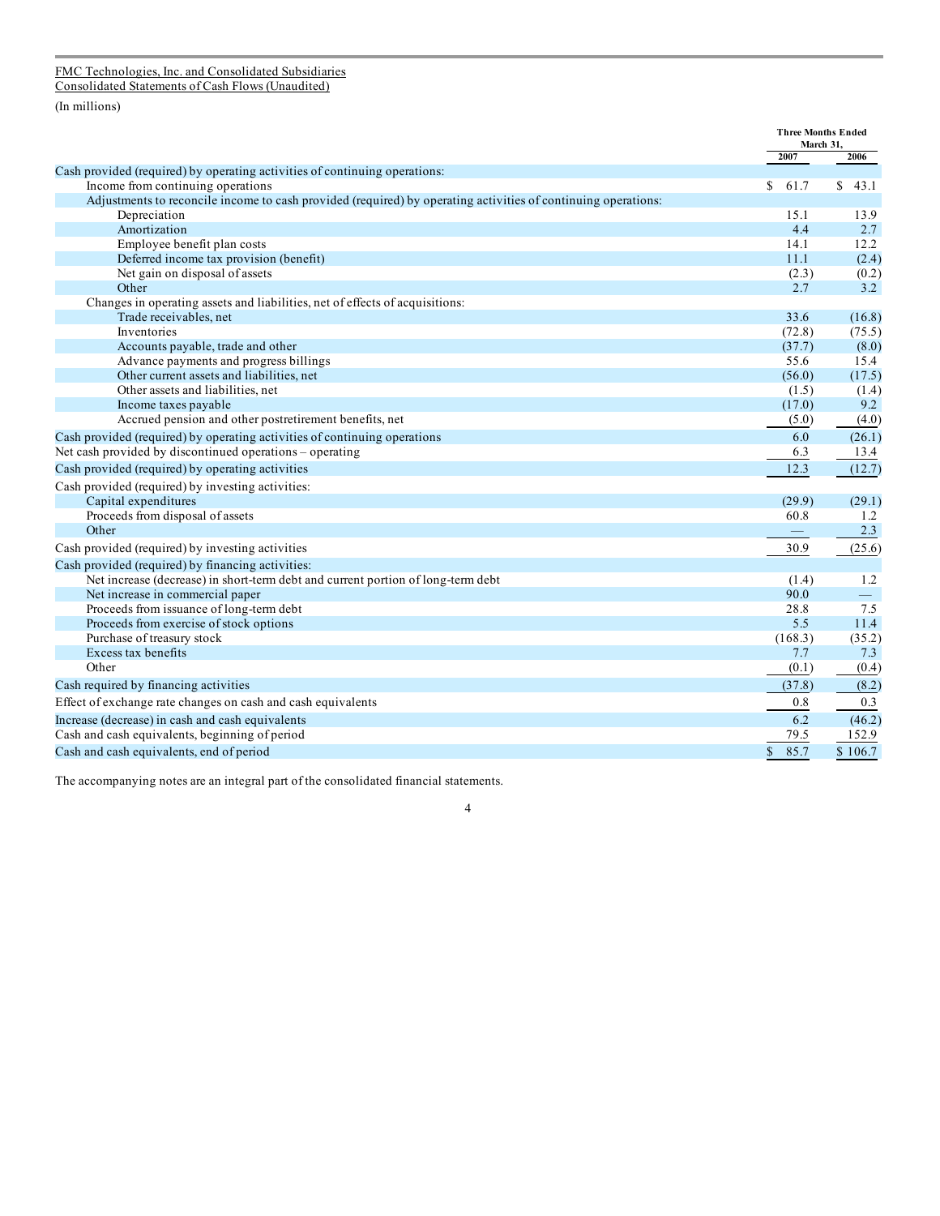#### FMC Technologies, Inc. and Consolidated Subsidiaries Consolidated Statements of Cash Flows (Unaudited)

(In millions)

|                                                                                                               | <b>Three Months Ended</b><br>March 31, |            |
|---------------------------------------------------------------------------------------------------------------|----------------------------------------|------------|
| Cash provided (required) by operating activities of continuing operations:                                    | 2007                                   | 2006       |
| Income from continuing operations                                                                             | \$.<br>61.7                            | \$<br>43.1 |
| Adjustments to reconcile income to cash provided (required) by operating activities of continuing operations: |                                        |            |
| Depreciation                                                                                                  | 15.1                                   | 13.9       |
| Amortization                                                                                                  | 4.4                                    | 2.7        |
| Employee benefit plan costs                                                                                   | 14.1                                   | 12.2       |
| Deferred income tax provision (benefit)                                                                       | 11.1                                   | (2.4)      |
| Net gain on disposal of assets                                                                                | (2.3)                                  | (0.2)      |
| Other                                                                                                         | 2.7                                    | 3.2        |
| Changes in operating assets and liabilities, net of effects of acquisitions:                                  |                                        |            |
| Trade receivables, net                                                                                        | 33.6                                   | (16.8)     |
| Inventories                                                                                                   | (72.8)                                 | (75.5)     |
| Accounts payable, trade and other                                                                             | (37.7)                                 | (8.0)      |
| Advance payments and progress billings                                                                        | 55.6                                   | 15.4       |
| Other current assets and liabilities, net                                                                     | (56.0)                                 | (17.5)     |
| Other assets and liabilities, net                                                                             | (1.5)                                  | (1.4)      |
| Income taxes payable                                                                                          | (17.0)                                 | 9.2        |
| Accrued pension and other postretirement benefits, net                                                        | (5.0)                                  | (4.0)      |
| Cash provided (required) by operating activities of continuing operations                                     | 6.0                                    | (26.1)     |
| Net cash provided by discontinued operations - operating                                                      | 6.3                                    | 13.4       |
| Cash provided (required) by operating activities                                                              | 12.3                                   | (12.7)     |
| Cash provided (required) by investing activities:                                                             |                                        |            |
| Capital expenditures                                                                                          | (29.9)                                 | (29.1)     |
| Proceeds from disposal of assets                                                                              | 60.8                                   | 1.2        |
| Other                                                                                                         | $\qquad \qquad -$                      | 2.3        |
| Cash provided (required) by investing activities                                                              | 30.9                                   | (25.6)     |
| Cash provided (required) by financing activities:                                                             |                                        |            |
| Net increase (decrease) in short-term debt and current portion of long-term debt                              | (1.4)                                  | 1.2        |
| Net increase in commercial paper                                                                              | 90.0                                   | $\equiv$   |
| Proceeds from issuance of long-term debt                                                                      | 28.8                                   | 7.5        |
| Proceeds from exercise of stock options                                                                       | 5.5                                    | 11.4       |
| Purchase of treasury stock                                                                                    | (168.3)                                | (35.2)     |
| Excess tax benefits                                                                                           | 7.7                                    | 7.3        |
| Other                                                                                                         | (0.1)                                  | (0.4)      |
| Cash required by financing activities                                                                         | (37.8)                                 | (8.2)      |
| Effect of exchange rate changes on cash and cash equivalents                                                  | 0.8                                    | 0.3        |
| Increase (decrease) in cash and cash equivalents                                                              | 6.2                                    | (46.2)     |
| Cash and cash equivalents, beginning of period                                                                | 79.5                                   | 152.9      |
| Cash and cash equivalents, end of period                                                                      | \$<br>85.7                             | \$106.7    |

The accompanying notes are an integral part of the consolidated financial statements.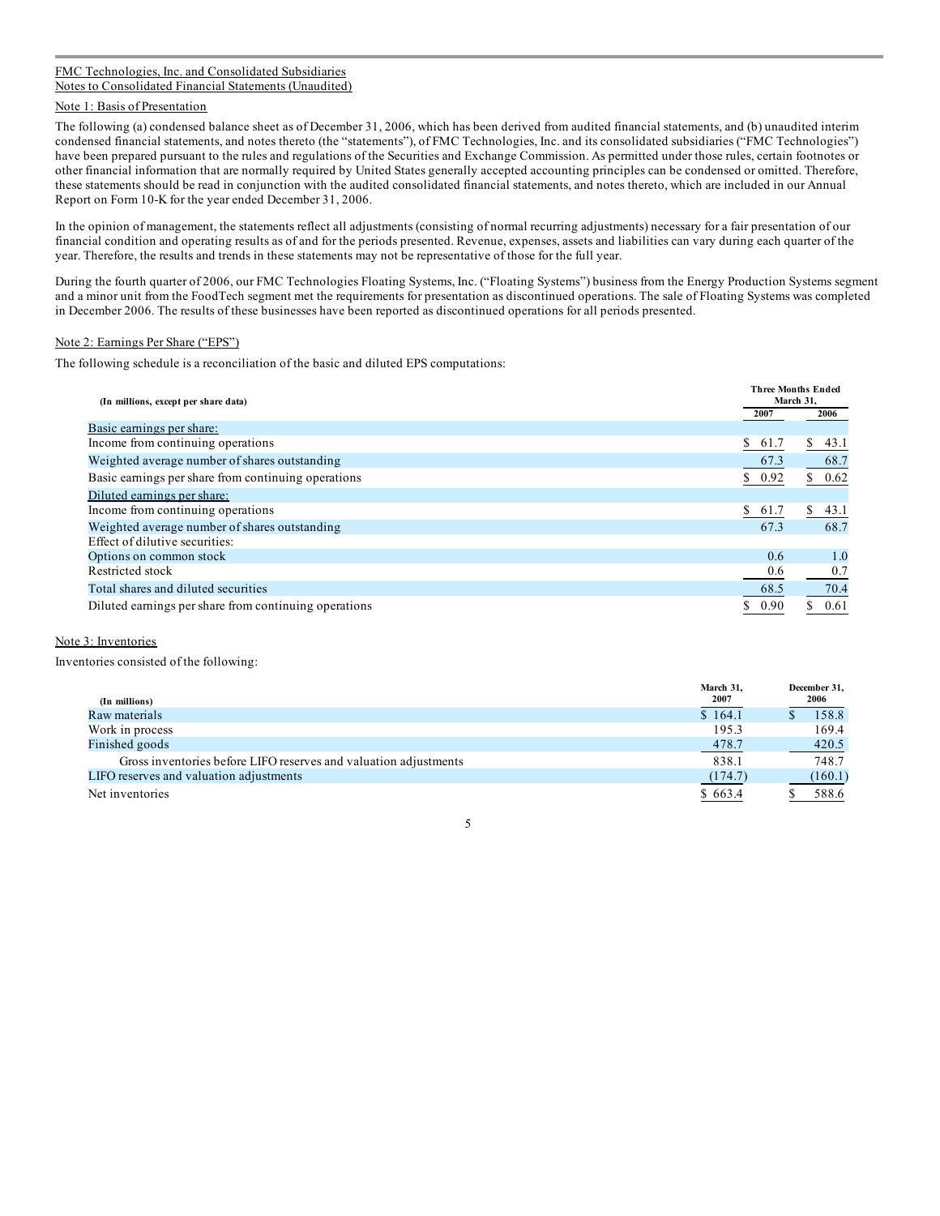#### FMC Technologies, Inc. and Consolidated Subsidiaries Notes to Consolidated Financial Statements (Unaudited)

#### Note 1: Basis of Presentation

The following (a) condensed balance sheet as of December 31, 2006, which has been derived from audited financial statements, and (b) unaudited interim condensed financial statements, and notes thereto (the "statements"), of FMC Technologies, Inc. and its consolidated subsidiaries ("FMC Technologies") have been prepared pursuant to the rules and regulations of the Securities and Exchange Commission. As permitted under those rules, certain footnotes or other financial information that are normally required by United States generally accepted accounting principles can be condensed or omitted. Therefore, these statements should be read in conjunction with the audited consolidated financial statements, and notes thereto, which are included in our Annual Report on Form 10-K for the year ended December 31, 2006.

In the opinion of management, the statements reflect all adjustments (consisting of normal recurring adjustments) necessary for a fair presentation of our financial condition and operating results as of and for the periods presented. Revenue, expenses, assets and liabilities can vary during each quarter of the year. Therefore, the results and trends in these statements may not be representative of those for the full year.

During the fourth quarter of 2006, our FMC Technologies Floating Systems, Inc. ("Floating Systems") business from the Energy Production Systems segment and a minor unit from the FoodTech segment met the requirements for presentation as discontinued operations. The sale of Floating Systems was completed in December 2006. The results of these businesses have been reported as discontinued operations for all periods presented.

#### Note 2: Earnings Per Share ("EPS")

The following schedule is a reconciliation of the basic and diluted EPS computations:

| (In millions, except per share data)                  | <b>Three Months Ended</b><br>March 31, |                      |
|-------------------------------------------------------|----------------------------------------|----------------------|
|                                                       | 2007                                   | 2006                 |
| Basic earnings per share:                             |                                        |                      |
| Income from continuing operations                     | \$61.7                                 | S.<br>43.1           |
| Weighted average number of shares outstanding         | 67.3                                   | 68.7                 |
| Basic earnings per share from continuing operations   | 0.92<br>S.                             | 0.62                 |
| Diluted earnings per share:                           |                                        |                      |
| Income from continuing operations                     | \$61.7                                 | 43.1<br><sup>S</sup> |
| Weighted average number of shares outstanding         | 67.3                                   | 68.7                 |
| Effect of dilutive securities:                        |                                        |                      |
| Options on common stock                               | 0.6                                    | 1.0                  |
| Restricted stock                                      | 0.6                                    | 0.7                  |
| Total shares and diluted securities                   | 68.5                                   | 70.4                 |
| Diluted earnings per share from continuing operations | 0.90                                   | 0.61                 |

#### Note 3: Inventories

Inventories consisted of the following:

| (In millions)                                                    | March 31,<br><b>2007</b> | December 31,<br>2006 |
|------------------------------------------------------------------|--------------------------|----------------------|
| Raw materials                                                    | \$164.1                  | 158.8                |
| Work in process                                                  | 195.3                    | 169.4                |
| Finished goods                                                   | 478.7                    | 420.5                |
| Gross inventories before LIFO reserves and valuation adjustments | 838.1                    | 748.7                |
| LIFO reserves and valuation adjustments                          | (174.7)                  | (160.1)              |
| Net inventories                                                  | \$663.4                  | 588.6                |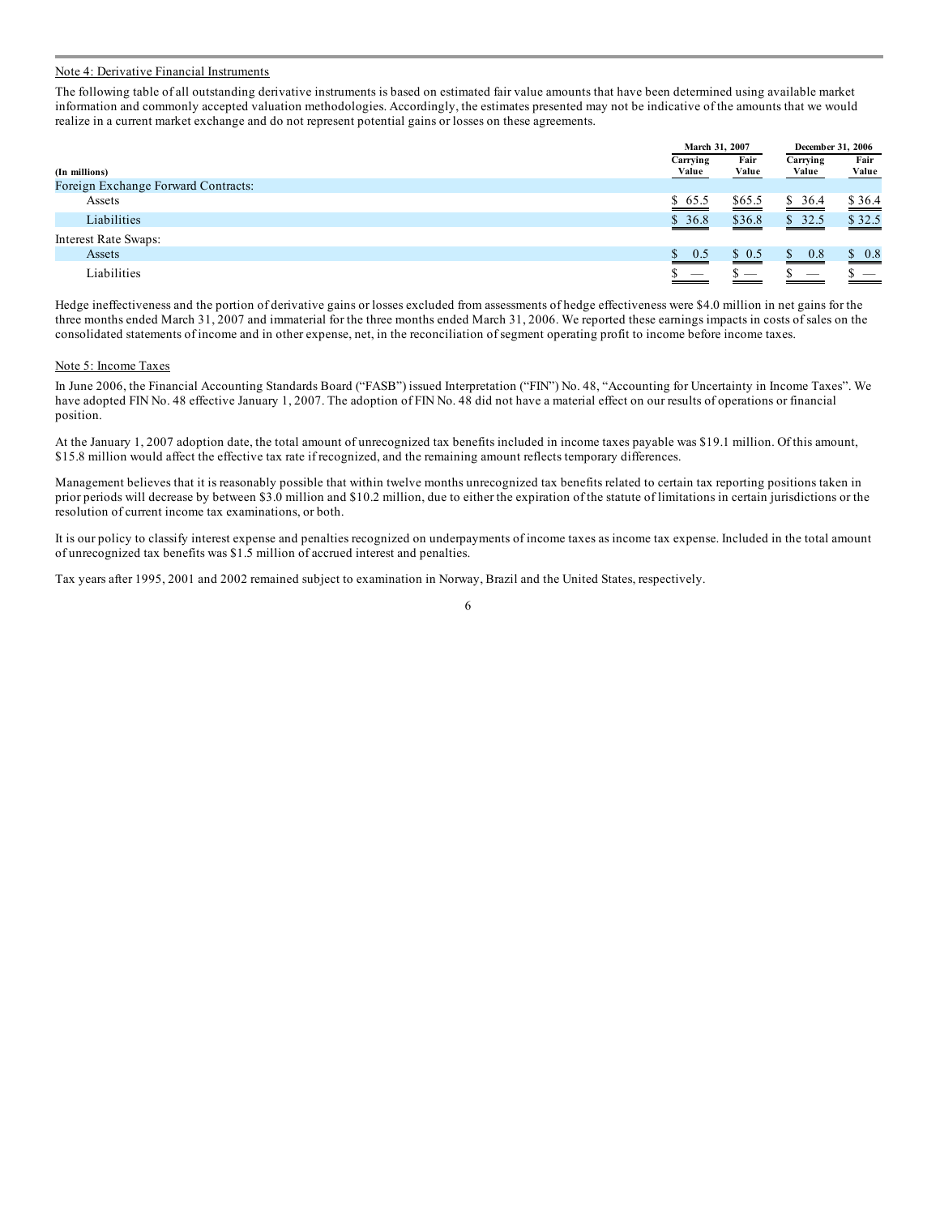#### Note 4: Derivative Financial Instruments

The following table of all outstanding derivative instruments is based on estimated fair value amounts that have been determined using available market information and commonly accepted valuation methodologies. Accordingly, the estimates presented may not be indicative of the amounts that we would realize in a current market exchange and do not represent potential gains or losses on these agreements.

|                                     |           | March 31, 2007 |                       | December 31, 2006 |
|-------------------------------------|-----------|----------------|-----------------------|-------------------|
|                                     | Carrying  | Fair           | Carrying              | Fair              |
| (In millions)                       | Value     | Value          | Value                 | Value             |
| Foreign Exchange Forward Contracts: |           |                |                       |                   |
| Assets                              | \$65.5    | \$65.5         | \$36.4                | \$36.4            |
| Liabilities                         | \$36.8    | \$36.8         | \$32.5                | \$32.5            |
| Interest Rate Swaps:                |           |                |                       |                   |
| Assets                              | 0.5<br>S. | \$0.5          | $\mathbb{S}^-$<br>0.8 | \$0.8             |
| Liabilities                         |           |                |                       |                   |

Hedge ineffectiveness and the portion of derivative gains or losses excluded from assessments of hedge effectiveness were \$4.0 million in net gains for the three months ended March 31, 2007 and immaterial for the three months ended March 31, 2006. We reported these earnings impacts in costs of sales on the consolidated statements of income and in other expense, net, in the reconciliation of segment operating profit to income before income taxes.

#### Note 5: Income Taxes

In June 2006, the Financial Accounting Standards Board ("FASB") issued Interpretation ("FIN") No. 48, "Accounting for Uncertainty in Income Taxes". We have adopted FIN No. 48 effective January 1, 2007. The adoption of FIN No. 48 did not have a material effect on our results of operations or financial position.

At the January 1, 2007 adoption date, the total amount of unrecognized tax benefits included in income taxes payable was \$19.1 million. Of this amount, \$15.8 million would affect the effective tax rate if recognized, and the remaining amount reflects temporary differences.

Management believes that it is reasonably possible that within twelve months unrecognized tax benefits related to certain tax reporting positions taken in prior periods will decrease by between \$3.0 million and \$10.2 million, due to either the expiration of the statute of limitations in certain jurisdictions or the resolution of current income tax examinations, or both.

It is our policy to classify interest expense and penalties recognized on underpayments of income taxes as income tax expense. Included in the total amount of unrecognized tax benefits was \$1.5 million of accrued interest and penalties.

Tax years after 1995, 2001 and 2002 remained subject to examination in Norway, Brazil and the United States, respectively.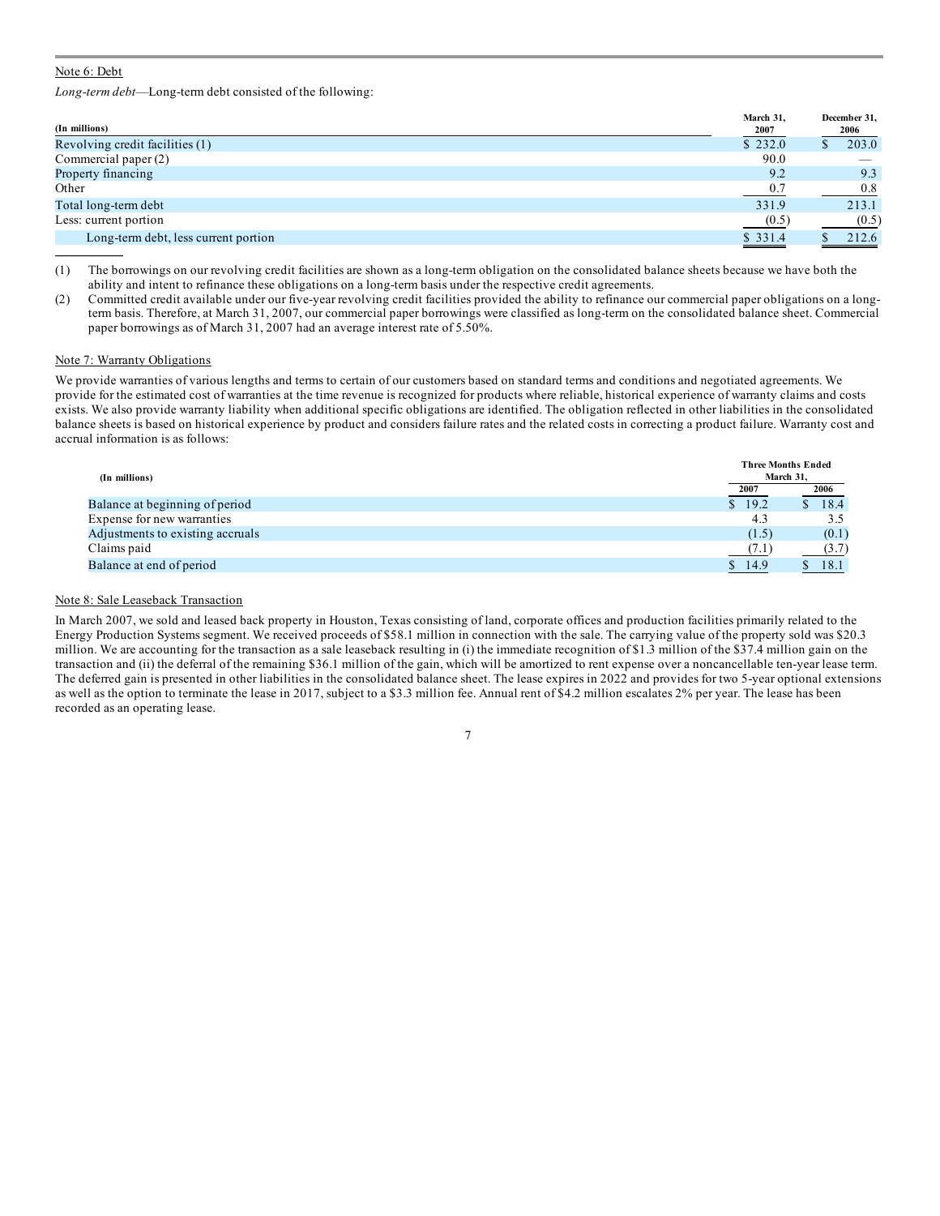#### Note 6: Debt

*Long-term debt*—Long-term debt consisted of the following:

| (In millions)                        | March 31,<br>2007 | December 31,<br>2006 |
|--------------------------------------|-------------------|----------------------|
| Revolving credit facilities (1)      | \$232.0           | 203.0                |
| Commercial paper (2)                 | 90.0              |                      |
| Property financing                   | 9.2               | 9.3                  |
| Other                                | 0.7               | 0.8                  |
| Total long-term debt                 | 331.9             | 213.1                |
| Less: current portion                | (0.5)             | (0.5)                |
| Long-term debt, less current portion | \$331.4           | 212.6                |

(1) The borrowings on our revolving credit facilities are shown as a long-term obligation on the consolidated balance sheets because we have both the ability and intent to refinance these obligations on a long-term basis under the respective credit agreements.

(2) Committed credit available under our five-year revolving credit facilities provided the ability to refinance our commercial paper obligations on a longterm basis. Therefore, at March 31, 2007, our commercial paper borrowings were classified as long-term on the consolidated balance sheet. Commercial paper borrowings as of March 31, 2007 had an average interest rate of 5.50%.

#### Note 7: Warranty Obligations

We provide warranties of various lengths and terms to certain of our customers based on standard terms and conditions and negotiated agreements. We provide for the estimated cost of warranties at the time revenue is recognized for products where reliable, historical experience of warranty claims and costs exists. We also provide warranty liability when additional specific obligations are identified. The obligation reflected in other liabilities in the consolidated balance sheets is based on historical experience by product and considers failure rates and the related costs in correcting a product failure. Warranty cost and accrual information is as follows:

| (In millions)                    |        | <b>Three Months Ended</b><br>March 31. |  |  |  |
|----------------------------------|--------|----------------------------------------|--|--|--|
|                                  | 2007   | 2006                                   |  |  |  |
| Balance at beginning of period   | \$19.2 | 18.4                                   |  |  |  |
| Expense for new warranties       | 4.3    | 3.5                                    |  |  |  |
| Adjustments to existing accruals | (1.5)  | (0.1)                                  |  |  |  |
| Claims paid                      | (7.1)  | (3.7)                                  |  |  |  |
| Balance at end of period         | 14.9   | 18.1                                   |  |  |  |

#### Note 8: Sale Leaseback Transaction

In March 2007, we sold and leased back property in Houston, Texas consisting of land, corporate offices and production facilities primarily related to the Energy Production Systems segment. We received proceeds of \$58.1 million in connection with the sale. The carrying value of the property sold was \$20.3 million. We are accounting for the transaction as a sale leaseback resulting in (i) the immediate recognition of \$1.3 million of the \$37.4 million gain on the transaction and (ii) the deferral of the remaining \$36.1 million of the gain, which will be amortized to rent expense over a noncancellable ten-year lease term. The deferred gain is presented in other liabilities in the consolidated balance sheet. The lease expires in 2022 and provides for two 5-year optional extensions as well as the option to terminate the lease in 2017, subject to a \$3.3 million fee. Annual rent of \$4.2 million escalates 2% per year. The lease has been recorded as an operating lease.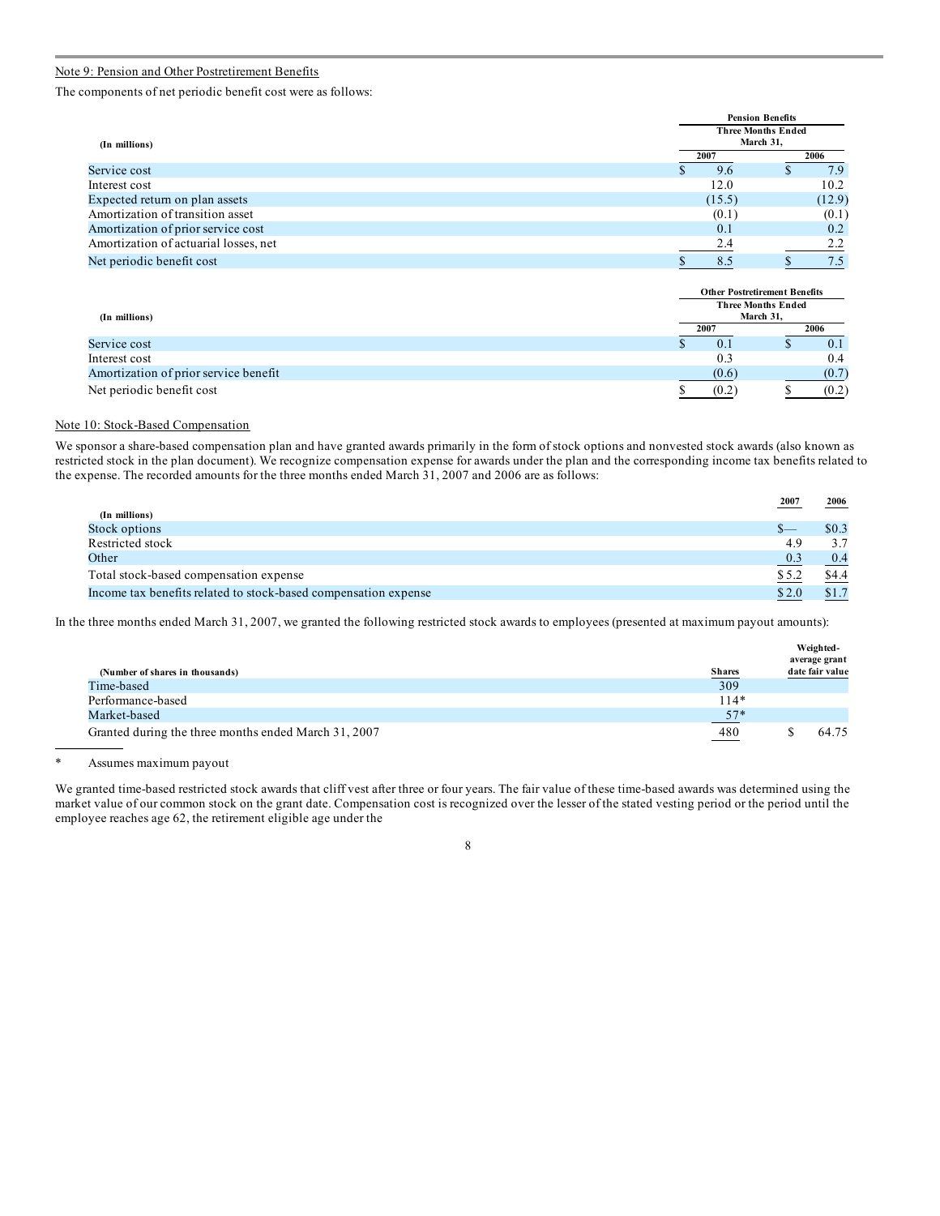#### Note 9: Pension and Other Postretirement Benefits

The components of net periodic benefit cost were as follows:

|                                       | <b>Pension Benefits</b>                |  |        |  |  |
|---------------------------------------|----------------------------------------|--|--------|--|--|
| (In millions)                         | <b>Three Months Ended</b><br>March 31, |  |        |  |  |
|                                       | 2007                                   |  | 2006   |  |  |
| Service cost                          | 9.6                                    |  | 7.9    |  |  |
| Interest cost                         | 12.0                                   |  | 10.2   |  |  |
| Expected return on plan assets        | (15.5)                                 |  | (12.9) |  |  |
| Amortization of transition asset      | (0.1)                                  |  | (0.1)  |  |  |
| Amortization of prior service cost    | 0.1                                    |  | 0.2    |  |  |
| Amortization of actuarial losses, net | 2.4                                    |  | 2.2    |  |  |
| Net periodic benefit cost             | 8.5                                    |  | 7.5    |  |  |

|                                       |  | <b>Other Postretirement Benefits</b> |                                        |  |       |
|---------------------------------------|--|--------------------------------------|----------------------------------------|--|-------|
|                                       |  |                                      | <b>Three Months Ended</b><br>March 31, |  |       |
| (In millions)                         |  | 2007                                 |                                        |  | 2006  |
| Service cost                          |  |                                      | 0.1                                    |  | 0.1   |
| Interest cost                         |  |                                      | 0.3                                    |  | 0.4   |
| Amortization of prior service benefit |  |                                      | (0.6)                                  |  | (0.7) |
| Net periodic benefit cost             |  |                                      | (0.2)                                  |  | (0.2) |

#### Note 10: Stock-Based Compensation

We sponsor a share-based compensation plan and have granted awards primarily in the form of stock options and nonvested stock awards (also known as restricted stock in the plan document). We recognize compensation expense for awards under the plan and the corresponding income tax benefits related to the expense. The recorded amounts for the three months ended March 31, 2007 and 2006 are as follows:

|                                                                 | 2007  | 2006  |
|-----------------------------------------------------------------|-------|-------|
| (In millions)                                                   |       |       |
| Stock options                                                   |       | \$0.3 |
| Restricted stock                                                | 4.9   | 3.7   |
| Other                                                           | 0.3   | 0.4   |
| Total stock-based compensation expense                          | \$5.2 | \$4.4 |
| Income tax benefits related to stock-based compensation expense | \$2.0 |       |

In the three months ended March 31, 2007, we granted the following restricted stock awards to employees (presented at maximum payout amounts):

| (Number of shares in thousands)                      | <b>Shares</b> | Weighted-<br>average grant<br>date fair value |
|------------------------------------------------------|---------------|-----------------------------------------------|
| Time-based                                           | 309           |                                               |
| Performance-based                                    | $114*$        |                                               |
| Market-based                                         | $57*$         |                                               |
| Granted during the three months ended March 31, 2007 | 480           | 64.75                                         |

\* Assumes maximum payout

We granted time-based restricted stock awards that cliff vest after three or four years. The fair value of these time-based awards was determined using the market value of our common stock on the grant date. Compensation cost is recognized over the lesser of the stated vesting period or the period until the employee reaches age 62, the retirement eligible age under the

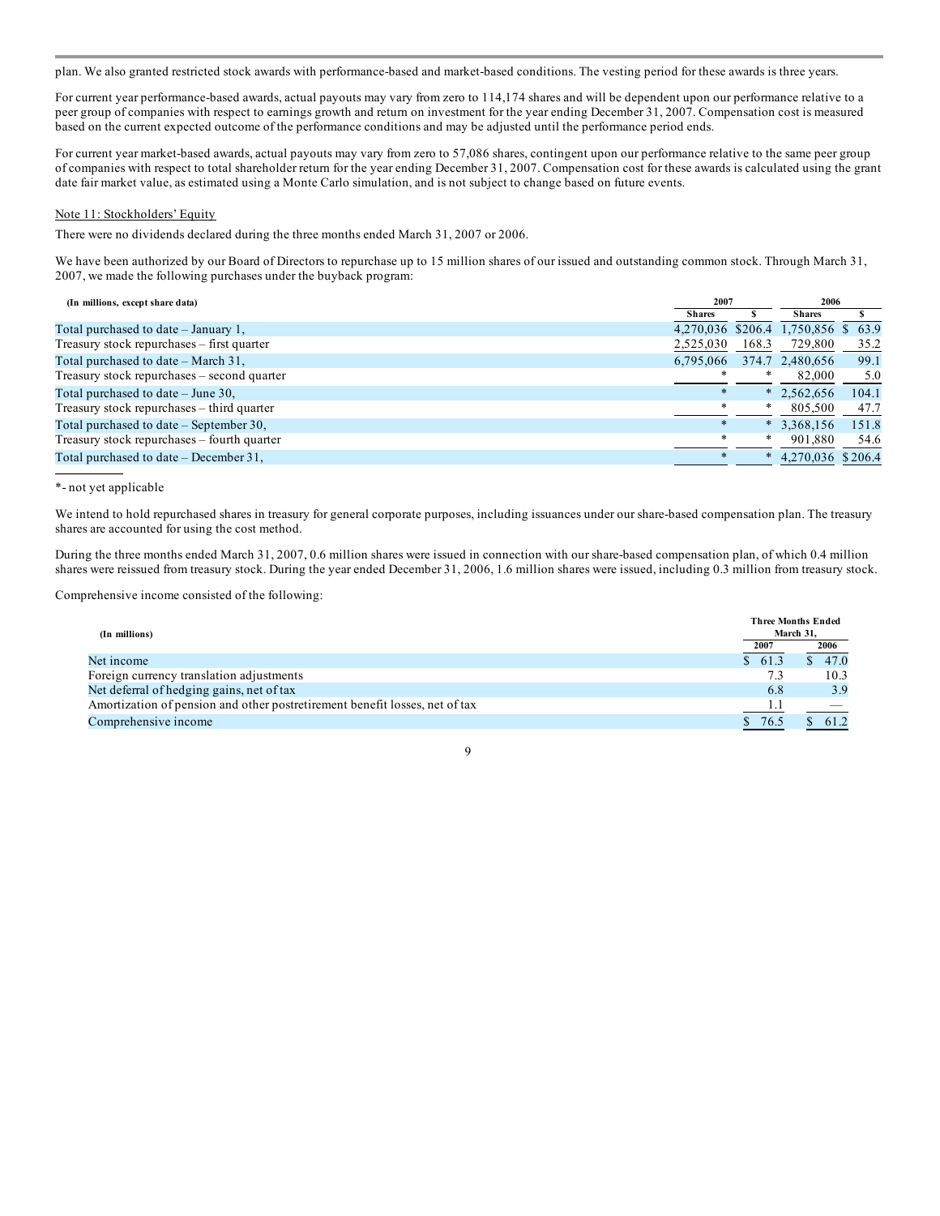plan. We also granted restricted stock awards with performance-based and market-based conditions. The vesting period for these awards is three years.

For current year performance-based awards, actual payouts may vary from zero to 114,174 shares and will be dependent upon our performance relative to a peer group of companies with respect to earnings growth and return on investment for the year ending December 31, 2007. Compensation cost is measured based on the current expected outcome of the performance conditions and may be adjusted until the performance period ends.

For current year market-based awards, actual payouts may vary from zero to 57,086 shares, contingent upon our performance relative to the same peer group of companies with respect to total shareholder return for the year ending December 31, 2007. Compensation cost for these awards is calculated using the grant date fair market value, as estimated using a Monte Carlo simulation, and is not subject to change based on future events.

#### Note 11: Stockholders' Equity

There were no dividends declared during the three months ended March 31, 2007 or 2006.

We have been authorized by our Board of Directors to repurchase up to 15 million shares of our issued and outstanding common stock. Through March 31, 2007, we made the following purchases under the buyback program:

| (In millions, except share data)            | 2007      |        | 2006                               |       |
|---------------------------------------------|-----------|--------|------------------------------------|-------|
|                                             | Shares    |        | Shares                             |       |
| Total purchased to date $-$ January 1,      |           |        | 4,270,036 \$206.4 1,750,856 \$63.9 |       |
| Treasury stock repurchases – first quarter  | 2,525,030 | 168.3  | 729,800                            | 35.2  |
| Total purchased to date – March 31,         | 6.795.066 |        | 374.7 2,480,656                    | 99.1  |
| Treasury stock repurchases – second quarter | ∗         | ∗      | 82,000                             | 5.0   |
| Total purchased to date $-$ June 30,        | $\ast$    |        | $*$ 2,562,656                      | 104.1 |
| Treasury stock repurchases – third quarter  | $\ast$    | $\ast$ | 805,500                            | 47.7  |
| Total purchased to date – September 30,     | $\ast$    | $\ast$ | 3,368,156                          | 151.8 |
| Treasury stock repurchases – fourth quarter | $\ast$    | *      | 901,880                            | 54.6  |
| Total purchased to date $-$ December 31,    |           | $\ast$ | 4,270,036 \$206.4                  |       |

#### \*- not yet applicable

We intend to hold repurchased shares in treasury for general corporate purposes, including issuances under our share-based compensation plan. The treasury shares are accounted for using the cost method.

During the three months ended March 31, 2007, 0.6 million shares were issued in connection with our share-based compensation plan, of which 0.4 million shares were reissued from treasury stock. During the year ended December 31, 2006, 1.6 million shares were issued, including 0.3 million from treasury stock.

Comprehensive income consisted of the following:

| (In millions)                                                               |        | <b>Three Months Ended</b><br>March 31, |
|-----------------------------------------------------------------------------|--------|----------------------------------------|
|                                                                             | 2007   | 2006                                   |
| Net income                                                                  | \$61.3 | 47.0                                   |
| Foreign currency translation adjustments                                    |        | 10.3                                   |
| Net deferral of hedging gains, net of tax                                   | 6.8    | 3.9                                    |
| Amortization of pension and other postretirement benefit losses, net of tax |        |                                        |
| Comprehensive income                                                        | 76.5   |                                        |

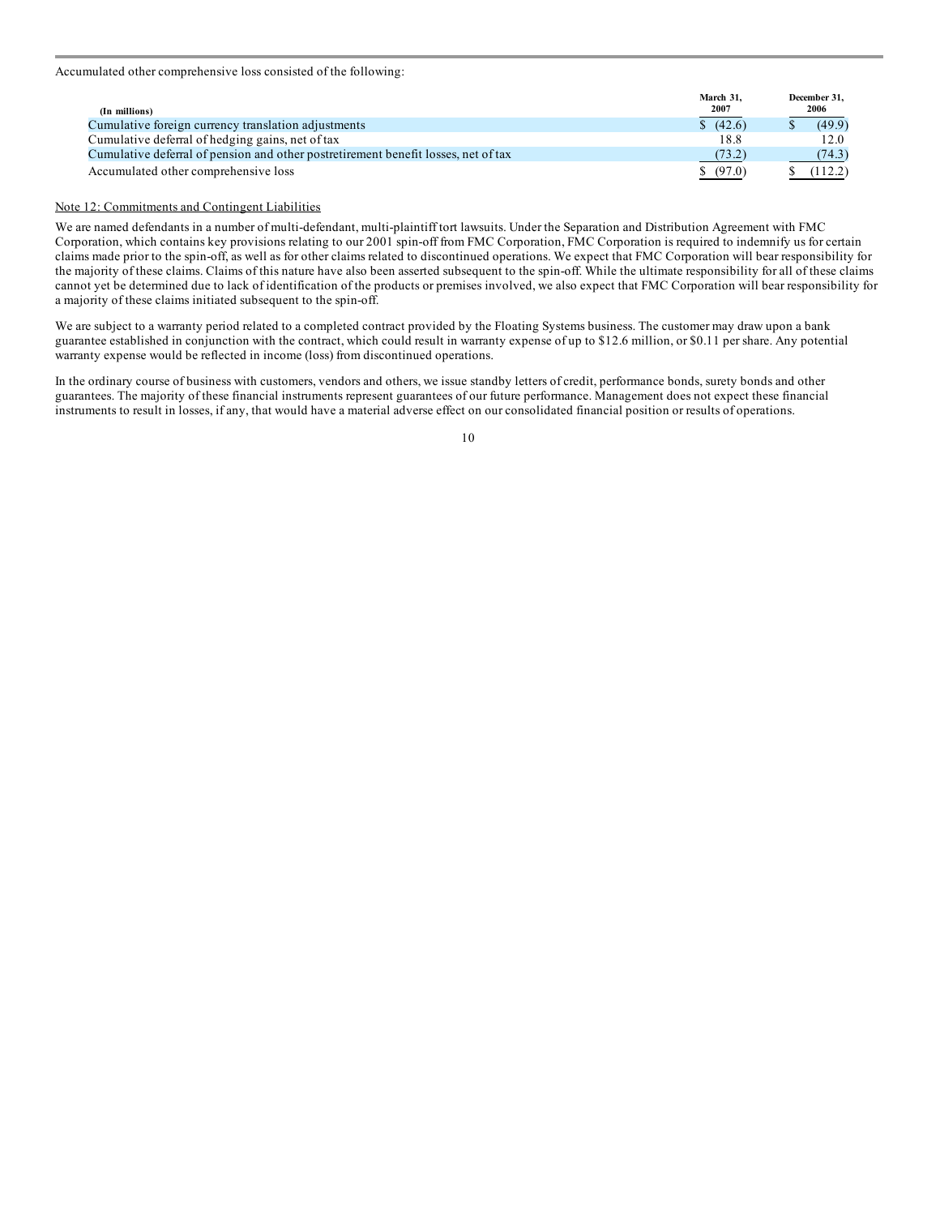Accumulated other comprehensive loss consisted of the following:

| (In millions)                                                                      | March 31.<br>2007 | December 31.<br>2006 |  |
|------------------------------------------------------------------------------------|-------------------|----------------------|--|
| Cumulative foreign currency translation adjustments                                | (42.6)            | (49.9)               |  |
| Cumulative deferral of hedging gains, net of tax                                   | 18.8              | 12.0                 |  |
| Cumulative deferral of pension and other postretirement benefit losses, net of tax | (73.2)            | (74.3)               |  |
| Accumulated other comprehensive loss                                               | \$ (97.0)         | (112.2)              |  |

#### Note 12: Commitments and Contingent Liabilities

We are named defendants in a number of multi-defendant, multi-plaintiff tort lawsuits. Under the Separation and Distribution Agreement with FMC Corporation, which contains key provisions relating to our 2001 spin-off from FMC Corporation, FMC Corporation is required to indemnify us for certain claims made prior to the spin-off, as well as for other claims related to discontinued operations. We expect that FMC Corporation will bear responsibility for the majority of these claims. Claims of this nature have also been asserted subsequent to the spin-off. While the ultimate responsibility for all of these claims cannot yet be determined due to lack of identification of the products or premises involved, we also expect that FMC Corporation will bear responsibility for a majority of these claims initiated subsequent to the spin-off.

We are subject to a warranty period related to a completed contract provided by the Floating Systems business. The customer may draw upon a bank guarantee established in conjunction with the contract, which could result in warranty expense of up to \$12.6 million, or \$0.11 per share. Any potential warranty expense would be reflected in income (loss) from discontinued operations.

In the ordinary course of business with customers, vendors and others, we issue standby letters of credit, performance bonds, surety bonds and other guarantees. The majority of these financial instruments represent guarantees of our future performance. Management does not expect these financial instruments to result in losses, if any, that would have a material adverse effect on our consolidated financial position or results of operations.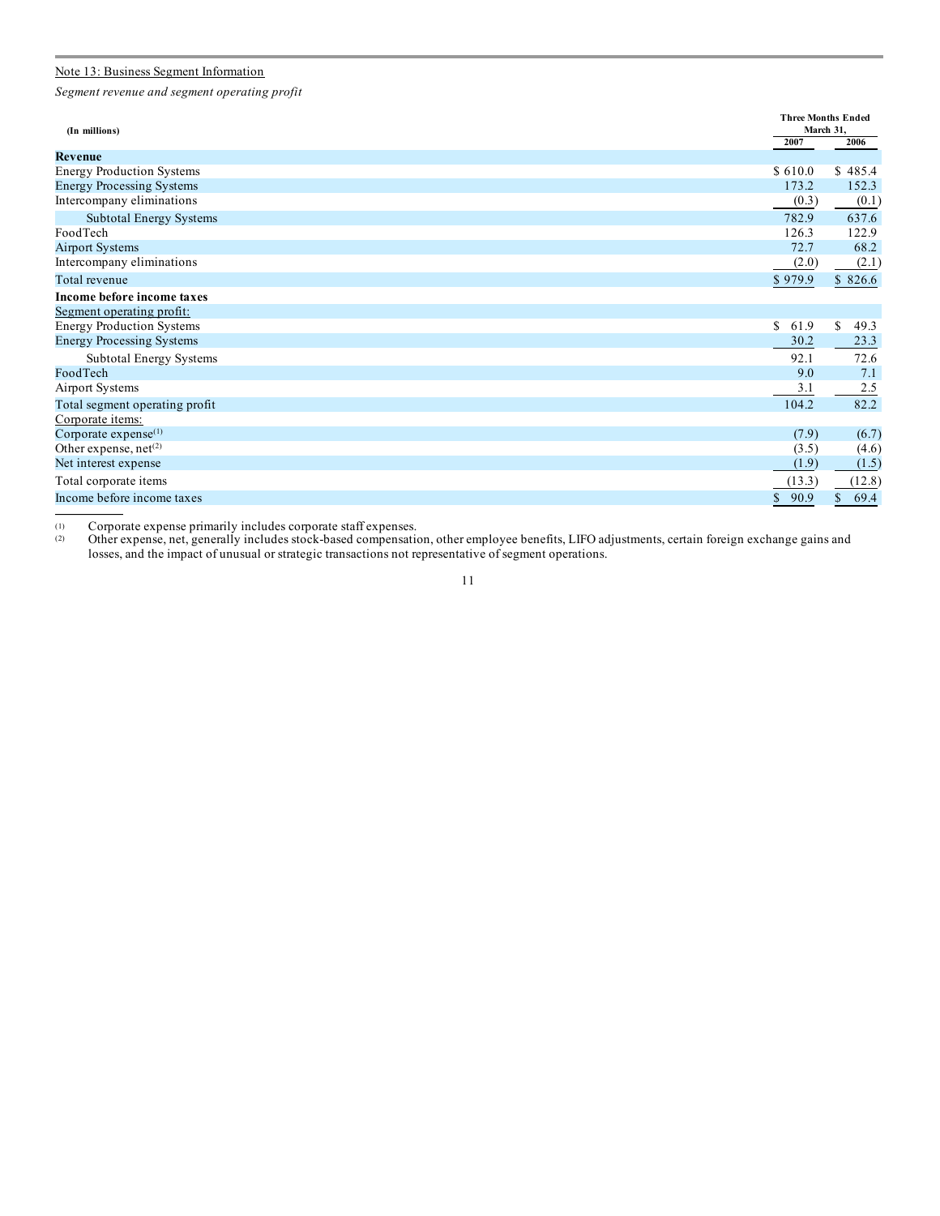#### Note 13: Business Segment Information

*Segment revenue and segment operating profit*

| (In millions)                     | <b>Three Months Ended</b><br>March 31, |                      |
|-----------------------------------|----------------------------------------|----------------------|
|                                   | 2007                                   | 2006                 |
| Revenue                           |                                        |                      |
| <b>Energy Production Systems</b>  | \$610.0                                | \$485.4              |
| <b>Energy Processing Systems</b>  | 173.2                                  | 152.3                |
| Intercompany eliminations         | (0.3)                                  | (0.1)                |
| Subtotal Energy Systems           | 782.9                                  | 637.6                |
| FoodTech                          | 126.3                                  | 122.9                |
| <b>Airport Systems</b>            | 72.7                                   | 68.2                 |
| Intercompany eliminations         | (2.0)                                  | (2.1)                |
| Total revenue                     | \$979.9                                | \$826.6              |
| Income before income taxes        |                                        |                      |
| Segment operating profit:         |                                        |                      |
| <b>Energy Production Systems</b>  | S<br>61.9                              | \$<br>49.3           |
| <b>Energy Processing Systems</b>  | 30.2                                   | 23.3                 |
| <b>Subtotal Energy Systems</b>    | 92.1                                   | 72.6                 |
| FoodTech                          | 9.0                                    | 7.1                  |
| <b>Airport Systems</b>            | 3.1                                    | 2.5                  |
| Total segment operating profit    | 104.2                                  | 82.2                 |
| Corporate items:                  |                                        |                      |
| Corporate $expense^{(1)}$         | (7.9)                                  | (6.7)                |
| Other expense, net <sup>(2)</sup> | (3.5)                                  | (4.6)                |
| Net interest expense              | (1.9)                                  | (1.5)                |
| Total corporate items             | (13.3)                                 | (12.8)               |
| Income before income taxes        | $\mathbb{S}$<br>90.9                   | $\mathbb{S}$<br>69.4 |

(1) Corporate expense primarily includes corporate staff expenses.

(2) Other expense, net, generally includes stock-based compensation, other employee benefits, LIFO adjustments, certain foreign exchange gains and losses, and the impact of unusual or strategic transactions not representative of segment operations.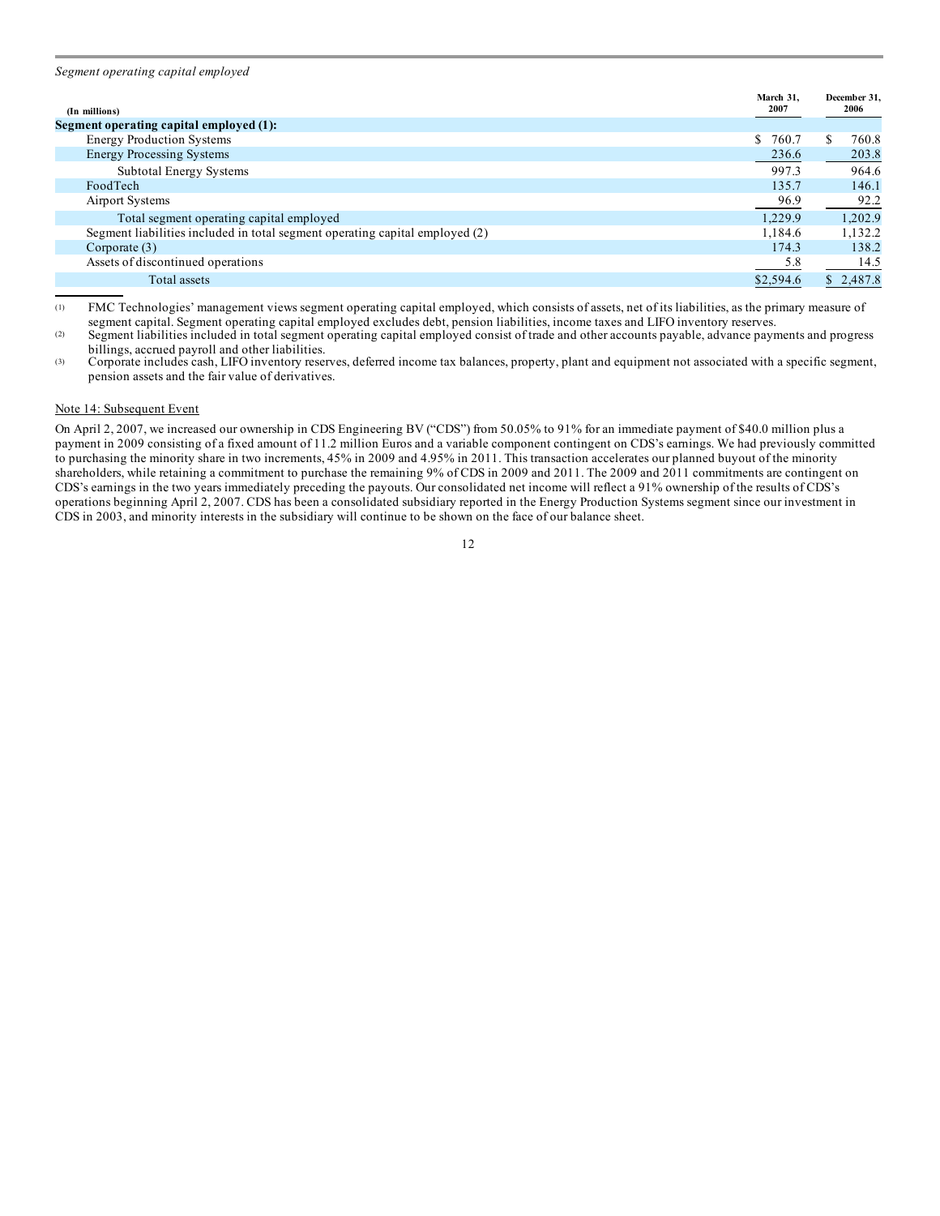*Segment operating capital employed*

| (In millions)                                                                | March 31.<br>2007 | December 31,<br>2006 |
|------------------------------------------------------------------------------|-------------------|----------------------|
| Segment operating capital employed (1):                                      |                   |                      |
| <b>Energy Production Systems</b>                                             | S.<br>760.7       | 760.8                |
| <b>Energy Processing Systems</b>                                             | 236.6             | 203.8                |
| Subtotal Energy Systems                                                      | 997.3             | 964.6                |
| FoodTech                                                                     | 135.7             | 146.1                |
| Airport Systems                                                              | 96.9              | 92.2                 |
| Total segment operating capital employed                                     | 1.229.9           | 1.202.9              |
| Segment liabilities included in total segment operating capital employed (2) | 1,184.6           | 1,132.2              |
| Corporate $(3)$                                                              | 174.3             | 138.2                |
| Assets of discontinued operations                                            | 5.8               | 14.5                 |
| Total assets                                                                 | \$2,594.6         | \$2,487.8            |

(1) FMC Technologies' management views segment operating capital employed, which consists of assets, net of its liabilities, as the primary measure of segment capital. Segment operating capital employed excludes debt, pension liabilities, income taxes and LIFO inventory reserves.

(2) Segment liabilities included in total segment operating capital employed consist of trade and other accounts payable, advance payments and progress billings, accrued payroll and other liabilities.

(3) Corporate includes cash, LIFO inventory reserves, deferred income tax balances, property, plant and equipment not associated with a specific segment, pension assets and the fair value of derivatives.

#### Note 14: Subsequent Event

On April 2, 2007, we increased our ownership in CDS Engineering BV ("CDS") from 50.05% to 91% for an immediate payment of \$40.0 million plus a payment in 2009 consisting of a fixed amount of 11.2 million Euros and a variable component contingent on CDS's earnings. We had previously committed to purchasing the minority share in two increments, 45% in 2009 and 4.95% in 2011. This transaction accelerates our planned buyout of the minority shareholders, while retaining a commitment to purchase the remaining 9% of CDS in 2009 and 2011. The 2009 and 2011 commitments are contingent on CDS's earnings in the two years immediately preceding the payouts. Our consolidated net income will reflect a 91% ownership of the results of CDS's operations beginning April 2, 2007. CDS has been a consolidated subsidiary reported in the Energy Production Systems segment since our investment in CDS in 2003, and minority interests in the subsidiary will continue to be shown on the face of our balance sheet.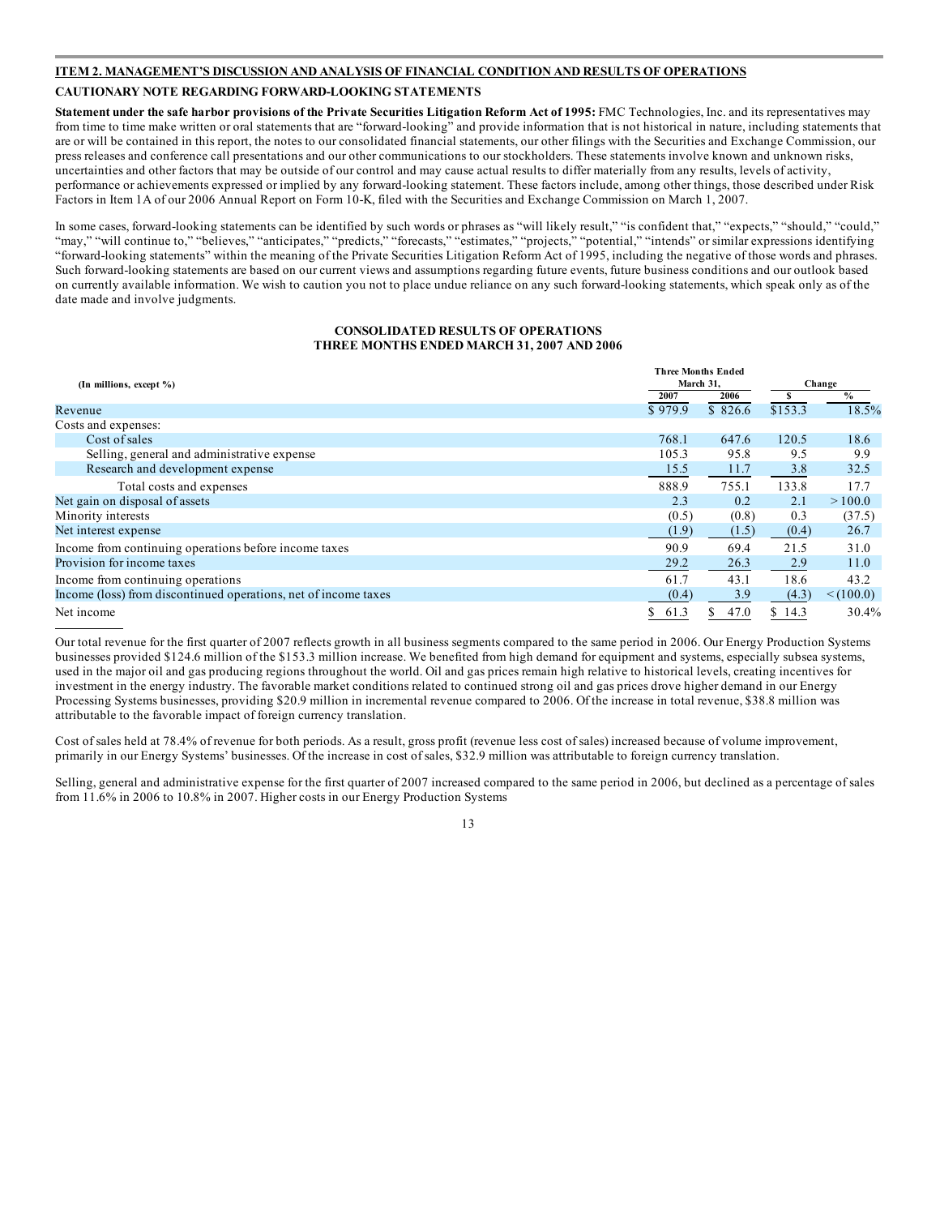#### **ITEM 2. MANAGEMENT'S DISCUSSION AND ANALYSIS OF FINANCIAL CONDITION AND RESULTS OF OPERATIONS**

#### **CAUTIONARY NOTE REGARDING FORWARD-LOOKING STATEMENTS**

Statement under the safe harbor provisions of the Private Securities Litigation Reform Act of 1995: FMC Technologies, Inc. and its representatives may from time to time make written or oral statements that are "forward-looking" and provide information that is not historical in nature, including statements that are or will be contained in this report, the notes to our consolidated financial statements, our other filings with the Securities and Exchange Commission, our press releases and conference call presentations and our other communications to our stockholders. These statements involve known and unknown risks, uncertainties and other factors that may be outside of our control and may cause actual results to differ materially from any results, levels of activity, performance or achievements expressed or implied by any forward-looking statement. These factors include, among other things, those described under Risk Factors in Item 1A of our 2006 Annual Report on Form 10-K, filed with the Securities and Exchange Commission on March 1, 2007.

In some cases, forward-looking statements can be identified by such words or phrases as "will likely result," "is confident that," "expects," "should," "could," "may," "will continue to," "believes," "anticipates," "predicts," "forecasts," "estimates," "projects," "potential," "intends" or similar expressions identifying "forward-looking statements" within the meaning of the Private Securities Litigation Reform Act of 1995, including the negative of those words and phrases. Such forward-looking statements are based on our current views and assumptions regarding future events, future business conditions and our outlook based on currently available information. We wish to caution you not to place undue reliance on any such forward-looking statements, which speak only as of the date made and involve judgments.

#### **CONSOLIDATED RESULTS OF OPERATIONS THREE MONTHS ENDED MARCH 31, 2007 AND 2006**

|                                                                 |            | <b>Three Months Ended</b> |         |           |  |
|-----------------------------------------------------------------|------------|---------------------------|---------|-----------|--|
| (In millions, except %)                                         |            | March 31,                 |         | Change    |  |
|                                                                 | 2007       | 2006                      | s       | $\%$      |  |
| Revenue                                                         | \$979.9    | \$826.6                   | \$153.3 | 18.5%     |  |
| Costs and expenses:                                             |            |                           |         |           |  |
| Cost of sales                                                   | 768.1      | 647.6                     | 120.5   | 18.6      |  |
| Selling, general and administrative expense                     | 105.3      | 95.8                      | 9.5     | 9.9       |  |
| Research and development expense                                | 15.5       | 11.7                      | 3.8     | 32.5      |  |
| Total costs and expenses                                        | 888.9      | 755.1                     | 133.8   | 17.7      |  |
| Net gain on disposal of assets                                  | 2.3        | 0.2                       | 2.1     | >100.0    |  |
| Minority interests                                              | (0.5)      | (0.8)                     | 0.3     | (37.5)    |  |
| Net interest expense                                            | (1.9)      | (1.5)                     | (0.4)   | 26.7      |  |
| Income from continuing operations before income taxes           | 90.9       | 69.4                      | 21.5    | 31.0      |  |
| Provision for income taxes                                      | 29.2       | 26.3                      | 2.9     | 11.0      |  |
| Income from continuing operations                               | 61.7       | 43.1                      | 18.6    | 43.2      |  |
| Income (loss) from discontinued operations, net of income taxes | (0.4)      | 3.9                       | (4.3)   | < (100.0) |  |
| Net income                                                      | 61.3<br>\$ | 47.0                      | \$14.3  | 30.4%     |  |

Our total revenue for the first quarter of 2007 reflects growth in all business segments compared to the same period in 2006. Our Energy Production Systems businesses provided \$124.6 million of the \$153.3 million increase. We benefited from high demand for equipment and systems, especially subsea systems, used in the major oil and gas producing regions throughout the world. Oil and gas prices remain high relative to historical levels, creating incentives for investment in the energy industry. The favorable market conditions related to continued strong oil and gas prices drove higher demand in our Energy Processing Systems businesses, providing \$20.9 million in incremental revenue compared to 2006. Of the increase in total revenue, \$38.8 million was attributable to the favorable impact of foreign currency translation.

Cost of sales held at 78.4% of revenue for both periods. As a result, gross profit (revenue less cost of sales) increased because of volume improvement, primarily in our Energy Systems' businesses. Of the increase in cost of sales, \$32.9 million was attributable to foreign currency translation.

Selling, general and administrative expense for the first quarter of 2007 increased compared to the same period in 2006, but declined as a percentage of sales from 11.6% in 2006 to 10.8% in 2007. Higher costs in our Energy Production Systems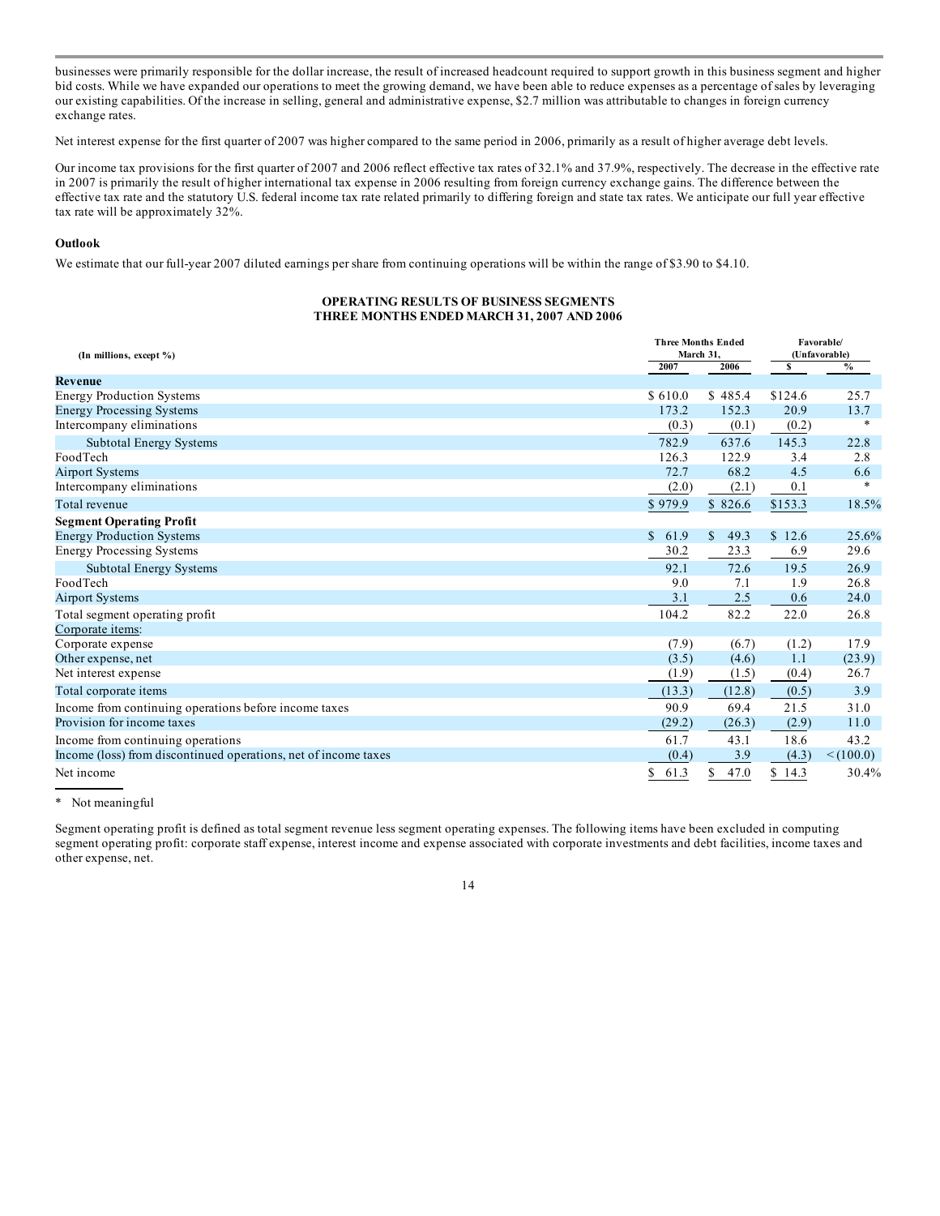businesses were primarily responsible for the dollar increase, the result of increased headcount required to support growth in this business segment and higher bid costs. While we have expanded our operations to meet the growing demand, we have been able to reduce expenses as a percentage of sales by leveraging our existing capabilities. Of the increase in selling, general and administrative expense, \$2.7 million was attributable to changes in foreign currency exchange rates.

Net interest expense for the first quarter of 2007 was higher compared to the same period in 2006, primarily as a result of higher average debt levels.

Our income tax provisions for the first quarter of 2007 and 2006 reflect effective tax rates of 32.1% and 37.9%, respectively. The decrease in the effective rate in 2007 is primarily the result of higher international tax expense in 2006 resulting from foreign currency exchange gains. The difference between the effective tax rate and the statutory U.S. federal income tax rate related primarily to differing foreign and state tax rates. We anticipate our full year effective tax rate will be approximately 32%.

#### **Outlook**

We estimate that our full-year 2007 diluted earnings per share from continuing operations will be within the range of \$3.90 to \$4.10.

#### **OPERATING RESULTS OF BUSINESS SEGMENTS THREE MONTHS ENDED MARCH 31, 2007 AND 2006**

| (In millions, except %)                                         |                      | <b>Three Months Ended</b><br>March 31, | Favorable/<br>(Unfavorable) |             |
|-----------------------------------------------------------------|----------------------|----------------------------------------|-----------------------------|-------------|
|                                                                 |                      | 2006                                   | s                           | $\%$        |
| Revenue                                                         |                      |                                        |                             |             |
| <b>Energy Production Systems</b>                                | \$610.0              | \$485.4                                | \$124.6                     | 25.7        |
| <b>Energy Processing Systems</b>                                | 173.2                | 152.3                                  | 20.9                        | 13.7        |
| Intercompany eliminations                                       | (0.3)                | (0.1)                                  | (0.2)                       | *           |
| Subtotal Energy Systems                                         | 782.9                | 637.6                                  | 145.3                       | 22.8        |
| FoodTech                                                        | 126.3                | 122.9                                  | 3.4                         | 2.8         |
| <b>Airport Systems</b>                                          | 72.7                 | 68.2                                   | 4.5                         | 6.6         |
| Intercompany eliminations                                       | (2.0)                | (2.1)                                  | 0.1                         |             |
| Total revenue                                                   | \$979.9              | \$826.6                                | \$153.3                     | 18.5%       |
| <b>Segment Operating Profit</b>                                 |                      |                                        |                             |             |
| <b>Energy Production Systems</b>                                | $\mathbb{S}$<br>61.9 | \$<br>49.3                             | \$12.6                      | 25.6%       |
| <b>Energy Processing Systems</b>                                | 30.2                 | 23.3                                   | 6.9                         | 29.6        |
| Subtotal Energy Systems                                         | 92.1                 | 72.6                                   | 19.5                        | 26.9        |
| FoodTech                                                        | 9.0                  | 7.1                                    | 1.9                         | 26.8        |
| <b>Airport Systems</b>                                          | 3.1                  | 2.5                                    | 0.6                         | 24.0        |
| Total segment operating profit                                  | 104.2                | 82.2                                   | 22.0                        | 26.8        |
| Corporate items:                                                |                      |                                        |                             |             |
| Corporate expense                                               | (7.9)                | (6.7)                                  | (1.2)                       | 17.9        |
| Other expense, net                                              | (3.5)                | (4.6)                                  | 1.1                         | (23.9)      |
| Net interest expense                                            | (1.9)                | (1.5)                                  | (0.4)                       | 26.7        |
| Total corporate items                                           | (13.3)               | (12.8)                                 | (0.5)                       | 3.9         |
| Income from continuing operations before income taxes           | 90.9                 | 69.4                                   | 21.5                        | 31.0        |
| Provision for income taxes                                      | (29.2)               | (26.3)                                 | (2.9)                       | 11.0        |
| Income from continuing operations                               | 61.7                 | 43.1                                   | 18.6                        | 43.2        |
| Income (loss) from discontinued operations, net of income taxes | (0.4)                | 3.9                                    | (4.3)                       | $<$ (100.0) |
| Net income                                                      | \$<br>61.3           | 47.0<br>\$                             | \$14.3                      | 30.4%       |

\* Not meaningful

Segment operating profit is defined as total segment revenue less segment operating expenses. The following items have been excluded in computing segment operating profit: corporate staff expense, interest income and expense associated with corporate investments and debt facilities, income taxes and other expense, net.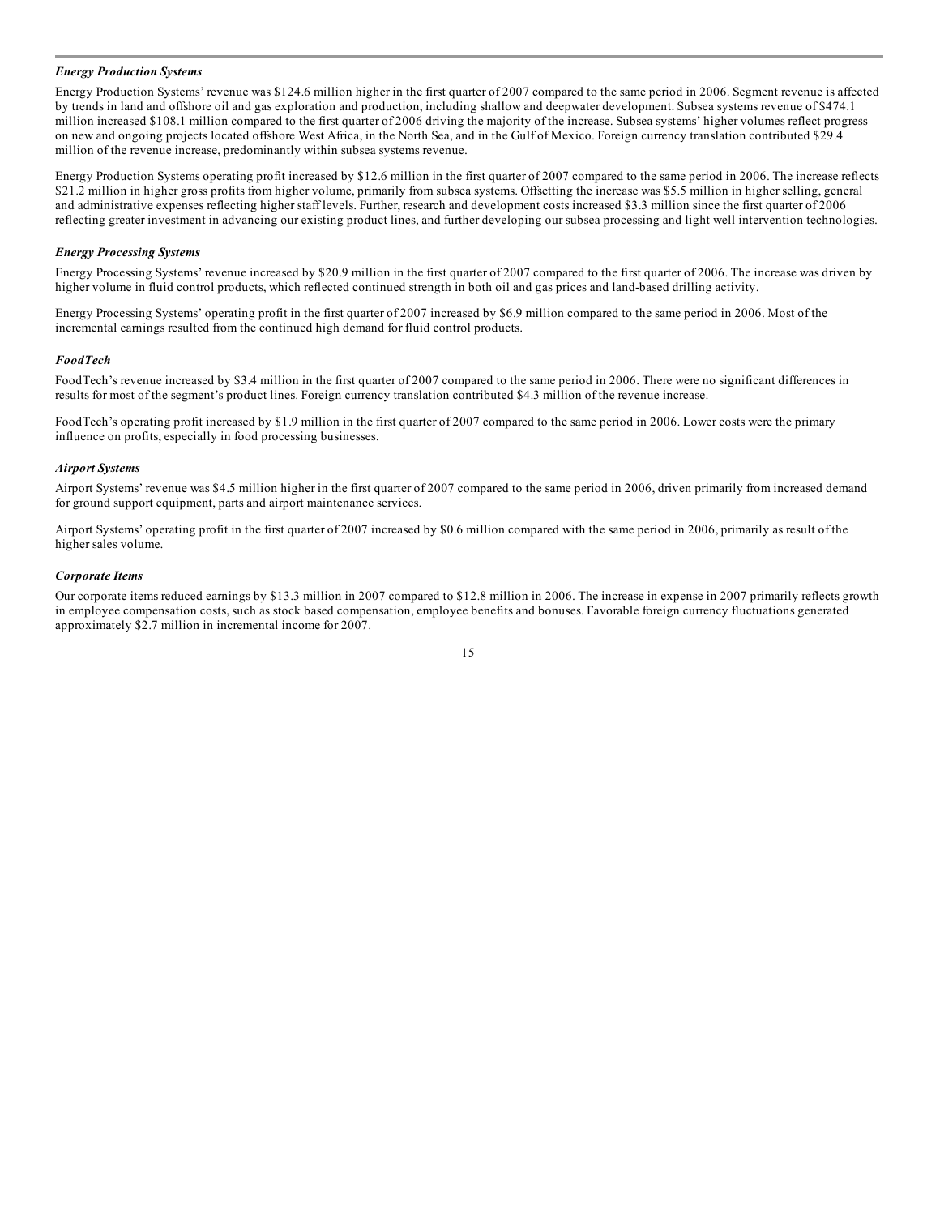#### *Energy Production Systems*

Energy Production Systems' revenue was \$124.6 million higher in the first quarter of 2007 compared to the same period in 2006. Segment revenue is affected by trends in land and offshore oil and gas exploration and production, including shallow and deepwater development. Subsea systems revenue of \$474.1 million increased \$108.1 million compared to the first quarter of 2006 driving the majority of the increase. Subsea systems' higher volumes reflect progress on new and ongoing projects located offshore West Africa, in the North Sea, and in the Gulf of Mexico. Foreign currency translation contributed \$29.4 million of the revenue increase, predominantly within subsea systems revenue.

Energy Production Systems operating profit increased by \$12.6 million in the first quarter of 2007 compared to the same period in 2006. The increase reflects \$21.2 million in higher gross profits from higher volume, primarily from subsea systems. Offsetting the increase was \$5.5 million in higher selling, general and administrative expenses reflecting higher staff levels. Further, research and development costs increased \$3.3 million since the first quarter of 2006 reflecting greater investment in advancing our existing product lines, and further developing our subsea processing and light well intervention technologies.

#### *Energy Processing Systems*

Energy Processing Systems' revenue increased by \$20.9 million in the first quarter of 2007 compared to the first quarter of 2006. The increase was driven by higher volume in fluid control products, which reflected continued strength in both oil and gas prices and land-based drilling activity.

Energy Processing Systems' operating profit in the first quarter of 2007 increased by \$6.9 million compared to the same period in 2006. Most of the incremental earnings resulted from the continued high demand for fluid control products.

#### *FoodTech*

FoodTech's revenue increased by \$3.4 million in the first quarter of 2007 compared to the same period in 2006. There were no significant differences in results for most of the segment's product lines. Foreign currency translation contributed \$4.3 million of the revenue increase.

FoodTech's operating profit increased by \$1.9 million in the first quarter of 2007 compared to the same period in 2006. Lower costs were the primary influence on profits, especially in food processing businesses.

#### *Airport Systems*

Airport Systems' revenue was \$4.5 million higher in the first quarter of 2007 compared to the same period in 2006, driven primarily from increased demand for ground support equipment, parts and airport maintenance services.

Airport Systems' operating profit in the first quarter of 2007 increased by \$0.6 million compared with the same period in 2006, primarily as result of the higher sales volume.

#### *Corporate Items*

Our corporate items reduced earnings by \$13.3 million in 2007 compared to \$12.8 million in 2006. The increase in expense in 2007 primarily reflects growth in employee compensation costs, such as stock based compensation, employee benefits and bonuses. Favorable foreign currency fluctuations generated approximately \$2.7 million in incremental income for 2007.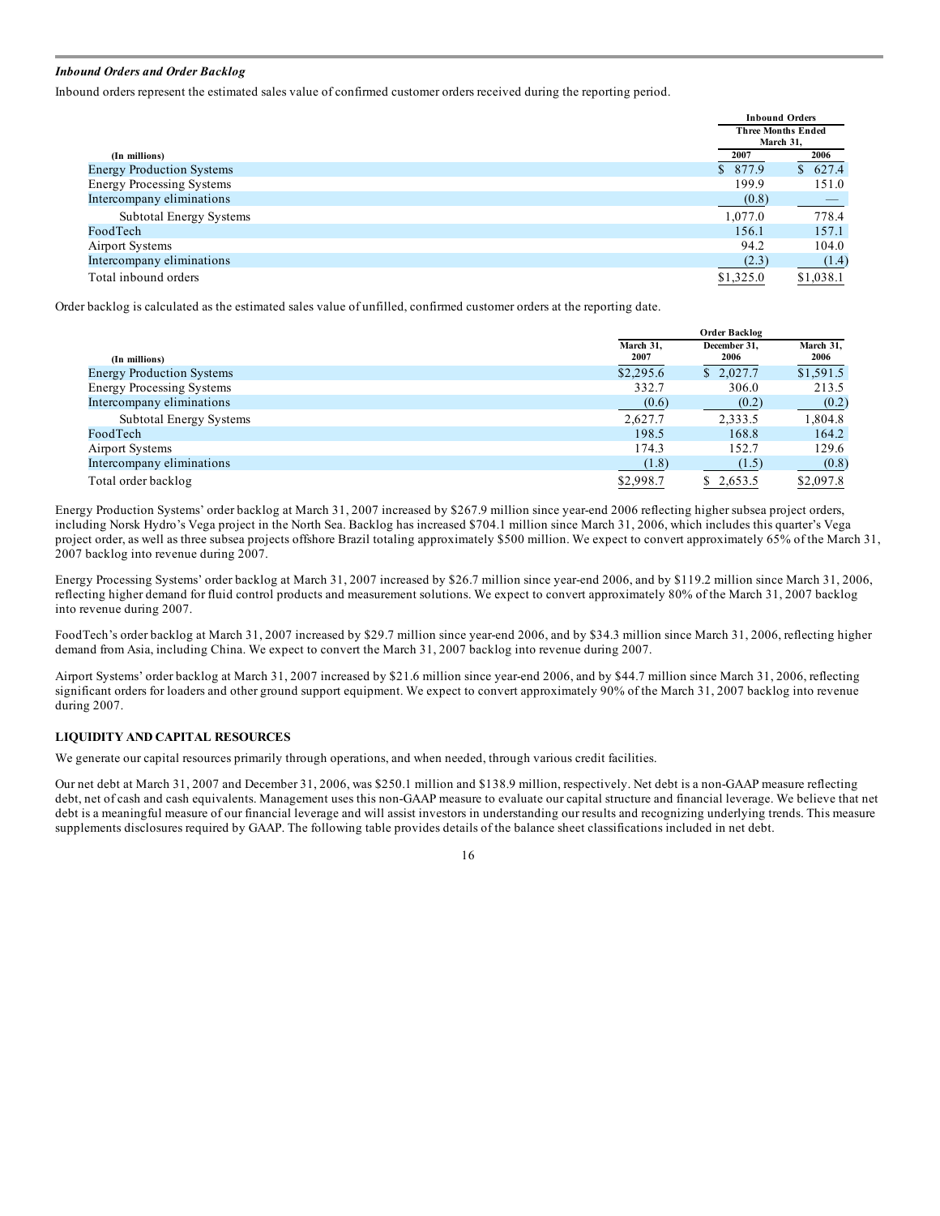#### *Inbound Orders and Order Backlog*

Inbound orders represent the estimated sales value of confirmed customer orders received during the reporting period.

|                                  |           | <b>Inbound Orders</b>     |
|----------------------------------|-----------|---------------------------|
|                                  |           | <b>Three Months Ended</b> |
|                                  |           | March 31.                 |
| (In millions)                    | 2007      | 2006                      |
| <b>Energy Production Systems</b> | \$ 877.9  | \$627.4                   |
| <b>Energy Processing Systems</b> | 199.9     | 151.0                     |
| Intercompany eliminations        | (0.8)     |                           |
| <b>Subtotal Energy Systems</b>   | 1,077.0   | 778.4                     |
| FoodTech                         | 156.1     | 157.1                     |
| Airport Systems                  | 94.2      | 104.0                     |
| Intercompany eliminations        | (2.3)     | (1.4)                     |
| Total inbound orders             | \$1,325.0 | \$1,038.1                 |

Order backlog is calculated as the estimated sales value of unfilled, confirmed customer orders at the reporting date.

|                                  |                   | <b>Order Backlog</b> |                   |  |
|----------------------------------|-------------------|----------------------|-------------------|--|
| (In millions)                    | March 31.<br>2007 | December 31.<br>2006 | March 31,<br>2006 |  |
| <b>Energy Production Systems</b> | \$2,295.6         | \$2.027.7            | \$1,591.5         |  |
| <b>Energy Processing Systems</b> | 332.7             | 306.0                | 213.5             |  |
| Intercompany eliminations        | (0.6)             | (0.2)                | (0.2)             |  |
| Subtotal Energy Systems          | 2.627.7           | 2,333.5              | 1,804.8           |  |
| FoodTech                         | 198.5             | 168.8                | 164.2             |  |
| Airport Systems                  | 174.3             | 152.7                | 129.6             |  |
| Intercompany eliminations        | (1.8)             | (1.5)                | (0.8)             |  |
| Total order backlog              | \$2,998.7         | \$2,653.5            | \$2,097.8         |  |

Energy Production Systems' order backlog at March 31, 2007 increased by \$267.9 million since year-end 2006 reflecting higher subsea project orders, including Norsk Hydro's Vega project in the North Sea. Backlog has increased \$704.1 million since March 31, 2006, which includes this quarter's Vega project order, as well as three subsea projects offshore Brazil totaling approximately \$500 million. We expect to convert approximately 65% of the March 31, 2007 backlog into revenue during 2007.

Energy Processing Systems' order backlog at March 31, 2007 increased by \$26.7 million since year-end 2006, and by \$119.2 million since March 31, 2006, reflecting higher demand for fluid control products and measurement solutions. We expect to convert approximately 80% of the March 31, 2007 backlog into revenue during 2007.

FoodTech's order backlog at March 31, 2007 increased by \$29.7 million since year-end 2006, and by \$34.3 million since March 31, 2006, reflecting higher demand from Asia, including China. We expect to convert the March 31, 2007 backlog into revenue during 2007.

Airport Systems' order backlog at March 31, 2007 increased by \$21.6 million since year-end 2006, and by \$44.7 million since March 31, 2006, reflecting significant orders for loaders and other ground support equipment. We expect to convert approximately 90% of the March 31, 2007 backlog into revenue during 2007.

#### **LIQUIDITY AND CAPITAL RESOURCES**

We generate our capital resources primarily through operations, and when needed, through various credit facilities.

Our net debt at March 31, 2007 and December 31, 2006, was \$250.1 million and \$138.9 million, respectively. Net debt is a non-GAAP measure reflecting debt, net of cash and cash equivalents. Management uses this non-GAAP measure to evaluate our capital structure and financial leverage. We believe that net debt is a meaningful measure of our financial leverage and will assist investors in understanding our results and recognizing underlying trends. This measure supplements disclosures required by GAAP. The following table provides details of the balance sheet classifications included in net debt.

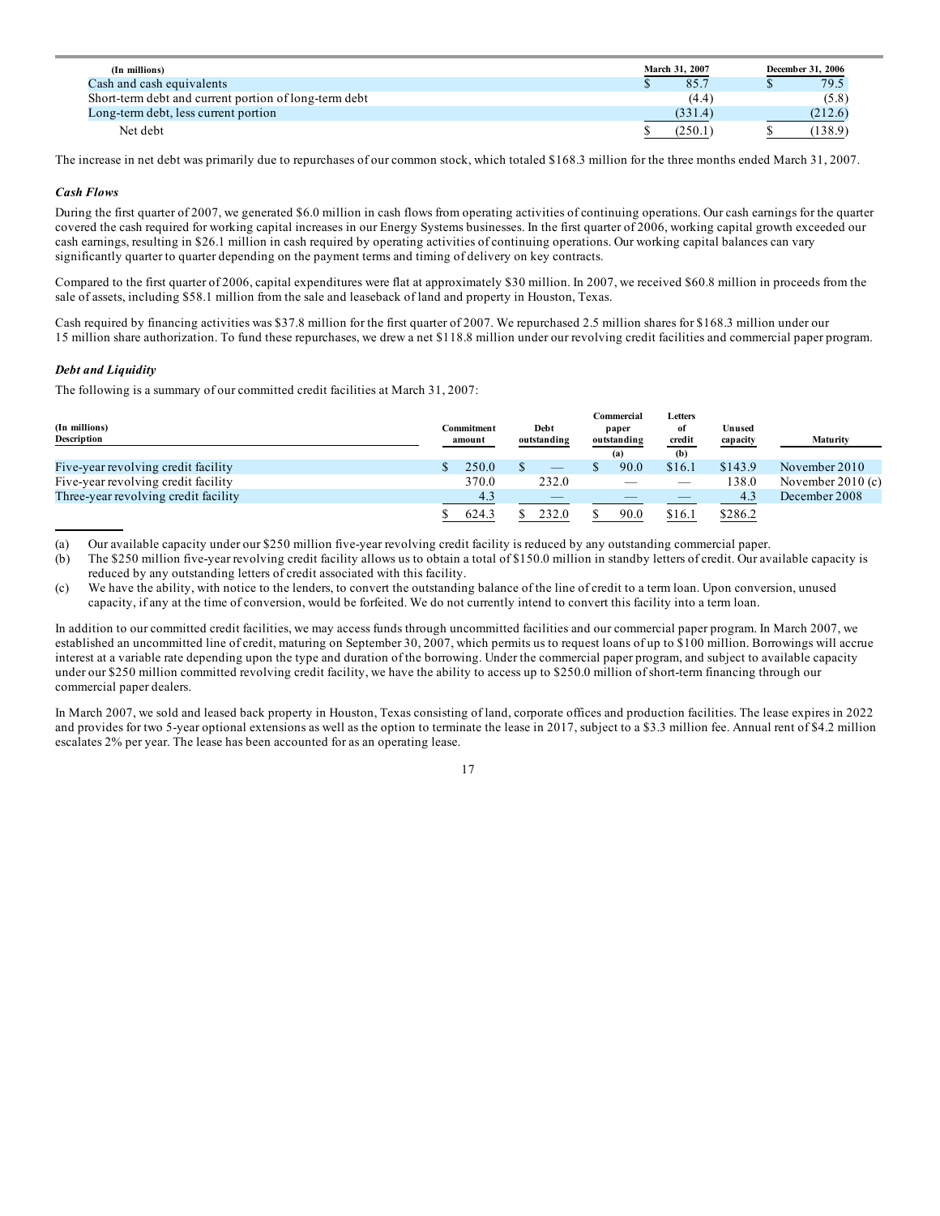| (In millions)                                         | March 31, 2007 | December 31, 2006 |         |
|-------------------------------------------------------|----------------|-------------------|---------|
| Cash and cash equivalents                             | 85.7           |                   | 79.5    |
| Short-term debt and current portion of long-term debt | (4.4)          |                   | (5.8)   |
| Long-term debt, less current portion                  | (331.4)        |                   | (212.6) |
| Net debt                                              | (250.1)        |                   | (138.9) |

The increase in net debt was primarily due to repurchases of our common stock, which totaled \$168.3 million for the three months ended March 31, 2007.

#### *Cash Flows*

During the first quarter of 2007, we generated \$6.0 million in cash flows from operating activities of continuing operations. Our cash earnings for the quarter covered the cash required for working capital increases in our Energy Systems businesses. In the first quarter of 2006, working capital growth exceeded our cash earnings, resulting in \$26.1 million in cash required by operating activities of continuing operations. Our working capital balances can vary significantly quarter to quarter depending on the payment terms and timing of delivery on key contracts.

Compared to the first quarter of 2006, capital expenditures were flat at approximately \$30 million. In 2007, we received \$60.8 million in proceeds from the sale of assets, including \$58.1 million from the sale and leaseback of land and property in Houston, Texas.

Cash required by financing activities was \$37.8 million for the first quarter of 2007. We repurchased 2.5 million shares for \$168.3 million under our 15 million share authorization. To fund these repurchases, we drew a net \$118.8 million under our revolving credit facilities and commercial paper program.

#### *Debt and Liquidity*

The following is a summary of our committed credit facilities at March 31, 2007:

| (In millions)<br>Description         | Commitment<br>amount | Debt<br>outstanding | Commercial<br>paper<br>outstanding<br>(a) | Letters<br>of<br>credit<br>(b) | Unused<br>capacity | Maturity           |
|--------------------------------------|----------------------|---------------------|-------------------------------------------|--------------------------------|--------------------|--------------------|
| Five-year revolving credit facility  | 250.0                |                     | 90.0                                      | \$16.1                         | \$143.9            | November $2010$    |
| Five-year revolving credit facility  | 370.0                | 232.0               |                                           |                                | 138.0              | November $2010(c)$ |
| Three-year revolving credit facility | 4.3                  |                     |                                           |                                | 4.3                | December 2008      |
|                                      | 624.3                | 232.0               | 90.0                                      | \$16.1                         | \$286.2            |                    |

(a) Our available capacity under our \$250 million five-year revolving credit facility is reduced by any outstanding commercial paper.

(b) The \$250 million five-year revolving credit facility allows us to obtain a total of \$150.0 million in standby letters of credit. Our available capacity is reduced by any outstanding letters of credit associated with this facility.

(c) We have the ability, with notice to the lenders, to convert the outstanding balance of the line of credit to a term loan. Upon conversion, unused capacity, if any at the time of conversion, would be forfeited. We do not currently intend to convert this facility into a term loan.

In addition to our committed credit facilities, we may access funds through uncommitted facilities and our commercial paper program. In March 2007, we established an uncommitted line of credit, maturing on September 30, 2007, which permits us to request loans of up to \$100 million. Borrowings will accrue interest at a variable rate depending upon the type and duration of the borrowing. Under the commercial paper program, and subject to available capacity under our \$250 million committed revolving credit facility, we have the ability to access up to \$250.0 million of short-term financing through our commercial paper dealers.

In March 2007, we sold and leased back property in Houston, Texas consisting of land, corporate offices and production facilities. The lease expires in 2022 and provides for two 5-year optional extensions as well as the option to terminate the lease in 2017, subject to a \$3.3 million fee. Annual rent of \$4.2 million escalates 2% per year. The lease has been accounted for as an operating lease.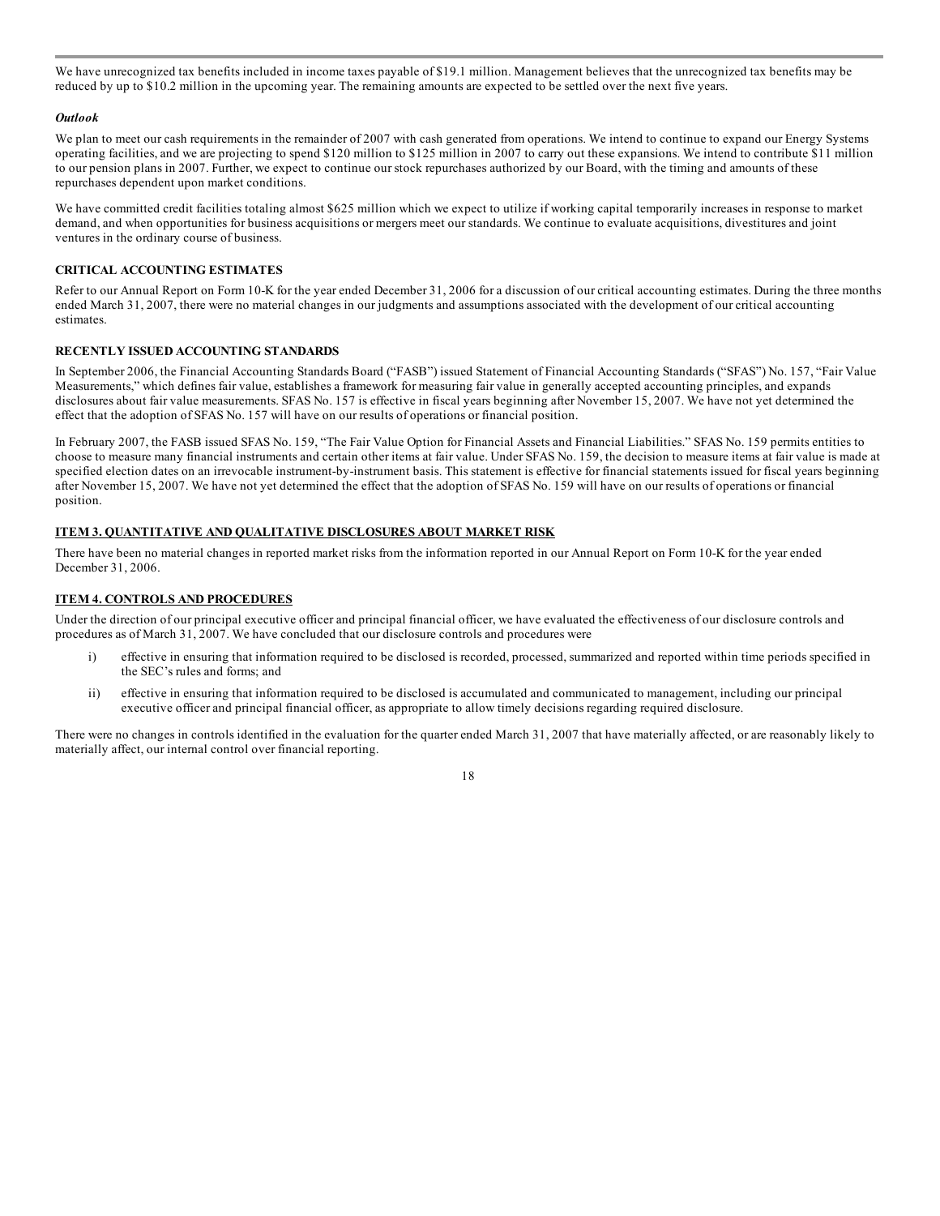We have unrecognized tax benefits included in income taxes payable of \$19.1 million. Management believes that the unrecognized tax benefits may be reduced by up to \$10.2 million in the upcoming year. The remaining amounts are expected to be settled over the next five years.

#### *Outlook*

We plan to meet our cash requirements in the remainder of 2007 with cash generated from operations. We intend to continue to expand our Energy Systems operating facilities, and we are projecting to spend \$120 million to \$125 million in 2007 to carry out these expansions. We intend to contribute \$11 million to our pension plans in 2007. Further, we expect to continue our stock repurchases authorized by our Board, with the timing and amounts of these repurchases dependent upon market conditions.

We have committed credit facilities totaling almost \$625 million which we expect to utilize if working capital temporarily increases in response to market demand, and when opportunities for business acquisitions or mergers meet our standards. We continue to evaluate acquisitions, divestitures and joint ventures in the ordinary course of business.

#### **CRITICAL ACCOUNTING ESTIMATES**

Refer to our Annual Report on Form 10-K for the year ended December 31, 2006 for a discussion of our critical accounting estimates. During the three months ended March 31, 2007, there were no material changes in our judgments and assumptions associated with the development of our critical accounting estimates.

#### **RECENTLY ISSUED ACCOUNTING STANDARDS**

In September 2006, the Financial Accounting Standards Board ("FASB") issued Statement of Financial Accounting Standards ("SFAS") No. 157, "Fair Value Measurements," which defines fair value, establishes a framework for measuring fair value in generally accepted accounting principles, and expands disclosures about fair value measurements. SFAS No. 157 is effective in fiscal years beginning after November 15, 2007. We have not yet determined the effect that the adoption of SFAS No. 157 will have on our results of operations or financial position.

In February 2007, the FASB issued SFAS No. 159, "The Fair Value Option for Financial Assets and Financial Liabilities." SFAS No. 159 permits entities to choose to measure many financial instruments and certain other items at fair value. Under SFAS No. 159, the decision to measure items at fair value is made at specified election dates on an irrevocable instrument-by-instrument basis. This statement is effective for financial statements issued for fiscal years beginning after November 15, 2007. We have not yet determined the effect that the adoption of SFAS No. 159 will have on our results of operations or financial position.

#### **ITEM 3. QUANTITATIVE AND QUALITATIVE DISCLOSURES ABOUT MARKET RISK**

There have been no material changes in reported market risks from the information reported in our Annual Report on Form 10-K for the year ended December 31, 2006.

#### **ITEM 4. CONTROLS AND PROCEDURES**

Under the direction of our principal executive officer and principal financial officer, we have evaluated the effectiveness of our disclosure controls and procedures as of March 31, 2007. We have concluded that our disclosure controls and procedures were

- i) effective in ensuring that information required to be disclosed is recorded, processed, summarized and reported within time periods specified in the SEC's rules and forms; and
- ii) effective in ensuring that information required to be disclosed is accumulated and communicated to management, including our principal executive officer and principal financial officer, as appropriate to allow timely decisions regarding required disclosure.

There were no changes in controls identified in the evaluation for the quarter ended March 31, 2007 that have materially affected, or are reasonably likely to materially affect, our internal control over financial reporting.

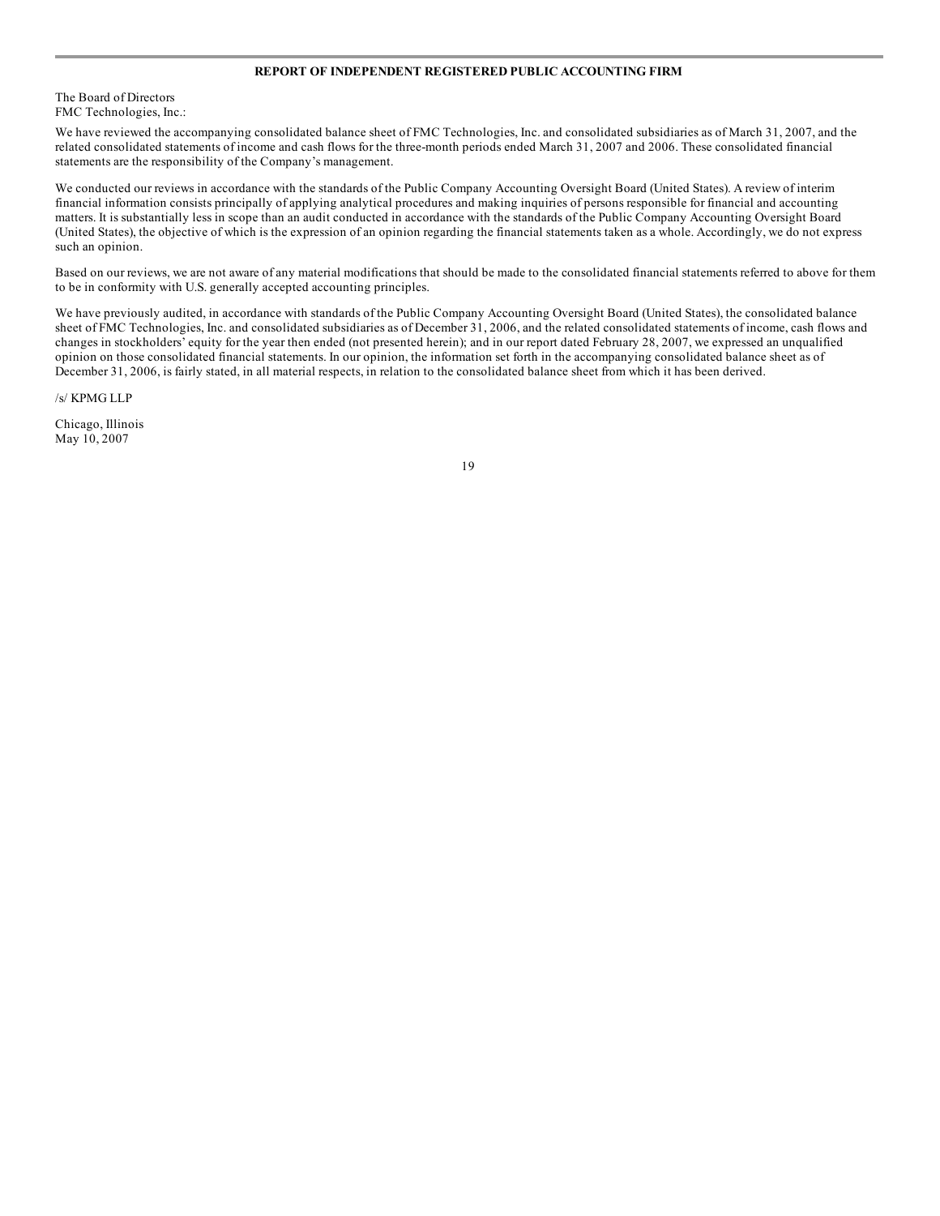#### **REPORT OF INDEPENDENT REGISTERED PUBLIC ACCOUNTING FIRM**

#### The Board of Directors FMC Technologies, Inc.:

We have reviewed the accompanying consolidated balance sheet of FMC Technologies, Inc. and consolidated subsidiaries as of March 31, 2007, and the related consolidated statements of income and cash flows for the three-month periods ended March 31, 2007 and 2006. These consolidated financial statements are the responsibility of the Company's management.

We conducted our reviews in accordance with the standards of the Public Company Accounting Oversight Board (United States). A review of interim financial information consists principally of applying analytical procedures and making inquiries of persons responsible for financial and accounting matters. It is substantially less in scope than an audit conducted in accordance with the standards of the Public Company Accounting Oversight Board (United States), the objective of which is the expression of an opinion regarding the financial statements taken as a whole. Accordingly, we do not express such an opinion.

Based on our reviews, we are not aware of any material modifications that should be made to the consolidated financial statements referred to above for them to be in conformity with U.S. generally accepted accounting principles.

We have previously audited, in accordance with standards of the Public Company Accounting Oversight Board (United States), the consolidated balance sheet of FMC Technologies, Inc. and consolidated subsidiaries as of December 31, 2006, and the related consolidated statements of income, cash flows and changes in stockholders' equity for the year then ended (not presented herein); and in our report dated February 28, 2007, we expressed an unqualified opinion on those consolidated financial statements. In our opinion, the information set forth in the accompanying consolidated balance sheet as of December 31, 2006, is fairly stated, in all material respects, in relation to the consolidated balance sheet from which it has been derived.

/s/ KPMG LLP

Chicago, Illinois May 10, 2007

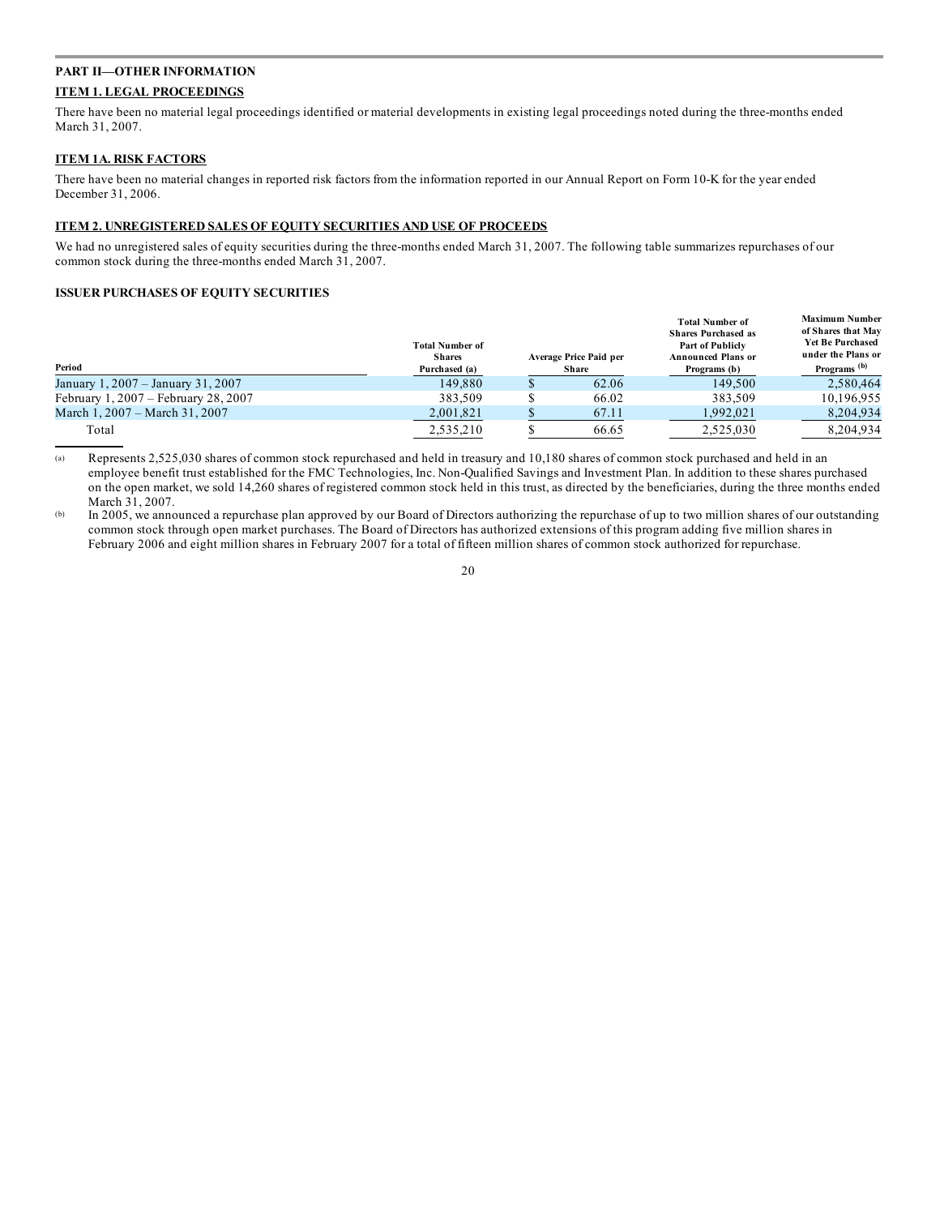#### **PART II—OTHER INFORMATION ITEM 1. LEGAL PROCEEDINGS**

There have been no material legal proceedings identified or material developments in existing legal proceedings noted during the three-months ended March 31, 2007.

#### **ITEM 1A. RISK FACTORS**

There have been no material changes in reported risk factors from the information reported in our Annual Report on Form 10-K for the year ended December 31, 2006.

#### **ITEM 2. UNREGISTERED SALES OF EQUITY SECURITIES AND USE OF PROCEEDS**

We had no unregistered sales of equity securities during the three-months ended March 31, 2007. The following table summarizes repurchases of our common stock during the three-months ended March 31, 2007.

#### **ISSUER PURCHASES OF EQUITY SECURITIES**

| Period                                   | <b>Total Number of</b><br><b>Shares</b><br>Purchased (a) | Average Price Paid per<br>Share | <b>Total Number of</b><br><b>Shares Purchased as</b><br><b>Part of Publicly</b><br><b>Announced Plans or</b><br>Programs (b) | <b>Maximum Number</b><br>of Shares that May<br><b>Yet Be Purchased</b><br>under the Plans or<br>Programs <sup>(b)</sup> |
|------------------------------------------|----------------------------------------------------------|---------------------------------|------------------------------------------------------------------------------------------------------------------------------|-------------------------------------------------------------------------------------------------------------------------|
| January 1, 2007 – January 31, 2007       | 149.880                                                  | 62.06                           | 149,500                                                                                                                      | 2.580.464                                                                                                               |
| February 1, $2007$ – February 28, $2007$ | 383.509                                                  | 66.02                           | 383.509                                                                                                                      | 10,196,955                                                                                                              |
| March 1, 2007 – March 31, 2007           | 2,001,821                                                | 67.11                           | 1.992.021                                                                                                                    | 8.204.934                                                                                                               |
| Total                                    | 2,535,210                                                | 66.65                           | 2,525,030                                                                                                                    | 8.204.934                                                                                                               |

(a) Represents 2,525,030 shares of common stock repurchased and held in treasury and 10,180 shares of common stock purchased and held in an employee benefit trust established for the FMC Technologies, Inc. Non-Qualified Savings and Investment Plan. In addition to these shares purchased on the open market, we sold 14,260 shares of registered common stock held in this trust, as directed by the beneficiaries, during the three months ended March 31, 2007.

(b) In 2005, we announced a repurchase plan approved by our Board of Directors authorizing the repurchase of up to two million shares of our outstanding common stock through open market purchases. The Board of Directors has authorized extensions of this program adding five million shares in February 2006 and eight million shares in February 2007 for a total of fifteen million shares of common stock authorized for repurchase.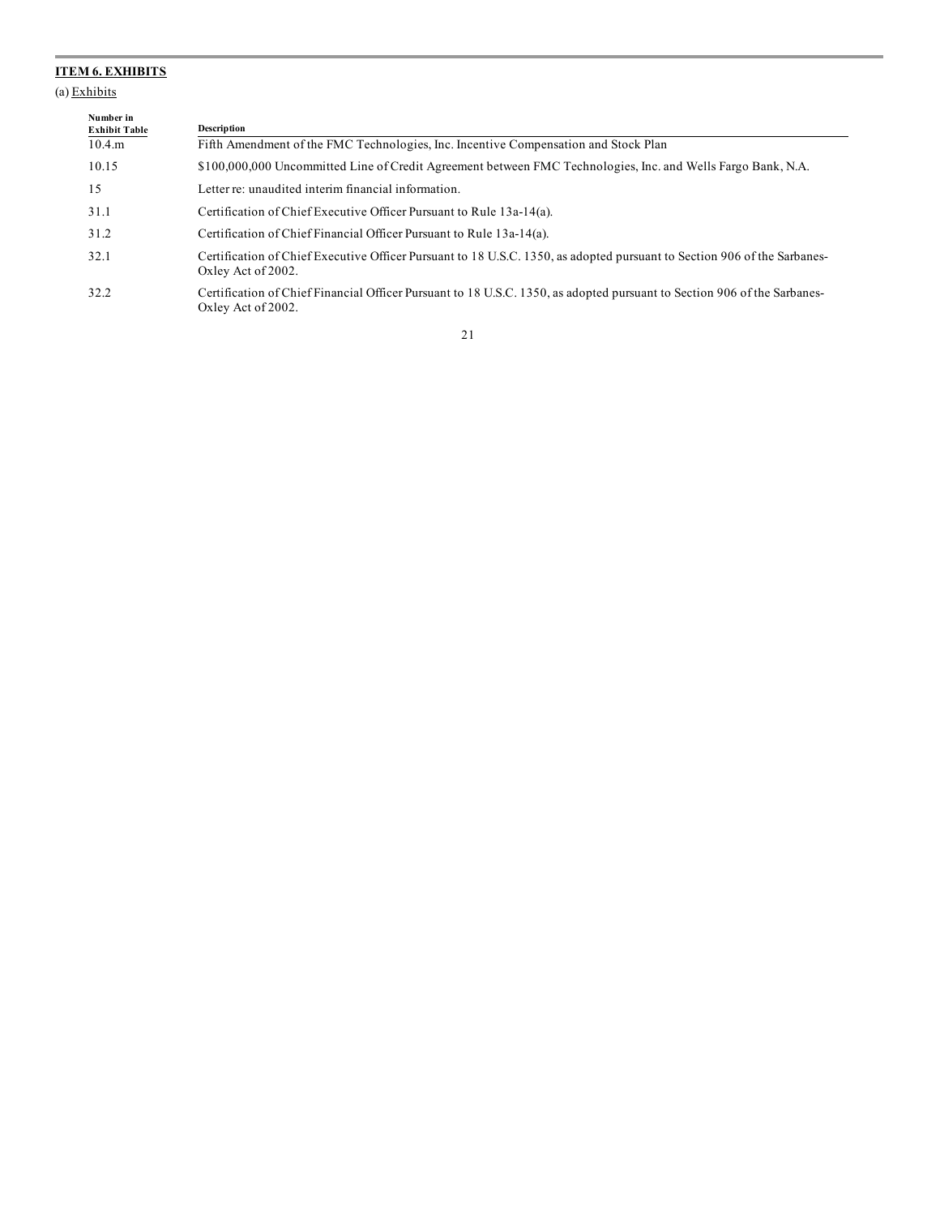### **ITEM 6. EXHIBITS**

(a) Exhibits

| з. | талинглия |  |  |
|----|-----------|--|--|
|    |           |  |  |
|    |           |  |  |

| Number in<br><b>Exhibit Table</b> | <b>Description</b>                                                                                                                             |
|-----------------------------------|------------------------------------------------------------------------------------------------------------------------------------------------|
| $10.4 \text{ m}$                  | Fifth Amendment of the FMC Technologies, Inc. Incentive Compensation and Stock Plan                                                            |
| 10.15                             | \$100,000,000 Uncommitted Line of Credit Agreement between FMC Technologies, Inc. and Wells Fargo Bank, N.A.                                   |
| 15                                | Letter re: unaudited interim financial information.                                                                                            |
| 31.1                              | Certification of Chief Executive Officer Pursuant to Rule 13a-14(a).                                                                           |
| 31.2                              | Certification of Chief Financial Officer Pursuant to Rule 13a-14(a).                                                                           |
| 32.1                              | Certification of Chief Executive Officer Pursuant to 18 U.S.C. 1350, as adopted pursuant to Section 906 of the Sarbanes-<br>Oxley Act of 2002. |
| 32.2                              | Certification of Chief Financial Officer Pursuant to 18 U.S.C. 1350, as adopted pursuant to Section 906 of the Sarbanes-<br>Oxley Act of 2002. |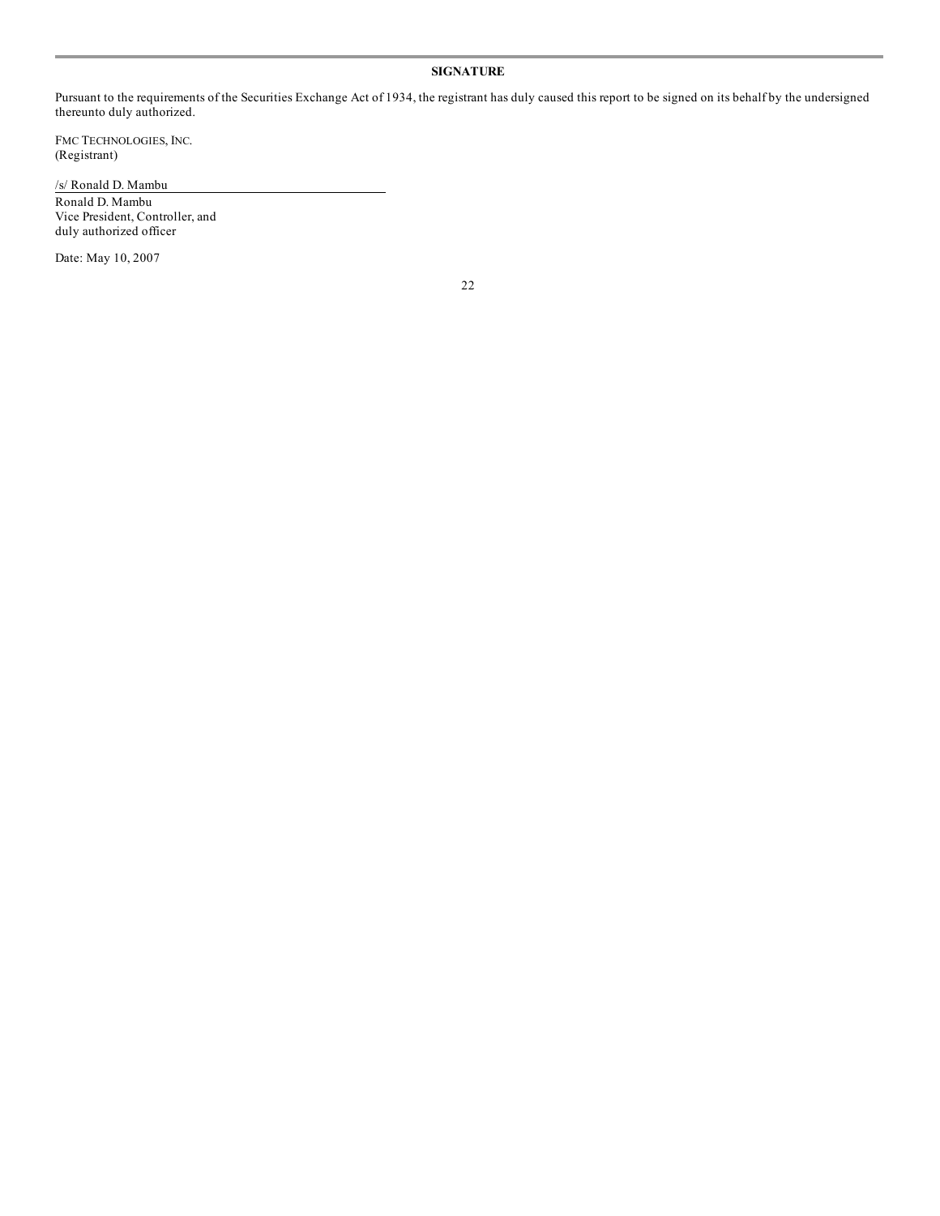#### **SIGNATURE**

Pursuant to the requirements of the Securities Exchange Act of 1934, the registrant has duly caused this report to be signed on its behalf by the undersigned thereunto duly authorized.

FMC TECHNOLOGIES, INC. (Registrant)

/s/ Ronald D. Mambu

Ronald D. Mambu Vice President, Controller, and duly authorized officer

Date: May 10, 2007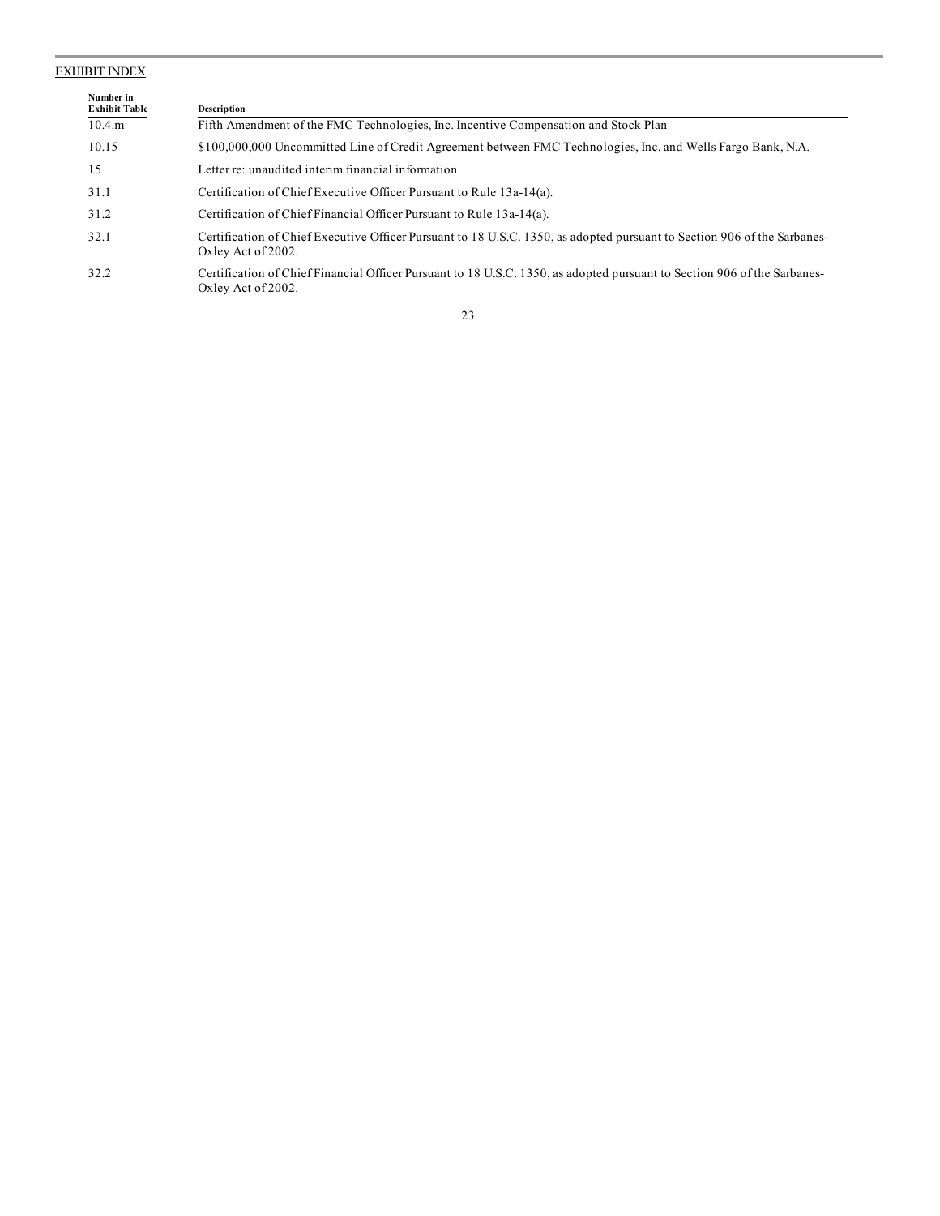#### EXHIBIT INDEX

| Number in<br><b>Exhibit Table</b> | <b>Description</b>                                                                                                                             |
|-----------------------------------|------------------------------------------------------------------------------------------------------------------------------------------------|
| $10.4 \text{ m}$                  | Fifth Amendment of the FMC Technologies, Inc. Incentive Compensation and Stock Plan                                                            |
| 10.15                             | \$100,000,000 Uncommitted Line of Credit Agreement between FMC Technologies, Inc. and Wells Fargo Bank, N.A.                                   |
| 15                                | Letter re: unaudited interim financial information.                                                                                            |
| 31.1                              | Certification of Chief Executive Officer Pursuant to Rule 13a-14(a).                                                                           |
| 31.2                              | Certification of Chief Financial Officer Pursuant to Rule 13a-14(a).                                                                           |
| 32.1                              | Certification of Chief Executive Officer Pursuant to 18 U.S.C. 1350, as adopted pursuant to Section 906 of the Sarbanes-<br>Oxley Act of 2002. |
| 32.2                              | Certification of Chief Financial Officer Pursuant to 18 U.S.C. 1350, as adopted pursuant to Section 906 of the Sarbanes-<br>Oxley Act of 2002. |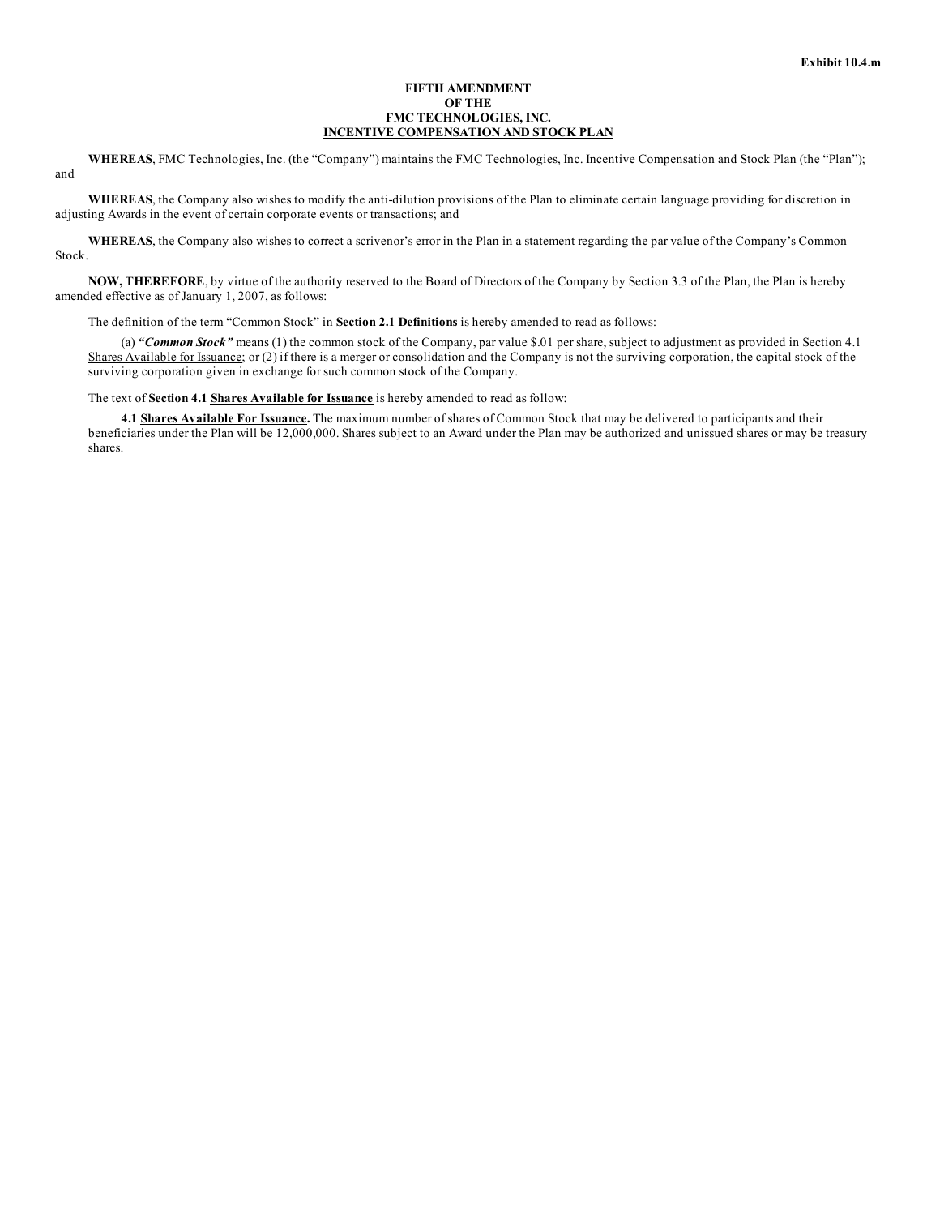#### **FIFTH AMENDMENT OF THE FMC TECHNOLOGIES, INC. INCENTIVE COMPENSATION AND STOCK PLAN**

**WHEREAS**, FMC Technologies, Inc. (the "Company") maintains the FMC Technologies, Inc. Incentive Compensation and Stock Plan (the "Plan"); and

**WHEREAS**, the Company also wishes to modify the anti-dilution provisions of the Plan to eliminate certain language providing for discretion in adjusting Awards in the event of certain corporate events or transactions; and

**WHEREAS**, the Company also wishes to correct a scrivenor's error in the Plan in a statement regarding the par value of the Company's Common Stock.

**NOW, THEREFORE**, by virtue of the authority reserved to the Board of Directors of the Company by Section 3.3 of the Plan, the Plan is hereby amended effective as of January 1, 2007, as follows:

The definition of the term "Common Stock" in **Section 2.1 Definitions** is hereby amended to read as follows:

(a) *"Common Stock"* means (1) the common stock of the Company, par value \$.01 per share, subject to adjustment as provided in Section 4.1 Shares Available for Issuance; or (2) if there is a merger or consolidation and the Company is not the surviving corporation, the capital stock of the surviving corporation given in exchange for such common stock of the Company.

The text of **Section 4.1 Shares Available for Issuance** is hereby amended to read as follow:

**4.1 Shares Available For Issuance.** The maximum number of shares of Common Stock that may be delivered to participants and their beneficiaries under the Plan will be 12,000,000. Shares subject to an Award under the Plan may be authorized and unissued shares or may be treasury shares.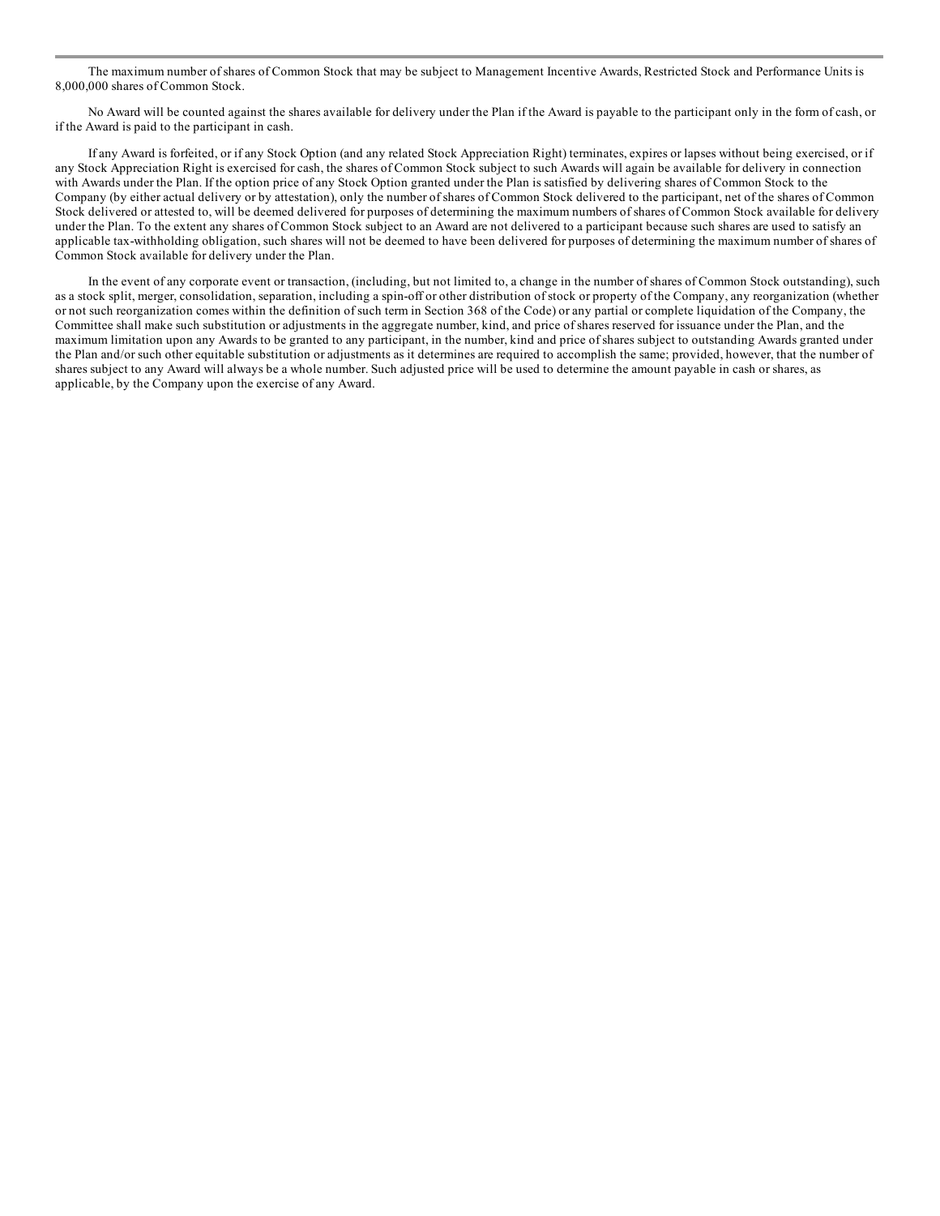The maximum number of shares of Common Stock that may be subject to Management Incentive Awards, Restricted Stock and Performance Units is 8,000,000 shares of Common Stock.

No Award will be counted against the shares available for delivery under the Plan if the Award is payable to the participant only in the form of cash, or if the Award is paid to the participant in cash.

If any Award is forfeited, or if any Stock Option (and any related Stock Appreciation Right) terminates, expires or lapses without being exercised, or if any Stock Appreciation Right is exercised for cash, the shares of Common Stock subject to such Awards will again be available for delivery in connection with Awards under the Plan. If the option price of any Stock Option granted under the Plan is satisfied by delivering shares of Common Stock to the Company (by either actual delivery or by attestation), only the number of shares of Common Stock delivered to the participant, net of the shares of Common Stock delivered or attested to, will be deemed delivered for purposes of determining the maximum numbers of shares of Common Stock available for delivery under the Plan. To the extent any shares of Common Stock subject to an Award are not delivered to a participant because such shares are used to satisfy an applicable tax-withholding obligation, such shares will not be deemed to have been delivered for purposes of determining the maximum number of shares of Common Stock available for delivery under the Plan.

In the event of any corporate event or transaction, (including, but not limited to, a change in the number of shares of Common Stock outstanding), such as a stock split, merger, consolidation, separation, including a spin-off or other distribution of stock or property of the Company, any reorganization (whether or not such reorganization comes within the definition of such term in Section 368 of the Code) or any partial or complete liquidation of the Company, the Committee shall make such substitution or adjustments in the aggregate number, kind, and price of shares reserved for issuance under the Plan, and the maximum limitation upon any Awards to be granted to any participant, in the number, kind and price of shares subject to outstanding Awards granted under the Plan and/or such other equitable substitution or adjustments as it determines are required to accomplish the same; provided, however, that the number of shares subject to any Award will always be a whole number. Such adjusted price will be used to determine the amount payable in cash or shares, as applicable, by the Company upon the exercise of any Award.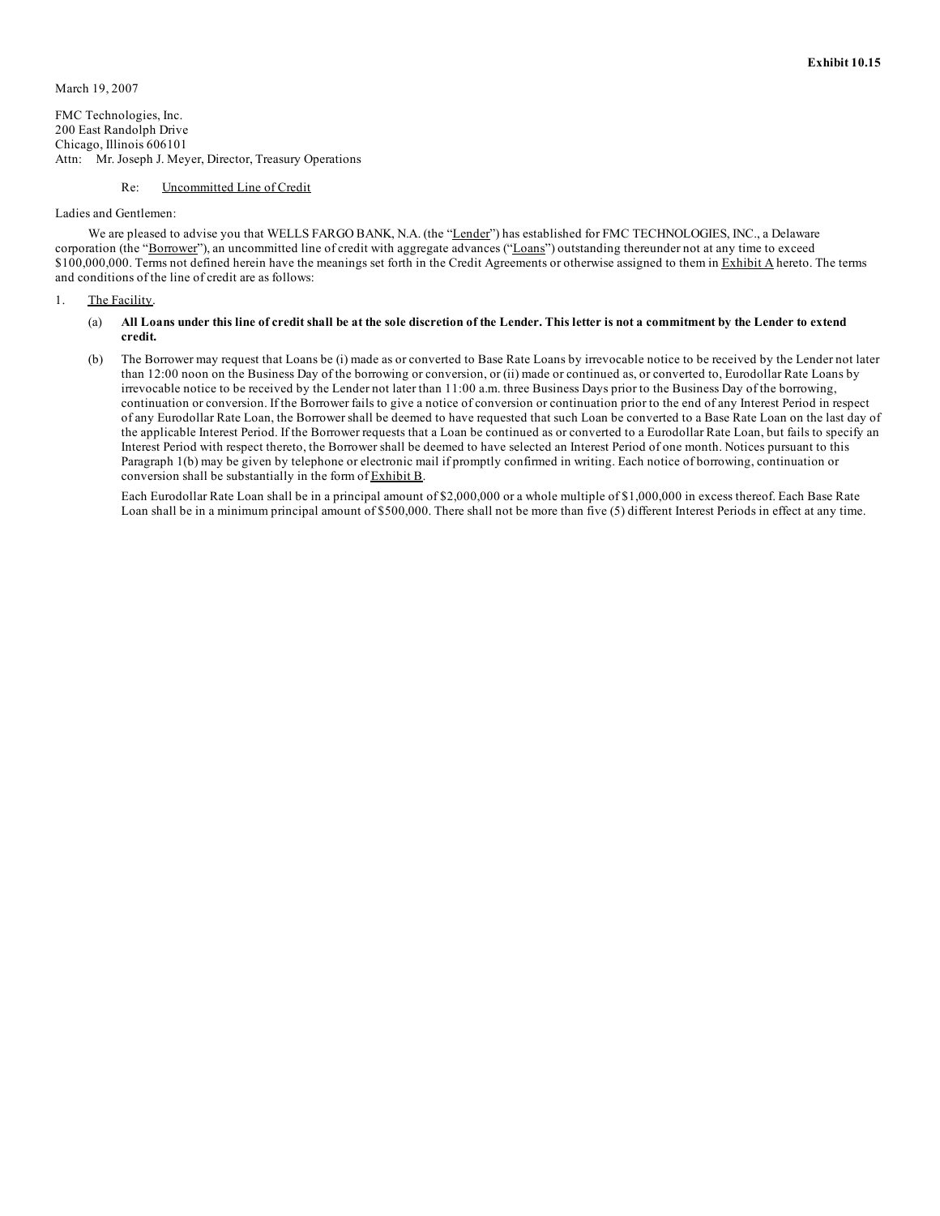FMC Technologies, Inc. 200 East Randolph Drive Chicago, Illinois 606101 Attn: Mr. Joseph J. Meyer, Director, Treasury Operations

#### Re: Uncommitted Line of Credit

#### Ladies and Gentlemen:

We are pleased to advise you that WELLS FARGO BANK, N.A. (the "Lender") has established for FMC TECHNOLOGIES, INC., a Delaware corporation (the "Borrower"), an uncommitted line of credit with aggregate advances ("Loans") outstanding thereunder not at any time to exceed \$100,000,000. Terms not defined herein have the meanings set forth in the Credit Agreements or otherwise assigned to them in Exhibit A hereto. The terms and conditions of the line of credit are as follows:

1. The Facility.

#### (a) All Loans under this line of credit shall be at the sole discretion of the Lender. This letter is not a commitment by the Lender to extend **credit.**

(b) The Borrower may request that Loans be (i) made as or converted to Base Rate Loans by irrevocable notice to be received by the Lender not later than 12:00 noon on the Business Day of the borrowing or conversion, or (ii) made or continued as, or converted to, Eurodollar Rate Loans by irrevocable notice to be received by the Lender not later than 11:00 a.m. three Business Days prior to the Business Day of the borrowing, continuation or conversion. If the Borrower fails to give a notice of conversion or continuation prior to the end of any Interest Period in respect of any Eurodollar Rate Loan, the Borrower shall be deemed to have requested that such Loan be converted to a Base Rate Loan on the last day of the applicable Interest Period. If the Borrower requests that a Loan be continued as or converted to a Eurodollar Rate Loan, but fails to specify an Interest Period with respect thereto, the Borrower shall be deemed to have selected an Interest Period of one month. Notices pursuant to this Paragraph 1(b) may be given by telephone or electronic mail if promptly confirmed in writing. Each notice of borrowing, continuation or conversion shall be substantially in the form of Exhibit B.

Each Eurodollar Rate Loan shall be in a principal amount of \$2,000,000 or a whole multiple of \$1,000,000 in excess thereof. Each Base Rate Loan shall be in a minimum principal amount of \$500,000. There shall not be more than five (5) different Interest Periods in effect at any time.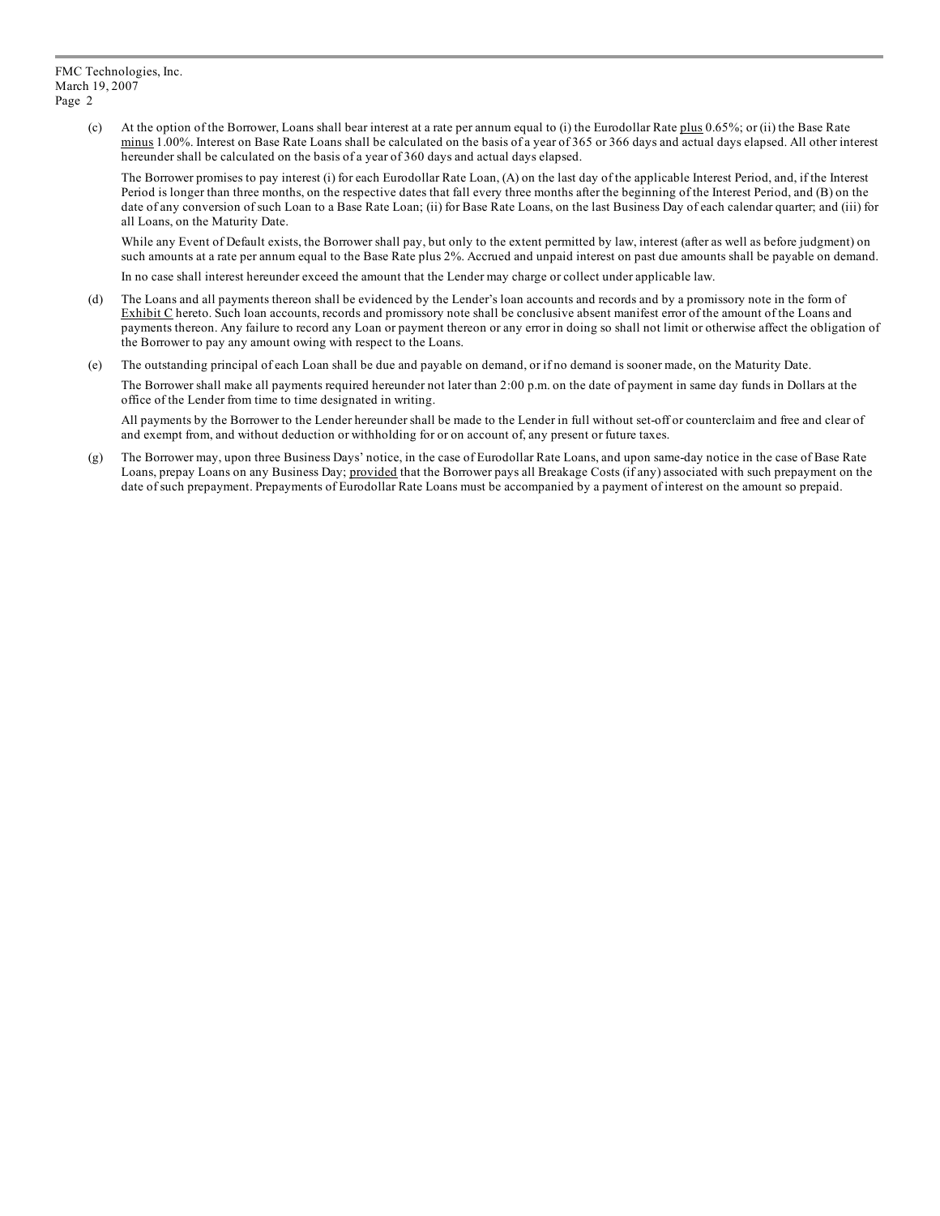(c) At the option of the Borrower, Loans shall bear interest at a rate per annum equal to (i) the Eurodollar Rate plus 0.65%; or (ii) the Base Rate minus 1.00%. Interest on Base Rate Loans shall be calculated on the basis of a year of 365 or 366 days and actual days elapsed. All other interest hereunder shall be calculated on the basis of a year of 360 days and actual days elapsed.

The Borrower promises to pay interest (i) for each Eurodollar Rate Loan, (A) on the last day of the applicable Interest Period, and, if the Interest Period is longer than three months, on the respective dates that fall every three months after the beginning of the Interest Period, and (B) on the date of any conversion of such Loan to a Base Rate Loan; (ii) for Base Rate Loans, on the last Business Day of each calendar quarter; and (iii) for all Loans, on the Maturity Date.

While any Event of Default exists, the Borrower shall pay, but only to the extent permitted by law, interest (after as well as before judgment) on such amounts at a rate per annum equal to the Base Rate plus 2%. Accrued and unpaid interest on past due amounts shall be payable on demand.

In no case shall interest hereunder exceed the amount that the Lender may charge or collect under applicable law.

- (d) The Loans and all payments thereon shall be evidenced by the Lender's loan accounts and records and by a promissory note in the form of Exhibit C hereto. Such loan accounts, records and promissory note shall be conclusive absent manifest error of the amount of the Loans and payments thereon. Any failure to record any Loan or payment thereon or any error in doing so shall not limit or otherwise affect the obligation of the Borrower to pay any amount owing with respect to the Loans.
- (e) The outstanding principal of each Loan shall be due and payable on demand, or if no demand is sooner made, on the Maturity Date.

The Borrower shall make all payments required hereunder not later than 2:00 p.m. on the date of payment in same day funds in Dollars at the office of the Lender from time to time designated in writing.

All payments by the Borrower to the Lender hereunder shall be made to the Lender in full without set-off or counterclaim and free and clear of and exempt from, and without deduction or withholding for or on account of, any present or future taxes.

(g) The Borrower may, upon three Business Days' notice, in the case of Eurodollar Rate Loans, and upon same-day notice in the case of Base Rate Loans, prepay Loans on any Business Day; provided that the Borrower pays all Breakage Costs (if any) associated with such prepayment on the date of such prepayment. Prepayments of Eurodollar Rate Loans must be accompanied by a payment of interest on the amount so prepaid.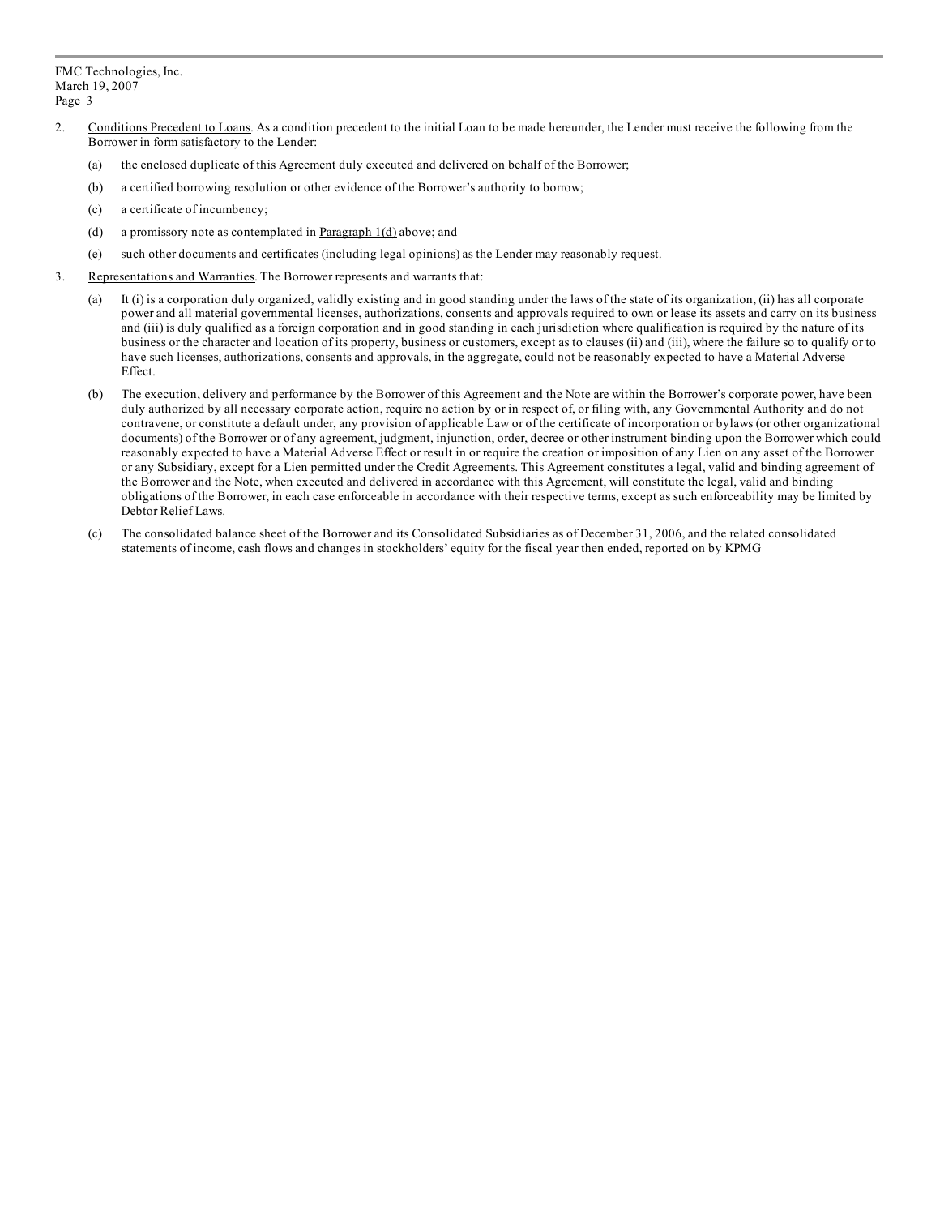- 2. Conditions Precedent to Loans. As a condition precedent to the initial Loan to be made hereunder, the Lender must receive the following from the Borrower in form satisfactory to the Lender:
	- (a) the enclosed duplicate of this Agreement duly executed and delivered on behalf of the Borrower;
	- (b) a certified borrowing resolution or other evidence of the Borrower's authority to borrow;
	- (c) a certificate of incumbency;
	- (d) a promissory note as contemplated in Paragraph 1(d) above; and
	- (e) such other documents and certificates (including legal opinions) as the Lender may reasonably request.
- 3. Representations and Warranties. The Borrower represents and warrants that:
	- (a) It (i) is a corporation duly organized, validly existing and in good standing under the laws of the state of its organization, (ii) has all corporate power and all material governmental licenses, authorizations, consents and approvals required to own or lease its assets and carry on its business and (iii) is duly qualified as a foreign corporation and in good standing in each jurisdiction where qualification is required by the nature of its business or the character and location of its property, business or customers, except as to clauses (ii) and (iii), where the failure so to qualify or to have such licenses, authorizations, consents and approvals, in the aggregate, could not be reasonably expected to have a Material Adverse Effect.
	- (b) The execution, delivery and performance by the Borrower of this Agreement and the Note are within the Borrower's corporate power, have been duly authorized by all necessary corporate action, require no action by or in respect of, or filing with, any Governmental Authority and do not contravene, or constitute a default under, any provision of applicable Law or of the certificate of incorporation or bylaws (or other organizational documents) of the Borrower or of any agreement, judgment, injunction, order, decree or other instrument binding upon the Borrower which could reasonably expected to have a Material Adverse Effect or result in or require the creation or imposition of any Lien on any asset of the Borrower or any Subsidiary, except for a Lien permitted under the Credit Agreements. This Agreement constitutes a legal, valid and binding agreement of the Borrower and the Note, when executed and delivered in accordance with this Agreement, will constitute the legal, valid and binding obligations of the Borrower, in each case enforceable in accordance with their respective terms, except as such enforceability may be limited by Debtor Relief Laws.
	- (c) The consolidated balance sheet of the Borrower and its Consolidated Subsidiaries as of December 31, 2006, and the related consolidated statements of income, cash flows and changes in stockholders' equity for the fiscal year then ended, reported on by KPMG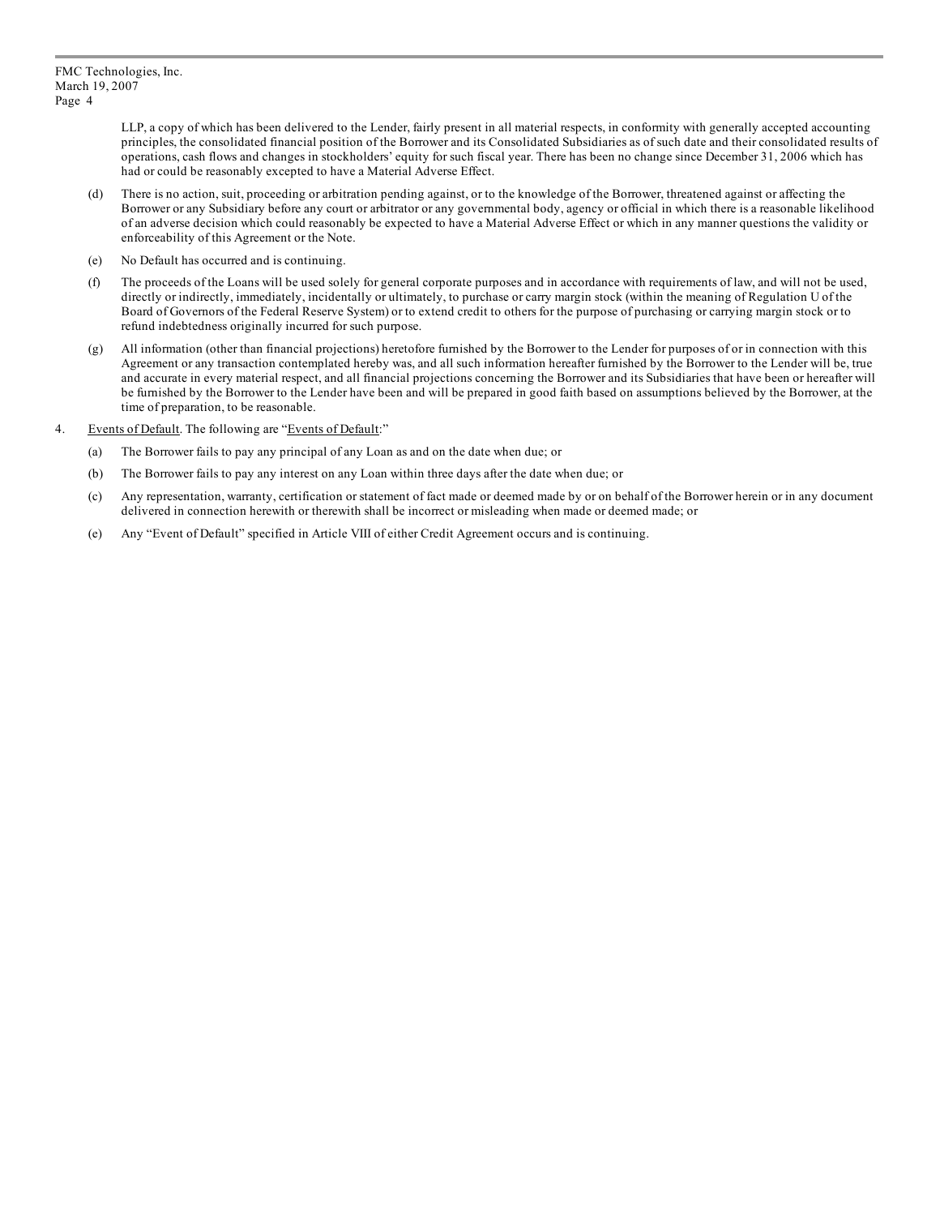LLP, a copy of which has been delivered to the Lender, fairly present in all material respects, in conformity with generally accepted accounting principles, the consolidated financial position of the Borrower and its Consolidated Subsidiaries as of such date and their consolidated results of operations, cash flows and changes in stockholders' equity for such fiscal year. There has been no change since December 31, 2006 which has had or could be reasonably excepted to have a Material Adverse Effect.

- (d) There is no action, suit, proceeding or arbitration pending against, or to the knowledge of the Borrower, threatened against or affecting the Borrower or any Subsidiary before any court or arbitrator or any governmental body, agency or official in which there is a reasonable likelihood of an adverse decision which could reasonably be expected to have a Material Adverse Effect or which in any manner questions the validity or enforceability of this Agreement or the Note.
- (e) No Default has occurred and is continuing.
- (f) The proceeds of the Loans will be used solely for general corporate purposes and in accordance with requirements of law, and will not be used, directly or indirectly, immediately, incidentally or ultimately, to purchase or carry margin stock (within the meaning of Regulation U of the Board of Governors of the Federal Reserve System) or to extend credit to others for the purpose of purchasing or carrying margin stock or to refund indebtedness originally incurred for such purpose.
- (g) All information (other than financial projections) heretofore furnished by the Borrower to the Lender for purposes of or in connection with this Agreement or any transaction contemplated hereby was, and all such information hereafter furnished by the Borrower to the Lender will be, true and accurate in every material respect, and all financial projections concerning the Borrower and its Subsidiaries that have been or hereafter will be furnished by the Borrower to the Lender have been and will be prepared in good faith based on assumptions believed by the Borrower, at the time of preparation, to be reasonable.
- 4. Events of Default. The following are "Events of Default:"
	- (a) The Borrower fails to pay any principal of any Loan as and on the date when due; or
	- (b) The Borrower fails to pay any interest on any Loan within three days after the date when due; or
	- (c) Any representation, warranty, certification or statement of fact made or deemed made by or on behalf of the Borrower herein or in any document delivered in connection herewith or therewith shall be incorrect or misleading when made or deemed made; or
	- (e) Any "Event of Default" specified in Article VIII of either Credit Agreement occurs and is continuing.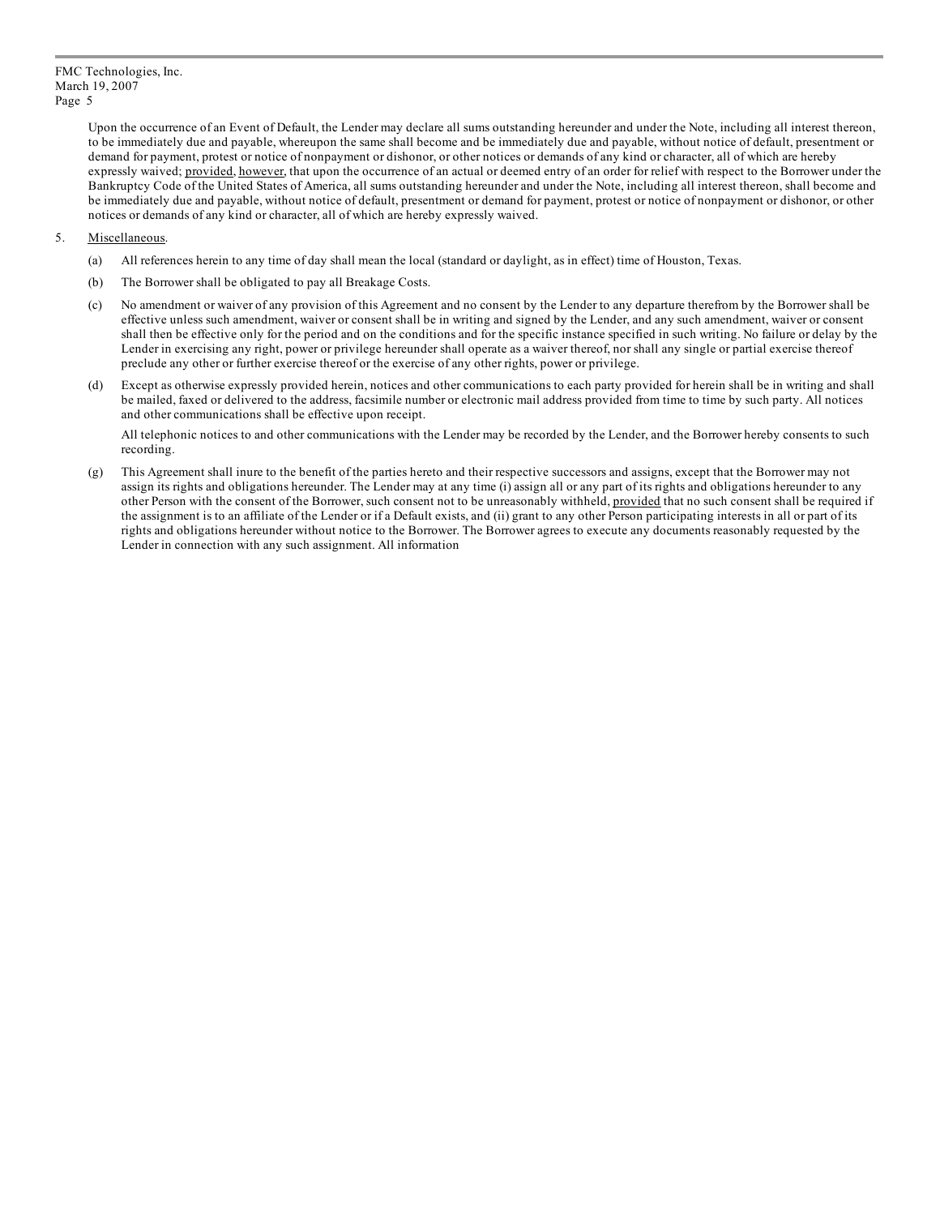Upon the occurrence of an Event of Default, the Lender may declare all sums outstanding hereunder and under the Note, including all interest thereon, to be immediately due and payable, whereupon the same shall become and be immediately due and payable, without notice of default, presentment or demand for payment, protest or notice of nonpayment or dishonor, or other notices or demands of any kind or character, all of which are hereby expressly waived; provided, however, that upon the occurrence of an actual or deemed entry of an order for relief with respect to the Borrower under the Bankruptcy Code of the United States of America, all sums outstanding hereunder and under the Note, including all interest thereon, shall become and be immediately due and payable, without notice of default, presentment or demand for payment, protest or notice of nonpayment or dishonor, or other notices or demands of any kind or character, all of which are hereby expressly waived.

#### 5. Miscellaneous.

- (a) All references herein to any time of day shall mean the local (standard or daylight, as in effect) time of Houston, Texas.
- (b) The Borrower shall be obligated to pay all Breakage Costs.
- (c) No amendment or waiver of any provision of this Agreement and no consent by the Lender to any departure therefrom by the Borrower shall be effective unless such amendment, waiver or consent shall be in writing and signed by the Lender, and any such amendment, waiver or consent shall then be effective only for the period and on the conditions and for the specific instance specified in such writing. No failure or delay by the Lender in exercising any right, power or privilege hereunder shall operate as a waiver thereof, nor shall any single or partial exercise thereof preclude any other or further exercise thereof or the exercise of any other rights, power or privilege.
- (d) Except as otherwise expressly provided herein, notices and other communications to each party provided for herein shall be in writing and shall be mailed, faxed or delivered to the address, facsimile number or electronic mail address provided from time to time by such party. All notices and other communications shall be effective upon receipt.

All telephonic notices to and other communications with the Lender may be recorded by the Lender, and the Borrower hereby consents to such recording.

(g) This Agreement shall inure to the benefit of the parties hereto and their respective successors and assigns, except that the Borrower may not assign its rights and obligations hereunder. The Lender may at any time (i) assign all or any part of its rights and obligations hereunder to any other Person with the consent of the Borrower, such consent not to be unreasonably withheld, provided that no such consent shall be required if the assignment is to an affiliate of the Lender or if a Default exists, and (ii) grant to any other Person participating interests in all or part of its rights and obligations hereunder without notice to the Borrower. The Borrower agrees to execute any documents reasonably requested by the Lender in connection with any such assignment. All information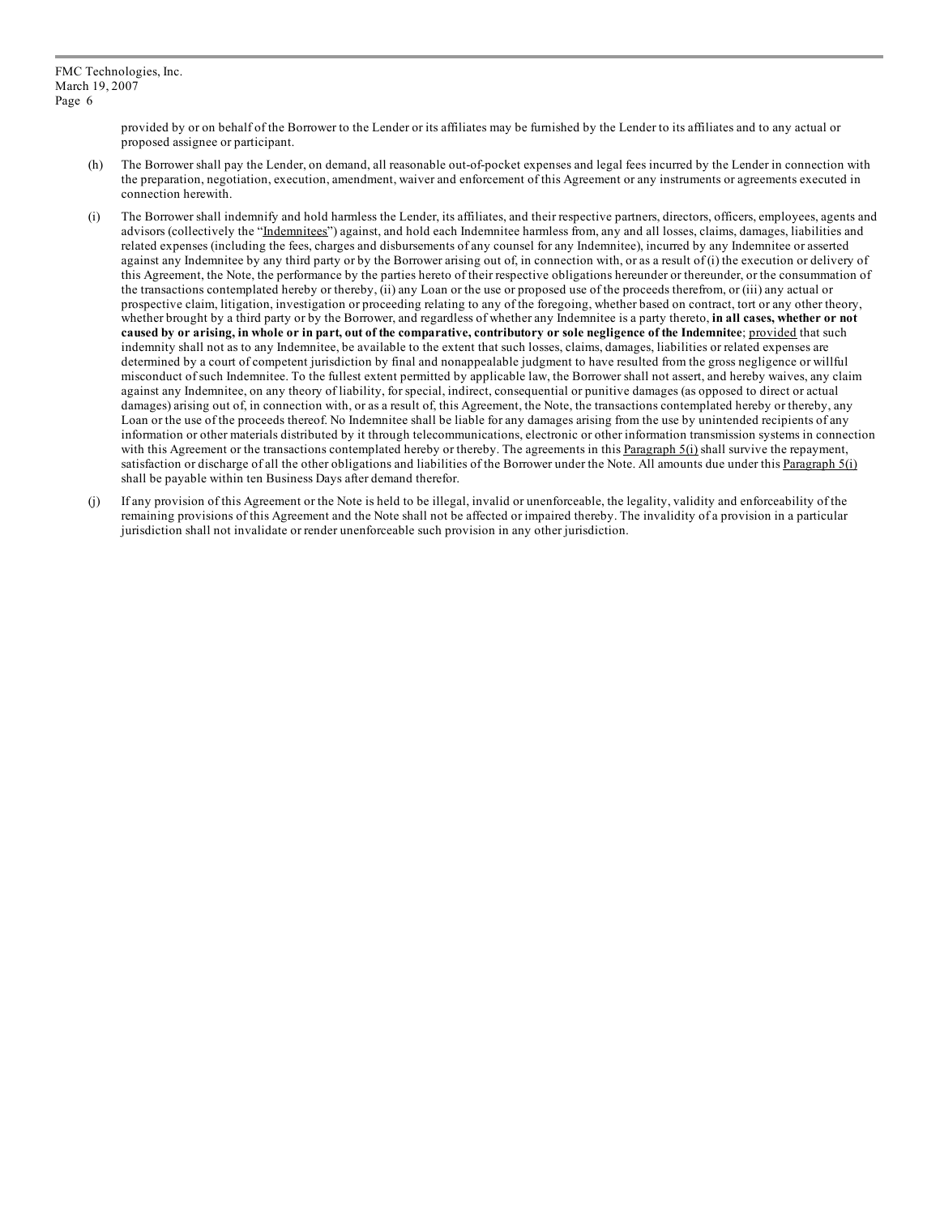provided by or on behalf of the Borrower to the Lender or its affiliates may be furnished by the Lender to its affiliates and to any actual or proposed assignee or participant.

- (h) The Borrower shall pay the Lender, on demand, all reasonable out-of-pocket expenses and legal fees incurred by the Lender in connection with the preparation, negotiation, execution, amendment, waiver and enforcement of this Agreement or any instruments or agreements executed in connection herewith.
- (i) The Borrower shall indemnify and hold harmless the Lender, its affiliates, and their respective partners, directors, officers, employees, agents and advisors (collectively the "Indemnitees") against, and hold each Indemnitee harmless from, any and all losses, claims, damages, liabilities and related expenses (including the fees, charges and disbursements of any counsel for any Indemnitee), incurred by any Indemnitee or asserted against any Indemnitee by any third party or by the Borrower arising out of, in connection with, or as a result of (i) the execution or delivery of this Agreement, the Note, the performance by the parties hereto of their respective obligations hereunder or thereunder, or the consummation of the transactions contemplated hereby or thereby, (ii) any Loan or the use or proposed use of the proceeds therefrom, or (iii) any actual or prospective claim, litigation, investigation or proceeding relating to any of the foregoing, whether based on contract, tort or any other theory, whether brought by a third party or by the Borrower, and regardless of whether any Indemnitee is a party thereto, **in all cases, whether or not** caused by or arising, in whole or in part, out of the comparative, contributory or sole negligence of the Indemnitee; provided that such indemnity shall not as to any Indemnitee, be available to the extent that such losses, claims, damages, liabilities or related expenses are determined by a court of competent jurisdiction by final and nonappealable judgment to have resulted from the gross negligence or willful misconduct of such Indemnitee. To the fullest extent permitted by applicable law, the Borrower shall not assert, and hereby waives, any claim against any Indemnitee, on any theory of liability, for special, indirect, consequential or punitive damages (as opposed to direct or actual damages) arising out of, in connection with, or as a result of, this Agreement, the Note, the transactions contemplated hereby or thereby, any Loan or the use of the proceeds thereof. No Indemnitee shall be liable for any damages arising from the use by unintended recipients of any information or other materials distributed by it through telecommunications, electronic or other information transmission systems in connection with this Agreement or the transactions contemplated hereby or thereby. The agreements in this  $\frac{P_{\text{aragraph }5(i)}}{P_{\text{aragraph }5(i)}}$  shall survive the repayment, satisfaction or discharge of all the other obligations and liabilities of the Borrower under the Note. All amounts due under this Paragraph 5(i) shall be payable within ten Business Days after demand therefor.
- (j) If any provision of this Agreement or the Note is held to be illegal, invalid or unenforceable, the legality, validity and enforceability of the remaining provisions of this Agreement and the Note shall not be affected or impaired thereby. The invalidity of a provision in a particular jurisdiction shall not invalidate or render unenforceable such provision in any other jurisdiction.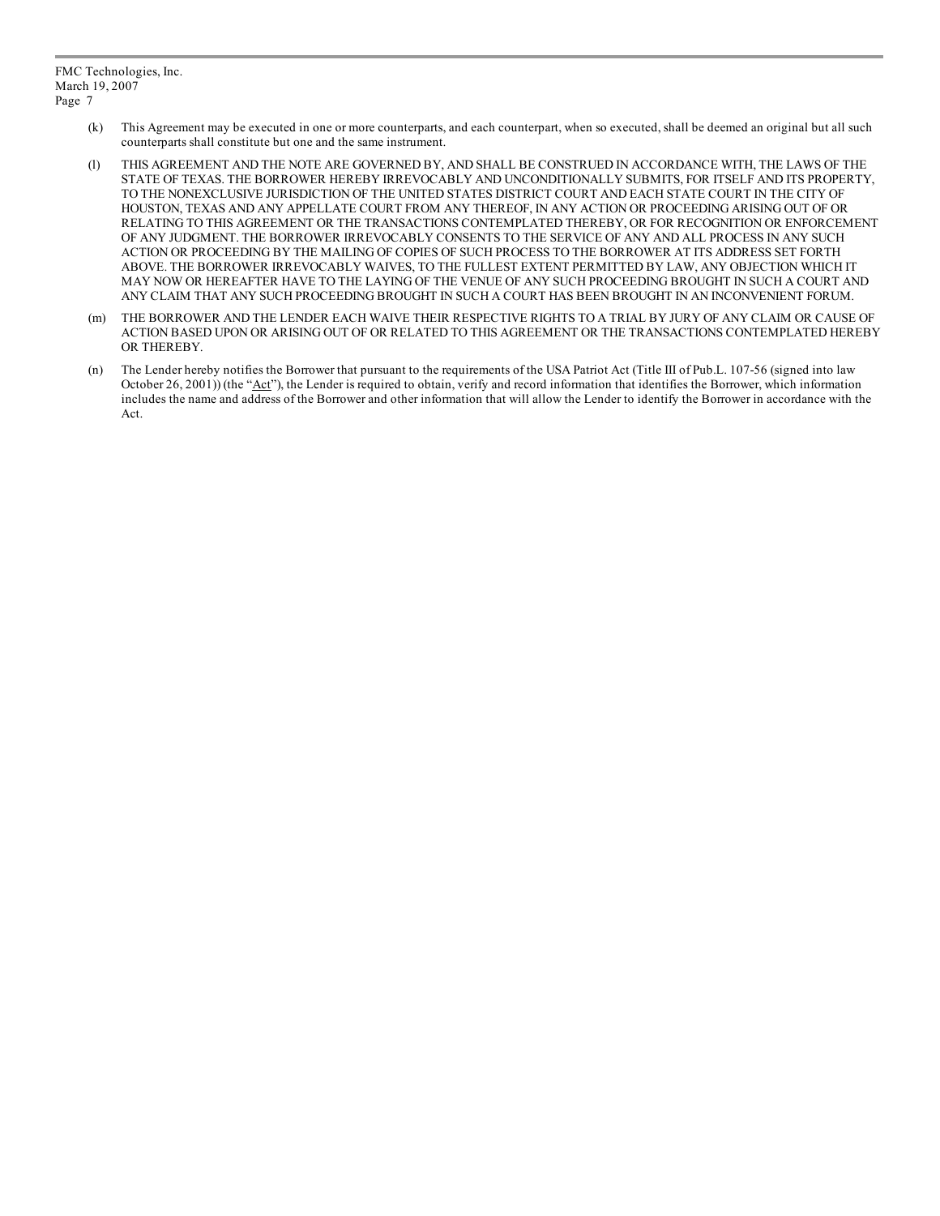- (k) This Agreement may be executed in one or more counterparts, and each counterpart, when so executed, shall be deemed an original but all such counterparts shall constitute but one and the same instrument.
- (l) THIS AGREEMENT AND THE NOTE ARE GOVERNED BY, AND SHALL BE CONSTRUED IN ACCORDANCE WITH, THE LAWS OF THE STATE OF TEXAS. THE BORROWER HEREBY IRREVOCABLY AND UNCONDITIONALLY SUBMITS, FOR ITSELF AND ITS PROPERTY, TO THE NONEXCLUSIVE JURISDICTION OF THE UNITED STATES DISTRICT COURT AND EACH STATE COURT IN THE CITY OF HOUSTON, TEXAS AND ANY APPELLATE COURT FROM ANY THEREOF, IN ANY ACTION OR PROCEEDING ARISING OUT OF OR RELATING TO THIS AGREEMENT OR THE TRANSACTIONS CONTEMPLATED THEREBY, OR FOR RECOGNITION OR ENFORCEMENT OF ANY JUDGMENT. THE BORROWER IRREVOCABLY CONSENTS TO THE SERVICE OF ANY AND ALL PROCESS IN ANY SUCH ACTION OR PROCEEDING BY THE MAILING OF COPIES OF SUCH PROCESS TO THE BORROWER AT ITS ADDRESS SET FORTH ABOVE. THE BORROWER IRREVOCABLY WAIVES, TO THE FULLEST EXTENT PERMITTED BY LAW, ANY OBJECTION WHICH IT MAY NOW OR HEREAFTER HAVE TO THE LAYING OF THE VENUE OF ANY SUCH PROCEEDING BROUGHT IN SUCH A COURT AND ANY CLAIM THAT ANY SUCH PROCEEDING BROUGHT IN SUCH A COURT HAS BEEN BROUGHT IN AN INCONVENIENT FORUM.
- (m) THE BORROWER AND THE LENDER EACH WAIVE THEIR RESPECTIVE RIGHTS TO A TRIAL BY JURY OF ANY CLAIM OR CAUSE OF ACTION BASED UPON OR ARISING OUT OF OR RELATED TO THIS AGREEMENT OR THE TRANSACTIONS CONTEMPLATED HEREBY OR THEREBY.
- (n) The Lender hereby notifies the Borrower that pursuant to the requirements of the USA Patriot Act (Title III of Pub.L. 107-56 (signed into law October 26, 2001)) (the "Act"), the Lender is required to obtain, verify and record information that identifies the Borrower, which information includes the name and address of the Borrower and other information that will allow the Lender to identify the Borrower in accordance with the Act.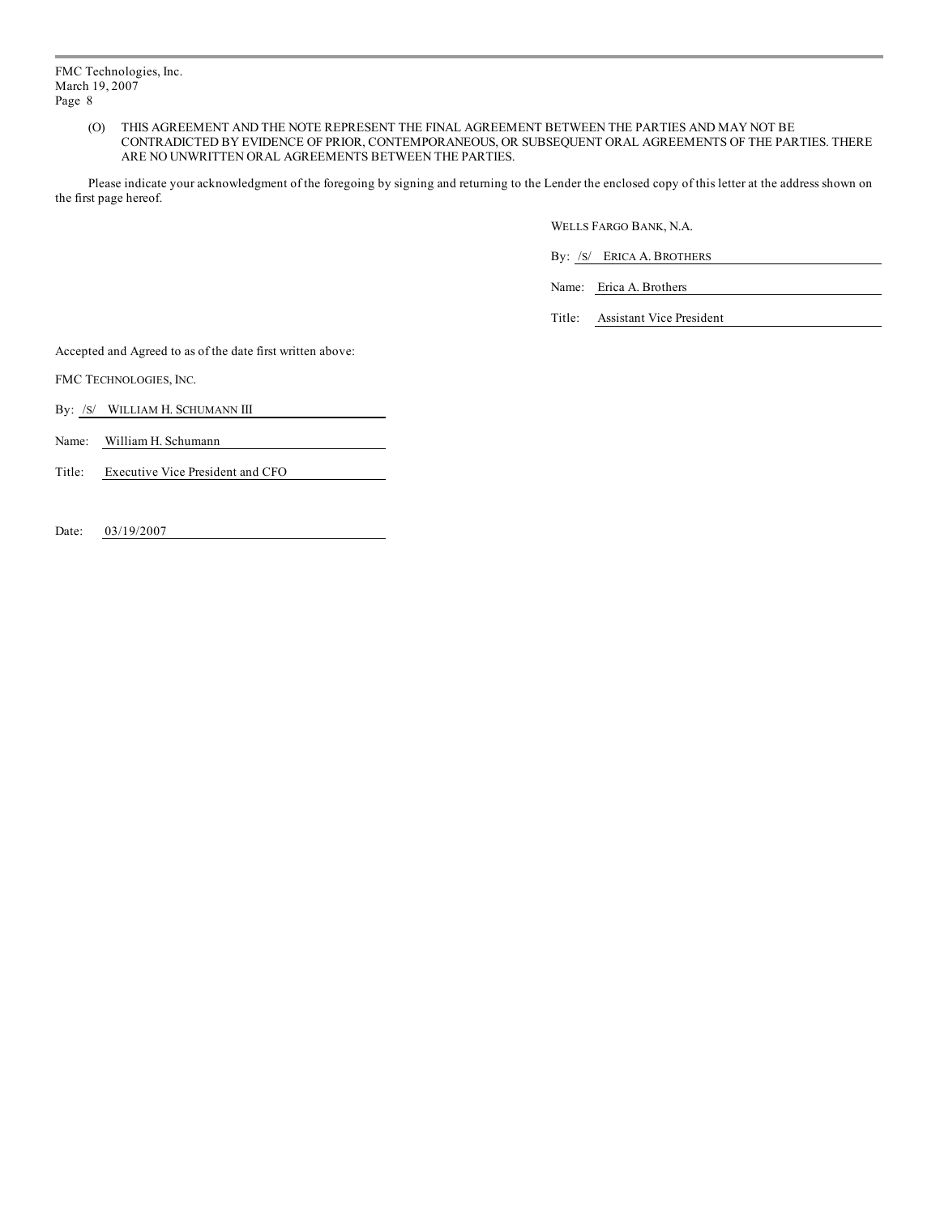(O) THIS AGREEMENT AND THE NOTE REPRESENT THE FINAL AGREEMENT BETWEEN THE PARTIES AND MAY NOT BE CONTRADICTED BY EVIDENCE OF PRIOR, CONTEMPORANEOUS, OR SUBSEQUENT ORAL AGREEMENTS OF THE PARTIES. THERE ARE NO UNWRITTEN ORAL AGREEMENTS BETWEEN THE PARTIES.

Please indicate your acknowledgment of the foregoing by signing and returning to the Lender the enclosed copy of this letter at the address shown on the first page hereof.

WELLS FARGO BANK, N.A.

By: /S/ ERICA A. BROTHERS

Name: Erica A. Brothers

Title: Assistant Vice President

Accepted and Agreed to as of the date first written above:

FMC TECHNOLOGIES, INC.

By: /s/ WILLIAM H. SCHUMANN III

Name: William H. Schumann

Title: Executive Vice President and CFO

Date: 03/19/2007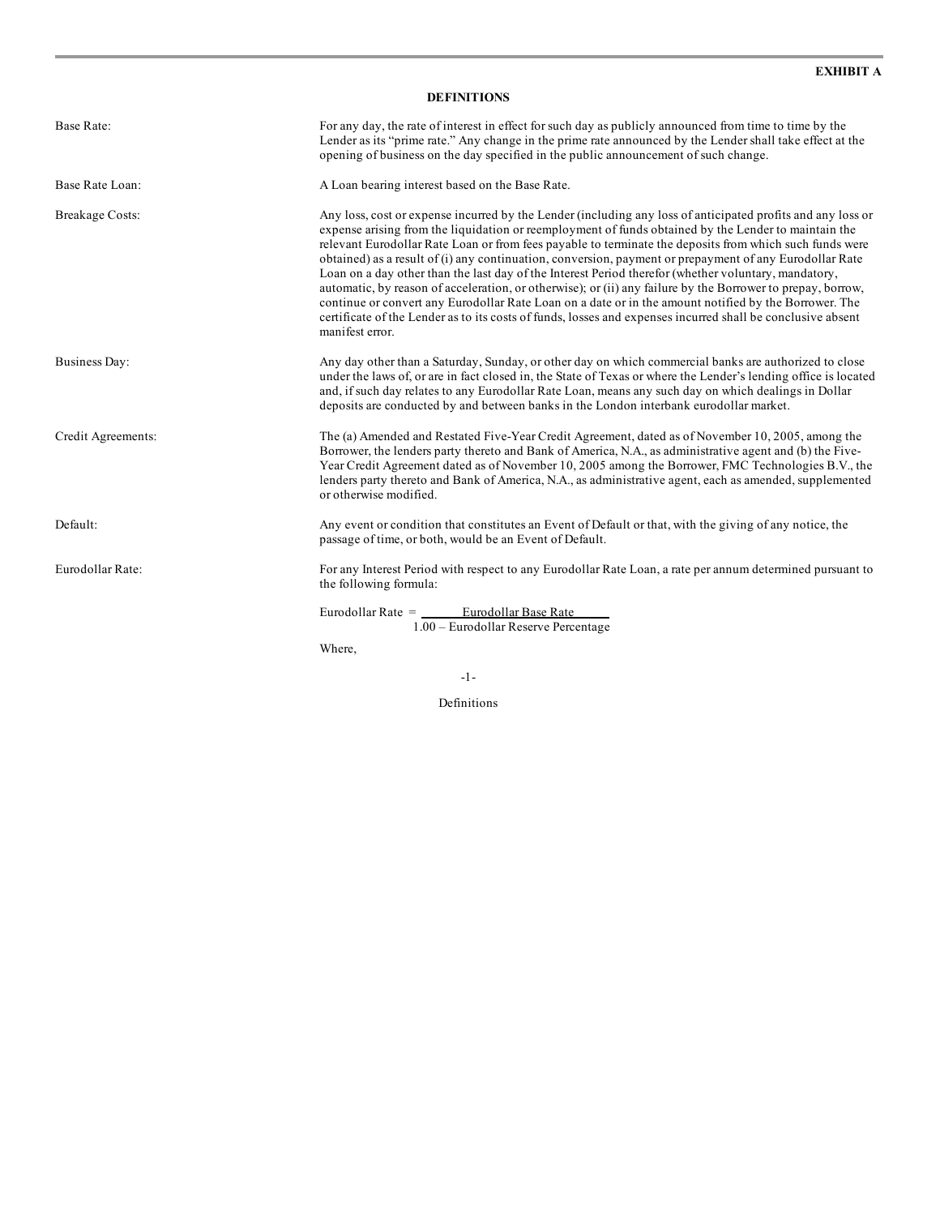| <b>DEFINITIONS</b>     |                                                                                                                                                                                                                                                                                                                                                                                                                                                                                                                                                                                                                                                                                                                                                                                                                                                                                                             |  |  |  |
|------------------------|-------------------------------------------------------------------------------------------------------------------------------------------------------------------------------------------------------------------------------------------------------------------------------------------------------------------------------------------------------------------------------------------------------------------------------------------------------------------------------------------------------------------------------------------------------------------------------------------------------------------------------------------------------------------------------------------------------------------------------------------------------------------------------------------------------------------------------------------------------------------------------------------------------------|--|--|--|
| Base Rate:             | For any day, the rate of interest in effect for such day as publicly announced from time to time by the<br>Lender as its "prime rate." Any change in the prime rate announced by the Lender shall take effect at the<br>opening of business on the day specified in the public announcement of such change.                                                                                                                                                                                                                                                                                                                                                                                                                                                                                                                                                                                                 |  |  |  |
| Base Rate Loan:        | A Loan bearing interest based on the Base Rate.                                                                                                                                                                                                                                                                                                                                                                                                                                                                                                                                                                                                                                                                                                                                                                                                                                                             |  |  |  |
| <b>Breakage Costs:</b> | Any loss, cost or expense incurred by the Lender (including any loss of anticipated profits and any loss or<br>expense arising from the liquidation or reemployment of funds obtained by the Lender to maintain the<br>relevant Eurodollar Rate Loan or from fees payable to terminate the deposits from which such funds were<br>obtained) as a result of (i) any continuation, conversion, payment or prepayment of any Eurodollar Rate<br>Loan on a day other than the last day of the Interest Period therefor (whether voluntary, mandatory,<br>automatic, by reason of acceleration, or otherwise); or (ii) any failure by the Borrower to prepay, borrow,<br>continue or convert any Eurodollar Rate Loan on a date or in the amount notified by the Borrower. The<br>certificate of the Lender as to its costs of funds, losses and expenses incurred shall be conclusive absent<br>manifest error. |  |  |  |
| Business Day:          | Any day other than a Saturday, Sunday, or other day on which commercial banks are authorized to close<br>under the laws of, or are in fact closed in, the State of Texas or where the Lender's lending office is located<br>and, if such day relates to any Eurodollar Rate Loan, means any such day on which dealings in Dollar<br>deposits are conducted by and between banks in the London interbank eurodollar market.                                                                                                                                                                                                                                                                                                                                                                                                                                                                                  |  |  |  |
| Credit Agreements:     | The (a) Amended and Restated Five-Year Credit Agreement, dated as of November 10, 2005, among the<br>Borrower, the lenders party thereto and Bank of America, N.A., as administrative agent and (b) the Five-<br>Year Credit Agreement dated as of November 10, 2005 among the Borrower, FMC Technologies B.V., the<br>lenders party thereto and Bank of America, N.A., as administrative agent, each as amended, supplemented<br>or otherwise modified.                                                                                                                                                                                                                                                                                                                                                                                                                                                    |  |  |  |
| Default:               | Any event or condition that constitutes an Event of Default or that, with the giving of any notice, the<br>passage of time, or both, would be an Event of Default.                                                                                                                                                                                                                                                                                                                                                                                                                                                                                                                                                                                                                                                                                                                                          |  |  |  |
| Eurodollar Rate:       | For any Interest Period with respect to any Eurodollar Rate Loan, a rate per annum determined pursuant to<br>the following formula:                                                                                                                                                                                                                                                                                                                                                                                                                                                                                                                                                                                                                                                                                                                                                                         |  |  |  |
|                        | Eurodollar Rate = Eurodollar Base Rate<br>1.00 - Eurodollar Reserve Percentage                                                                                                                                                                                                                                                                                                                                                                                                                                                                                                                                                                                                                                                                                                                                                                                                                              |  |  |  |
|                        | Where,                                                                                                                                                                                                                                                                                                                                                                                                                                                                                                                                                                                                                                                                                                                                                                                                                                                                                                      |  |  |  |

-1-

Definitions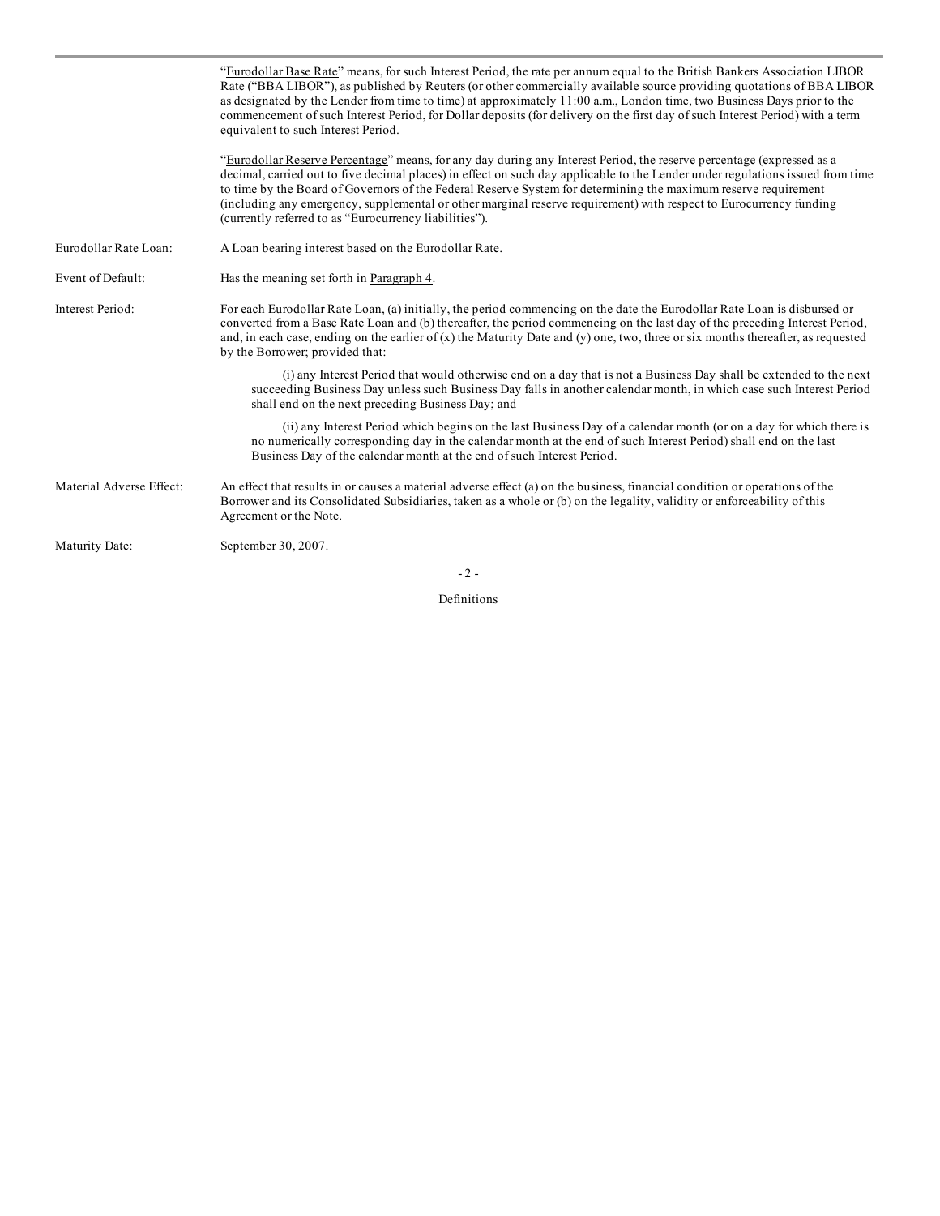|                          | "Eurodollar Base Rate" means, for such Interest Period, the rate per annum equal to the British Bankers Association LIBOR<br>Rate ("BBA LIBOR"), as published by Reuters (or other commercially available source providing quotations of BBA LIBOR<br>as designated by the Lender from time to time) at approximately 11:00 a.m., London time, two Business Days prior to the<br>commencement of such Interest Period, for Dollar deposits (for delivery on the first day of such Interest Period) with a term<br>equivalent to such Interest Period.      |
|--------------------------|------------------------------------------------------------------------------------------------------------------------------------------------------------------------------------------------------------------------------------------------------------------------------------------------------------------------------------------------------------------------------------------------------------------------------------------------------------------------------------------------------------------------------------------------------------|
|                          | "Eurodollar Reserve Percentage" means, for any day during any Interest Period, the reserve percentage (expressed as a<br>decimal, carried out to five decimal places) in effect on such day applicable to the Lender under regulations issued from time<br>to time by the Board of Governors of the Federal Reserve System for determining the maximum reserve requirement<br>(including any emergency, supplemental or other marginal reserve requirement) with respect to Eurocurrency funding<br>(currently referred to as "Eurocurrency liabilities"). |
| Eurodollar Rate Loan:    | A Loan bearing interest based on the Eurodollar Rate.                                                                                                                                                                                                                                                                                                                                                                                                                                                                                                      |
| Event of Default:        | Has the meaning set forth in Paragraph 4.                                                                                                                                                                                                                                                                                                                                                                                                                                                                                                                  |
| Interest Period:         | For each Eurodollar Rate Loan, (a) initially, the period commencing on the date the Eurodollar Rate Loan is disbursed or<br>converted from a Base Rate Loan and (b) thereafter, the period commencing on the last day of the preceding Interest Period,<br>and, in each case, ending on the earlier of $(x)$ the Maturity Date and $(y)$ one, two, three or six months thereafter, as requested<br>by the Borrower; provided that:                                                                                                                         |
|                          | (i) any Interest Period that would otherwise end on a day that is not a Business Day shall be extended to the next<br>succeeding Business Day unless such Business Day falls in another calendar month, in which case such Interest Period<br>shall end on the next preceding Business Day; and                                                                                                                                                                                                                                                            |
|                          | (ii) any Interest Period which begins on the last Business Day of a calendar month (or on a day for which there is<br>no numerically corresponding day in the calendar month at the end of such Interest Period) shall end on the last<br>Business Day of the calendar month at the end of such Interest Period.                                                                                                                                                                                                                                           |
| Material Adverse Effect: | An effect that results in or causes a material adverse effect (a) on the business, financial condition or operations of the<br>Borrower and its Consolidated Subsidiaries, taken as a whole or (b) on the legality, validity or enforceability of this<br>Agreement or the Note.                                                                                                                                                                                                                                                                           |
| Maturity Date:           | September 30, 2007.                                                                                                                                                                                                                                                                                                                                                                                                                                                                                                                                        |
|                          | $-2-$                                                                                                                                                                                                                                                                                                                                                                                                                                                                                                                                                      |

Definitions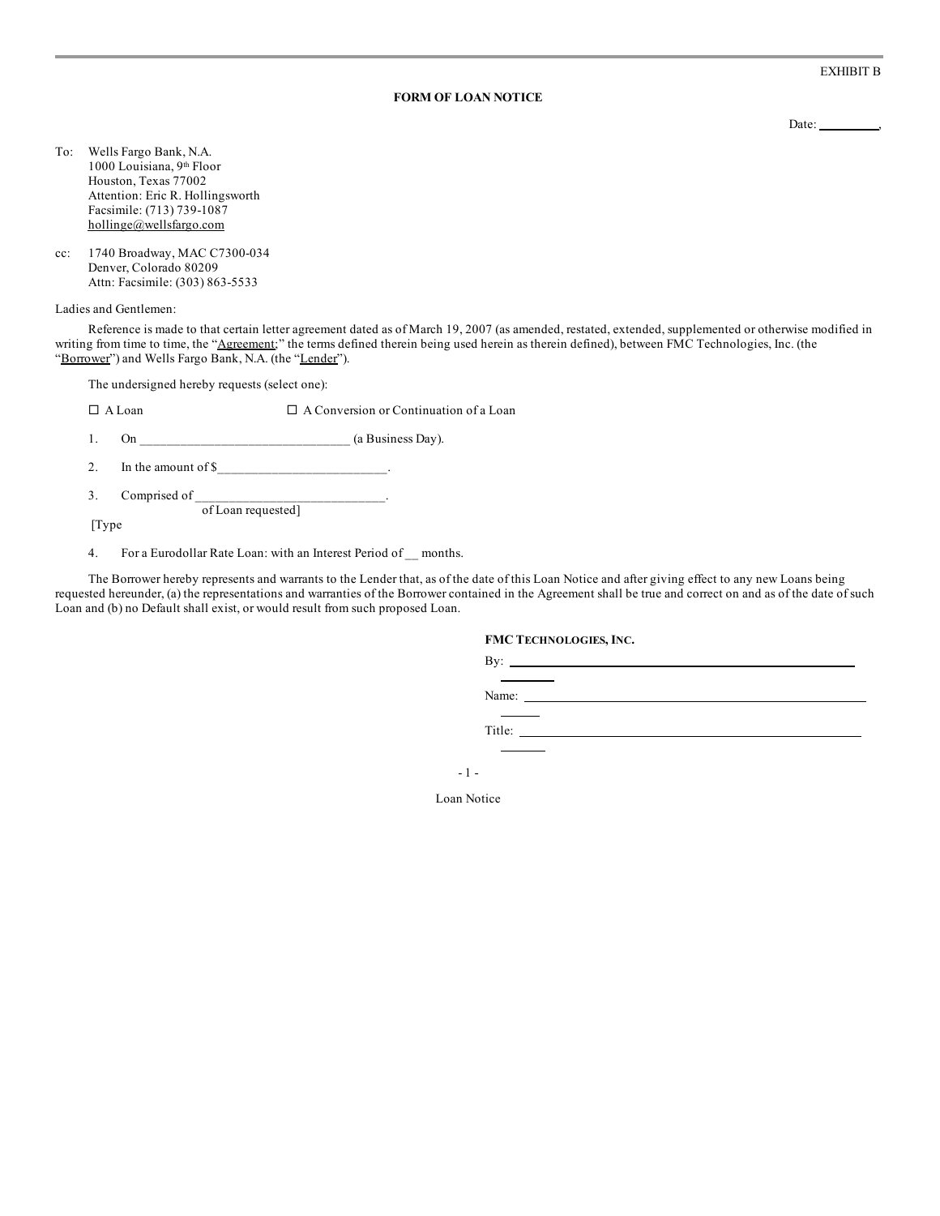EXHIBIT B

#### **FORM OF LOAN NOTICE**

Date: ,

- To: Wells Fargo Bank, N.A. 1000 Louisiana, 9<sup>th</sup> Floor Houston, Texas 77002 Attention: Eric R. Hollingsworth Facsimile: (713) 739-1087 hollinge@wellsfargo.com
- cc: 1740 Broadway, MAC C7300-034 Denver, Colorado 80209 Attn: Facsimile: (303) 863-5533

Ladies and Gentlemen:

Reference is made to that certain letter agreement dated as of March 19, 2007 (as amended, restated, extended, supplemented or otherwise modified in writing from time to time, the "Agreement;" the terms defined therein being used herein as therein defined), between FMC Technologies, Inc. (the "Borrower") and Wells Fargo Bank, N.A. (the "Lender").

The undersigned hereby requests (select one):

 $\square$  A Loan  $\square$  A Conversion or Continuation of a Loan

1. On \_\_\_\_\_\_\_\_\_\_\_\_\_\_\_\_\_\_\_\_\_\_\_\_\_\_\_\_\_\_\_ (a Business Day).

2. In the amount of  $\frac{8}{2}$ 

3. Comprised of the contract of the contract of the contract of the contract of the contract of the contract of the contract of the contract of the contract of the contract of the contract of the contract of the contract o of Loan requested]

[Type

4. For a Eurodollar Rate Loan: with an Interest Period of \_\_ months.

The Borrower hereby represents and warrants to the Lender that, as of the date of this Loan Notice and after giving effect to any new Loans being requested hereunder, (a) the representations and warranties of the Borrower contained in the Agreement shall be true and correct on and as of the date of such Loan and (b) no Default shall exist, or would result from such proposed Loan.

|        | <b>FMC TECHNOLOGIES, INC.</b>                                                                                                                                                                                                                                                                                                                                                                                 |  |  |
|--------|---------------------------------------------------------------------------------------------------------------------------------------------------------------------------------------------------------------------------------------------------------------------------------------------------------------------------------------------------------------------------------------------------------------|--|--|
|        | By: $\qquad \qquad$                                                                                                                                                                                                                                                                                                                                                                                           |  |  |
|        | Name: $\frac{1}{\sqrt{1-\frac{1}{2}}\sqrt{1-\frac{1}{2}}\sqrt{1-\frac{1}{2}}\sqrt{1-\frac{1}{2}}\sqrt{1-\frac{1}{2}}\sqrt{1-\frac{1}{2}}\sqrt{1-\frac{1}{2}}\sqrt{1-\frac{1}{2}}\sqrt{1-\frac{1}{2}}\sqrt{1-\frac{1}{2}}\sqrt{1-\frac{1}{2}}\sqrt{1-\frac{1}{2}}\sqrt{1-\frac{1}{2}}\sqrt{1-\frac{1}{2}}\sqrt{1-\frac{1}{2}}\sqrt{1-\frac{1}{2}}\sqrt{1-\frac{1}{2}}\sqrt{1-\frac{1}{2}}\sqrt{1-\frac{1}{2}}$ |  |  |
| Title: |                                                                                                                                                                                                                                                                                                                                                                                                               |  |  |

- 1 -

Loan Notice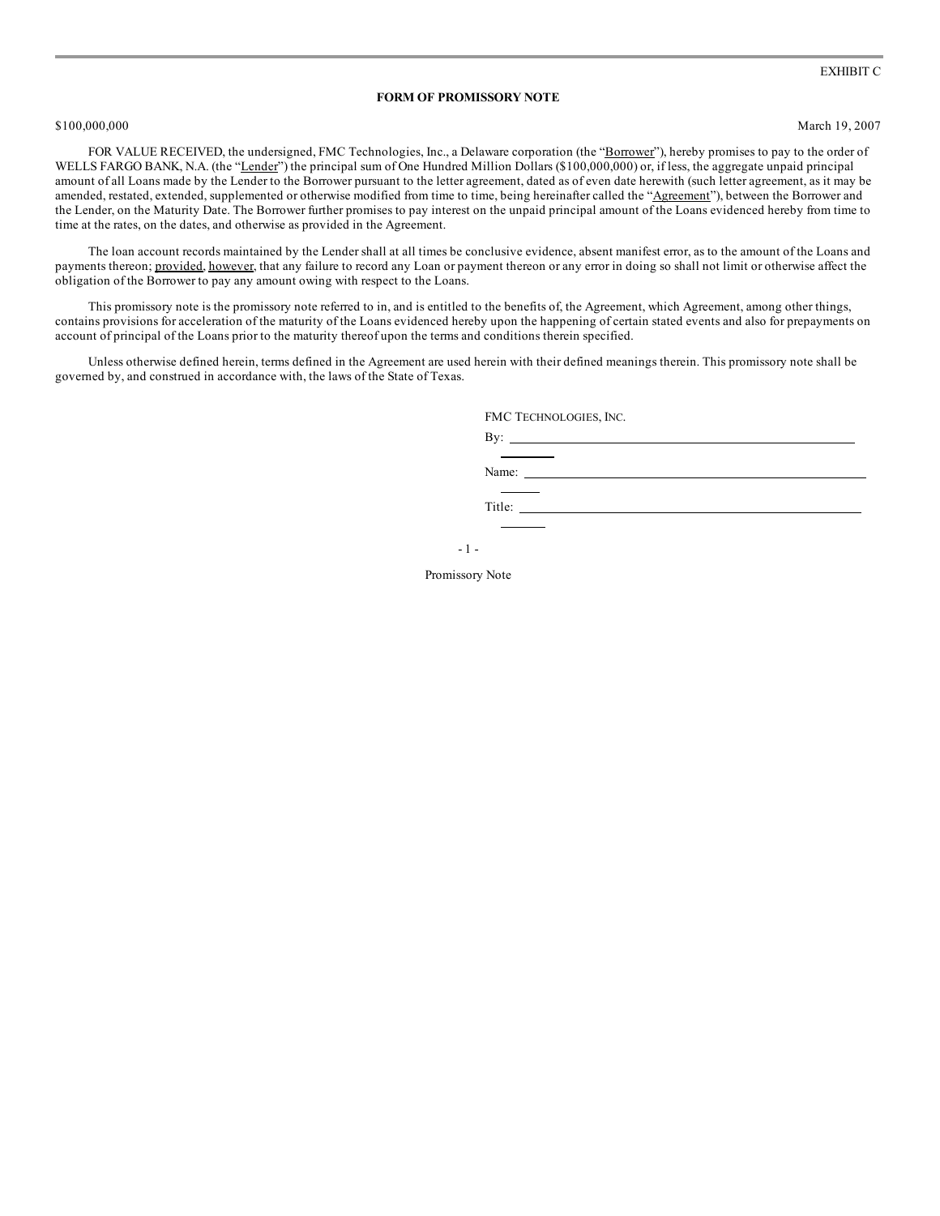#### **FORM OF PROMISSORY NOTE**

\$100,000,000 March 19, 2007

FOR VALUE RECEIVED, the undersigned, FMC Technologies, Inc., a Delaware corporation (the "Borrower"), hereby promises to pay to the order of WELLS FARGO BANK, N.A. (the "Lender") the principal sum of One Hundred Million Dollars (\$100,000,000) or, if less, the aggregate unpaid principal amount of all Loans made by the Lender to the Borrower pursuant to the letter agreement, dated as of even date herewith (such letter agreement, as it may be amended, restated, extended, supplemented or otherwise modified from time to time, being hereinafter called the "Agreement"), between the Borrower and the Lender, on the Maturity Date. The Borrower further promises to pay interest on the unpaid principal amount of the Loans evidenced hereby from time to time at the rates, on the dates, and otherwise as provided in the Agreement.

The loan account records maintained by the Lender shall at all times be conclusive evidence, absent manifest error, as to the amount of the Loans and payments thereon; provided, however, that any failure to record any Loan or payment thereon or any error in doing so shall not limit or otherwise affect the obligation of the Borrower to pay any amount owing with respect to the Loans.

This promissory note is the promissory note referred to in, and is entitled to the benefits of, the Agreement, which Agreement, among other things, contains provisions for acceleration of the maturity of the Loans evidenced hereby upon the happening of certain stated events and also for prepayments on account of principal of the Loans prior to the maturity thereof upon the terms and conditions therein specified.

Unless otherwise defined herein, terms defined in the Agreement are used herein with their defined meanings therein. This promissory note shall be governed by, and construed in accordance with, the laws of the State of Texas.

FMC TECHNOLOGIES, INC.

By:  $\_\_$ 

Name:

Title:

- 1 -

Promissory Note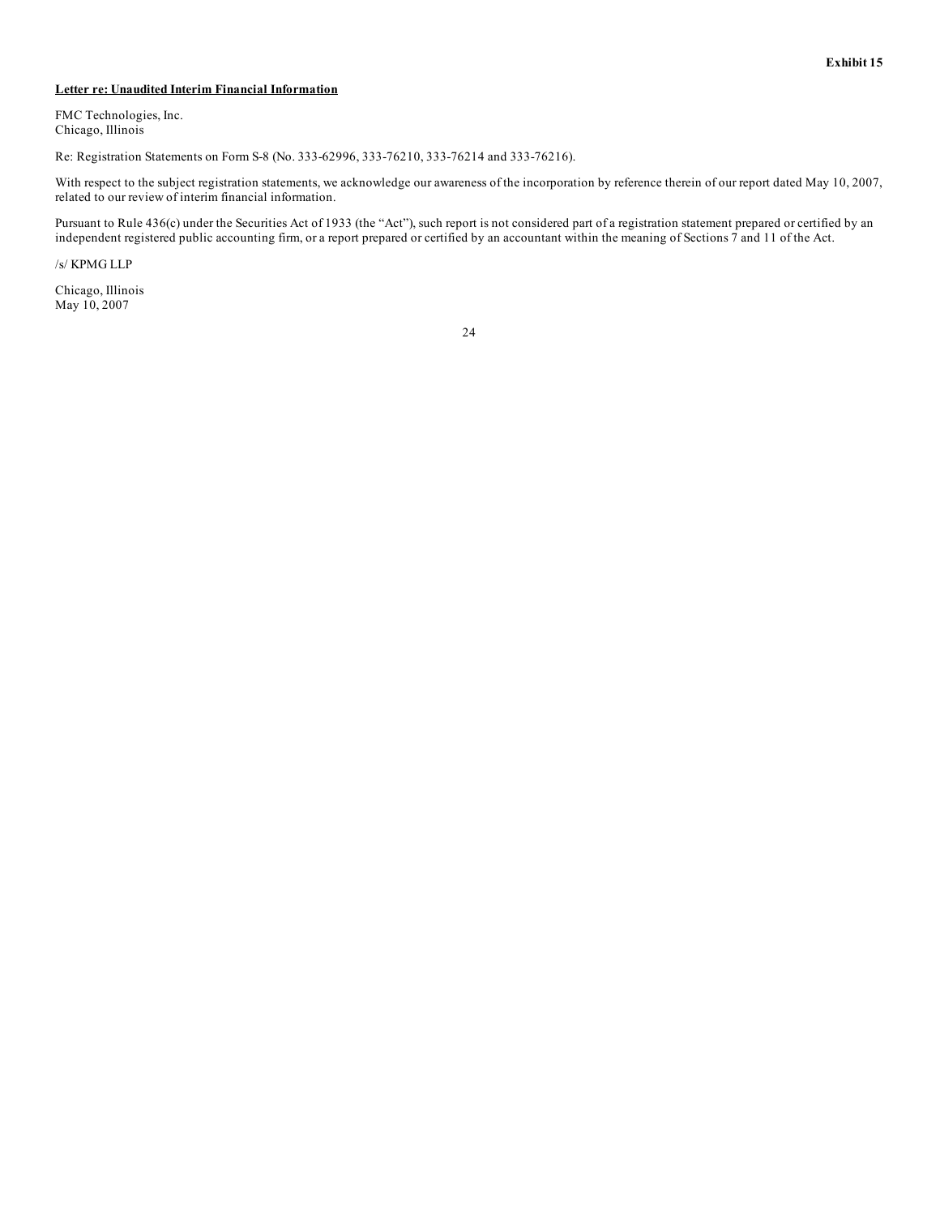#### **Letter re: Unaudited Interim Financial Information**

FMC Technologies, Inc. Chicago, Illinois

Re: Registration Statements on Form S-8 (No. 333-62996, 333-76210, 333-76214 and 333-76216).

With respect to the subject registration statements, we acknowledge our awareness of the incorporation by reference therein of our report dated May 10, 2007, related to our review of interim financial information.

Pursuant to Rule 436(c) under the Securities Act of 1933 (the "Act"), such report is not considered part of a registration statement prepared or certified by an independent registered public accounting firm, or a report prepared or certified by an accountant within the meaning of Sections 7 and 11 of the Act.

/s/ KPMG LLP

Chicago, Illinois May 10, 2007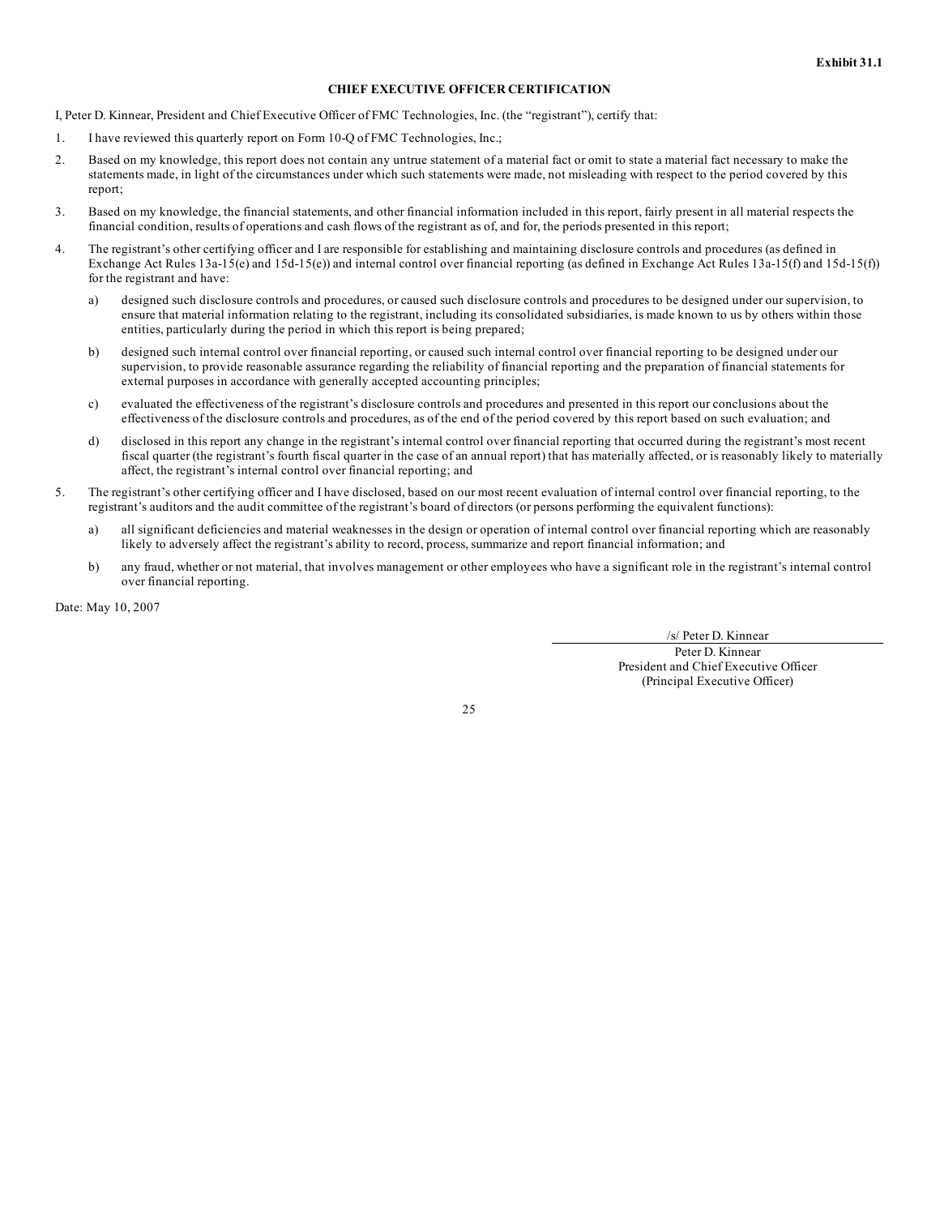#### **CHIEF EXECUTIVE OFFICER CERTIFICATION**

I, Peter D. Kinnear, President and Chief Executive Officer of FMC Technologies, Inc. (the "registrant"), certify that:

- 1. I have reviewed this quarterly report on Form 10-Q of FMC Technologies, Inc.;
- 2. Based on my knowledge, this report does not contain any untrue statement of a material fact or omit to state a material fact necessary to make the statements made, in light of the circumstances under which such statements were made, not misleading with respect to the period covered by this report;
- 3. Based on my knowledge, the financial statements, and other financial information included in this report, fairly present in all material respects the financial condition, results of operations and cash flows of the registrant as of, and for, the periods presented in this report;
- 4. The registrant's other certifying officer and I are responsible for establishing and maintaining disclosure controls and procedures (as defined in Exchange Act Rules 13a-15(e) and 15d-15(e)) and internal control over financial reporting (as defined in Exchange Act Rules 13a-15(f) and 15d-15(f)) for the registrant and have:
	- a) designed such disclosure controls and procedures, or caused such disclosure controls and procedures to be designed under our supervision, to ensure that material information relating to the registrant, including its consolidated subsidiaries, is made known to us by others within those entities, particularly during the period in which this report is being prepared;
	- b) designed such internal control over financial reporting, or caused such internal control over financial reporting to be designed under our supervision, to provide reasonable assurance regarding the reliability of financial reporting and the preparation of financial statements for external purposes in accordance with generally accepted accounting principles;
	- c) evaluated the effectiveness of the registrant's disclosure controls and procedures and presented in this report our conclusions about the effectiveness of the disclosure controls and procedures, as of the end of the period covered by this report based on such evaluation; and
	- d) disclosed in this report any change in the registrant's internal control over financial reporting that occurred during the registrant's most recent fiscal quarter (the registrant's fourth fiscal quarter in the case of an annual report) that has materially affected, or is reasonably likely to materially affect, the registrant's internal control over financial reporting; and
- 5. The registrant's other certifying officer and I have disclosed, based on our most recent evaluation of internal control over financial reporting, to the registrant's auditors and the audit committee of the registrant's board of directors (or persons performing the equivalent functions):
	- a) all significant deficiencies and material weaknesses in the design or operation of internal control over financial reporting which are reasonably likely to adversely affect the registrant's ability to record, process, summarize and report financial information; and
	- b) any fraud, whether or not material, that involves management or other employees who have a significant role in the registrant's internal control over financial reporting.

Date: May 10, 2007

/s/ Peter D. Kinnear

Peter D. Kinnear President and Chief Executive Officer (Principal Executive Officer)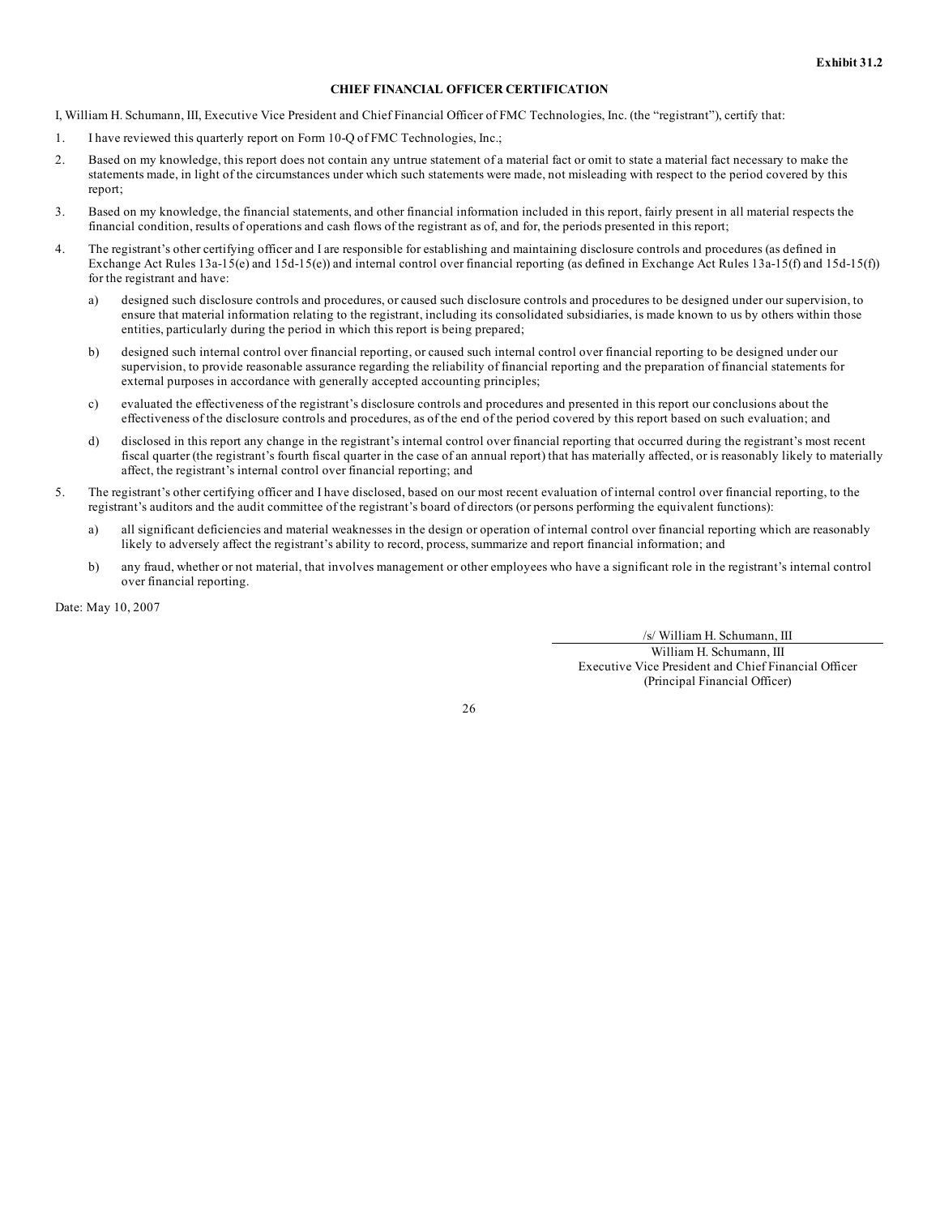#### **CHIEF FINANCIAL OFFICER CERTIFICATION**

I, William H. Schumann, III, Executive Vice President and Chief Financial Officer of FMC Technologies, Inc. (the "registrant"), certify that:

- 1. I have reviewed this quarterly report on Form 10-Q of FMC Technologies, Inc.;
- 2. Based on my knowledge, this report does not contain any untrue statement of a material fact or omit to state a material fact necessary to make the statements made, in light of the circumstances under which such statements were made, not misleading with respect to the period covered by this report;
- 3. Based on my knowledge, the financial statements, and other financial information included in this report, fairly present in all material respects the financial condition, results of operations and cash flows of the registrant as of, and for, the periods presented in this report;
- 4. The registrant's other certifying officer and I are responsible for establishing and maintaining disclosure controls and procedures (as defined in Exchange Act Rules 13a-15(e) and 15d-15(e)) and internal control over financial reporting (as defined in Exchange Act Rules 13a-15(f) and 15d-15(f)) for the registrant and have:
	- a) designed such disclosure controls and procedures, or caused such disclosure controls and procedures to be designed under our supervision, to ensure that material information relating to the registrant, including its consolidated subsidiaries, is made known to us by others within those entities, particularly during the period in which this report is being prepared;
	- b) designed such internal control over financial reporting, or caused such internal control over financial reporting to be designed under our supervision, to provide reasonable assurance regarding the reliability of financial reporting and the preparation of financial statements for external purposes in accordance with generally accepted accounting principles;
	- c) evaluated the effectiveness of the registrant's disclosure controls and procedures and presented in this report our conclusions about the effectiveness of the disclosure controls and procedures, as of the end of the period covered by this report based on such evaluation; and
	- d) disclosed in this report any change in the registrant's internal control over financial reporting that occurred during the registrant's most recent fiscal quarter (the registrant's fourth fiscal quarter in the case of an annual report) that has materially affected, or is reasonably likely to materially affect, the registrant's internal control over financial reporting; and
- 5. The registrant's other certifying officer and I have disclosed, based on our most recent evaluation of internal control over financial reporting, to the registrant's auditors and the audit committee of the registrant's board of directors (or persons performing the equivalent functions):
	- a) all significant deficiencies and material weaknesses in the design or operation of internal control over financial reporting which are reasonably likely to adversely affect the registrant's ability to record, process, summarize and report financial information; and
	- b) any fraud, whether or not material, that involves management or other employees who have a significant role in the registrant's internal control over financial reporting.

Date: May 10, 2007

/s/ William H. Schumann, III

William H. Schumann, III Executive Vice President and Chief Financial Officer (Principal Financial Officer)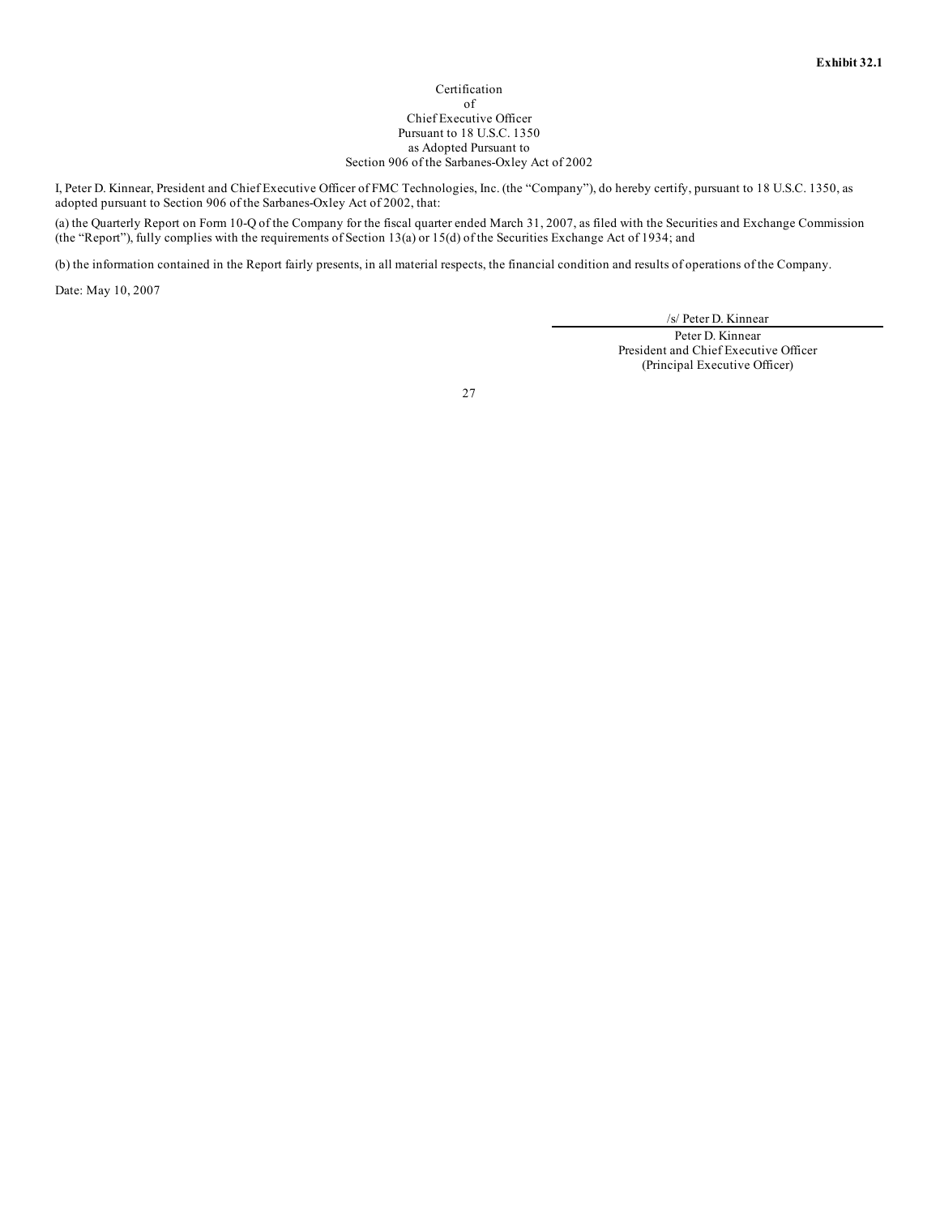#### Certification of Chief Executive Officer Pursuant to 18 U.S.C. 1350 as Adopted Pursuant to Section 906 of the Sarbanes-Oxley Act of 2002

I, Peter D. Kinnear, President and Chief Executive Officer of FMC Technologies, Inc. (the "Company"), do hereby certify, pursuant to 18 U.S.C. 1350, as adopted pursuant to Section 906 of the Sarbanes-Oxley Act of 2002, that:

(a) the Quarterly Report on Form 10-Q of the Company for the fiscal quarter ended March 31, 2007, as filed with the Securities and Exchange Commission (the "Report"), fully complies with the requirements of Section 13(a) or 15(d) of the Securities Exchange Act of 1934; and

(b) the information contained in the Report fairly presents, in all material respects, the financial condition and results of operations of the Company.

Date: May 10, 2007

/s/ Peter D. Kinnear

Peter D. Kinnear President and Chief Executive Officer (Principal Executive Officer)